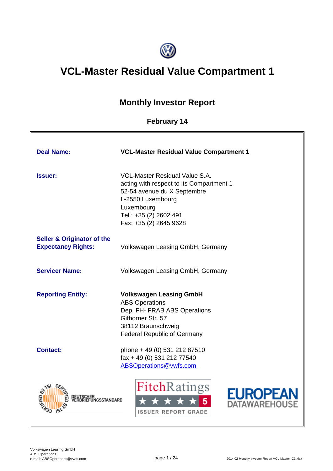

# **VCL-Master Residual Value Compartment 1**

# **Monthly Investor Report**

# **February 14**

| <b>Deal Name:</b>                                                  | <b>VCL-Master Residual Value Compartment 1</b>                                                                                                                                                          |
|--------------------------------------------------------------------|---------------------------------------------------------------------------------------------------------------------------------------------------------------------------------------------------------|
| <b>Issuer:</b>                                                     | <b>VCL-Master Residual Value S.A.</b><br>acting with respect to its Compartment 1<br>52-54 avenue du X Septembre<br>L-2550 Luxembourg<br>Luxembourg<br>Tel.: +35 (2) 2602 491<br>Fax: +35 (2) 2645 9628 |
| <b>Seller &amp; Originator of the</b><br><b>Expectancy Rights:</b> | Volkswagen Leasing GmbH, Germany                                                                                                                                                                        |
| <b>Servicer Name:</b>                                              | Volkswagen Leasing GmbH, Germany                                                                                                                                                                        |
| <b>Reporting Entity:</b>                                           | <b>Volkswagen Leasing GmbH</b><br><b>ABS Operations</b><br>Dep. FH- FRAB ABS Operations<br>Gifhorner Str. 57<br>38112 Braunschweig<br><b>Federal Republic of Germany</b>                                |
| <b>Contact:</b>                                                    | phone + 49 (0) 531 212 87510<br>fax + 49 (0) 531 212 77540<br>ABSOperations@vwfs.com                                                                                                                    |
| <b>NGSSTANDARD</b>                                                 | <b>FitchRatings</b><br><b>EUROPEA</b><br>ATAWAREHOL<br><b>ISSUER REPORT GRADE</b>                                                                                                                       |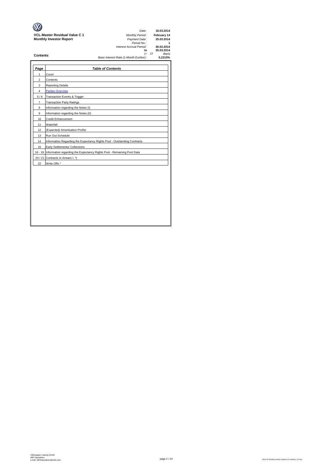|                                      | Date:                                 |          | 18.03.2014  |
|--------------------------------------|---------------------------------------|----------|-------------|
|                                      |                                       |          |             |
| <b>VCL-Master Residual Value C 1</b> | <b>Monthly Period:</b>                |          | February 14 |
| <b>Monthly Investor Report</b>       | Payment Date:                         |          | 25.03.2014  |
|                                      | Period No.:                           |          |             |
|                                      | Interest Accrual Period:              |          | 26.02.2014  |
|                                      | to                                    |          | 25.03.2014  |
| <b>Contents</b>                      |                                       | $(= 27)$ | days)       |
|                                      | Base Interest Rate (1-Month Euribor): |          | 0.2210%     |

| Page           | <b>Table of Contents</b>                                                       |
|----------------|--------------------------------------------------------------------------------|
| 1              | Cover                                                                          |
| $\overline{2}$ | Contents                                                                       |
| 3              | <b>Reporting Details</b>                                                       |
| $\overline{4}$ | <b>Parties Overview</b>                                                        |
| 5/6            | Transaction Events & Trigger                                                   |
| $\overline{7}$ | <b>Transaction Party Ratings</b>                                               |
| 8              | Information regarding the Notes (I)                                            |
| 9              | Information regarding the Notes (II)                                           |
| 10             | <b>Credit Enhancement</b>                                                      |
| 11             | Waterfall                                                                      |
| 12             | (Expected) Amortisation Profile                                                |
| 13             | Run Out Schedule                                                               |
| 14             | Information Regarding the Expectancy Rights Pool - Outstanding Contracts       |
| 15             | Early Settlements/ Collections                                                 |
|                | 16 - 19 Information regarding the Expectancy Rights Pool - Remaining Pool Data |
| 20/21          | Contracts in Arrears I. *)                                                     |
| 22             | Write Offs *                                                                   |
|                |                                                                                |
|                |                                                                                |
|                |                                                                                |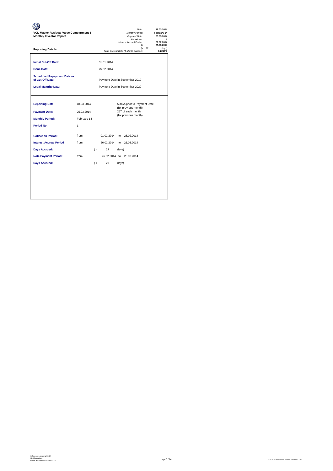| VCL-Master Residual Value Compartment 1<br><b>Monthly Investor Report</b> |             |       |            | 18.03.2014<br>February 14<br>25.03.2014<br>26.02.2014<br>25.03.2014 |                                                        |          |                  |
|---------------------------------------------------------------------------|-------------|-------|------------|---------------------------------------------------------------------|--------------------------------------------------------|----------|------------------|
| <b>Reporting Details</b>                                                  |             |       |            |                                                                     | to<br>Base Interest Rate (1-Month Euribor):            | $(= 27)$ | davs)<br>0.2210% |
| <b>Initial Cut-Off Date:</b>                                              |             |       | 31.01.2014 |                                                                     |                                                        |          |                  |
| <b>Issue Date:</b>                                                        |             |       | 25.02.2014 |                                                                     |                                                        |          |                  |
| <b>Scheduled Repayment Date as</b><br>of Cut-Off Date:                    |             |       |            |                                                                     | Payment Date in September 2019                         |          |                  |
| <b>Legal Maturity Date:</b>                                               |             |       |            |                                                                     | Payment Date in September 2020                         |          |                  |
|                                                                           |             |       |            |                                                                     |                                                        |          |                  |
| <b>Reporting Date:</b>                                                    | 18.03.2014  |       |            |                                                                     | 5 days prior to Payment Date                           |          |                  |
| <b>Payment Date:</b>                                                      | 25.03.2014  |       |            |                                                                     | (for previous month)<br>25 <sup>th</sup> of each month |          |                  |
| <b>Monthly Period:</b>                                                    | February 14 |       |            |                                                                     | (for previous month)                                   |          |                  |
| <b>Period No.:</b>                                                        | 1           |       |            |                                                                     |                                                        |          |                  |
| <b>Collection Period:</b>                                                 | from        |       | 01.02.2014 |                                                                     | to 28.02.2014                                          |          |                  |
| <b>Interest Accrual Period</b>                                            | from        |       | 26.02.2014 |                                                                     | to 25.03.2014                                          |          |                  |
| <b>Days Accrued:</b>                                                      |             | $($ = | 27         | days)                                                               |                                                        |          |                  |
| <b>Note Payment Period:</b>                                               | from        |       |            |                                                                     | 26.02.2014 to 25.03.2014                               |          |                  |
| <b>Days Accrued:</b>                                                      |             | $($ = | 27         | days)                                                               |                                                        |          |                  |
|                                                                           |             |       |            |                                                                     |                                                        |          |                  |
|                                                                           |             |       |            |                                                                     |                                                        |          |                  |
|                                                                           |             |       |            |                                                                     |                                                        |          |                  |
|                                                                           |             |       |            |                                                                     |                                                        |          |                  |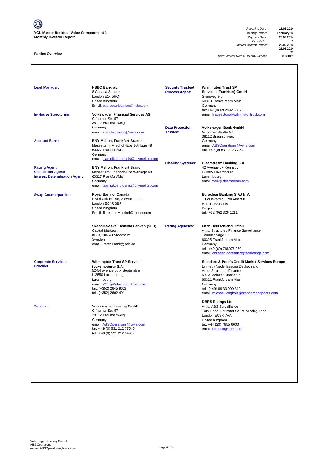V **VCL-Master Residual Value Compartment 1** *Monthly Period:* **February 14 Monthly Investor Report** *Payment Date:* **25.03.2014**

### **Parties Overview**

*Reporting Date:* **18.03.2014** *Period No.:* **1** *Interest Accrual Period:* **26.02.2014**

**25.03.2014 27**

**Base Interest Rate (1-Month Euribor):** 

| <b>Lead Manager:</b>                                                                      | <b>HSBC Bank plc</b><br>8 Canada Square<br>London E14 5HQ<br>United Kingdom<br>Email: ctla.securitisation@hsbc.com                                                                                             | <b>Security Trustee/</b><br><b>Process Agent:</b> | <b>Wilmington Trust SP</b><br>Services (Frankfurt) GmbH<br>Steinweg 3-5<br>60313 Frankfurt am Main<br>Germany<br>fax +49 (0) 69 2992 5387                                                                                                                                   |
|-------------------------------------------------------------------------------------------|----------------------------------------------------------------------------------------------------------------------------------------------------------------------------------------------------------------|---------------------------------------------------|-----------------------------------------------------------------------------------------------------------------------------------------------------------------------------------------------------------------------------------------------------------------------------|
| <b>In-House Structuring:</b>                                                              | <b>Volkswagen Financial Services AG</b><br>Gifhorner Str. 57<br>38112 Braunschweig<br>Germany<br>email: abs.structuring@vwfs.com                                                                               | <b>Data Protection</b><br><b>Trustee:</b>         | email: fradirectors@wilmingtontrust.com<br>Volkswagen Bank GmbH<br>Gifhorner Straße 57                                                                                                                                                                                      |
| <b>Account Bank:</b>                                                                      | <b>BNY Mellon, Frankfurt Branch</b><br>Messeturm, Friedrich-Ebert-Anlage 48<br>60327 Frankfurt/Main<br>Germany<br>email: tsampikos.trigenis@bnymellon.com                                                      |                                                   | 38112 Braunschweig<br>Germany<br>email: ABSOperations@vwfs.com<br>fax: +49 (0) 531 212 77 540                                                                                                                                                                               |
| <b>Paying Agent/</b><br><b>Calculation Agent/</b><br><b>Interest Determination Agent:</b> | <b>BNY Mellon, Frankfurt Branch</b><br>Messeturm, Friedrich-Ebert-Anlage 48<br>60327 Frankfurt/Main<br>Germany<br>email: tsampikos.trigenis@bnymellon.com                                                      | <b>Clearing Systems:</b>                          | Clearstream Banking S.A.<br>42 Avenue JF Kennedy<br>L-1885 Luxembourg<br>Luxembourg<br>email: web@clearstream.com                                                                                                                                                           |
| <b>Swap Counterparties:</b>                                                               | Royal Bank of Canada<br>Riverbank House, 2 Swan Lane<br>London EC4R 3BF<br>United Kingdom<br>Email: florent.deMontbel@rbccm.com                                                                                |                                                   | Euroclear Banking S.A./ N.V.<br>1 Boulevard du Roi Albert II.<br>B-1210 Brussels<br>Belgium<br>tel.: +32 (0)2 326 1211                                                                                                                                                      |
|                                                                                           | Skandinaviska Enskilda Banken (SEB)<br><b>Capital Markets</b><br>KG 3, 106 40 Stockholm<br>Sweden<br>email: Peter.Frank@seb.de                                                                                 | <b>Rating Agencies:</b>                           | <b>Fitch Deutschland GmbH</b><br>Attn.: Structured Finance Surveillance<br>Taunusanlage 17<br>60325 Frankfurt am Main<br>Germany<br>tel.: +49 (69) 768076 260<br>email: christian.ganthaler@fitchratings.com                                                                |
| <b>Corporate Services</b><br>Provider:                                                    | <b>Wilmington Trust SP Services</b><br>(Luxembourg) S.A.<br>52-54 avenue du X Septembre<br>L-2550 Luxembourg<br>Luxembourg<br>email: VCL@WilmingtonTrust.com<br>fax: (+352) 2645 9628<br>tel.: (+352) 2602 491 |                                                   | <b>Standard &amp; Poor's Credit Market Services Europe</b><br>Limited (Niederlassung Deutschland)<br>Attn.: Structured Finance<br>Neue Mainzer Straße 52<br>60311 Frankfurt am Main<br>Germany<br>tel.: (+49) 69 33 999 312<br>email: michael.langholz@standardandpoors.com |
| Servicer:                                                                                 | <b>Volkswagen Leasing GmbH</b><br>Gifhorner Str. 57<br>38112 Braunschweig<br>Germany<br>email: ABSOperations@vwfs.com<br>fax + 49 (0) 531 212 77540<br>tel.: +49 (0) 531 212 84952                             |                                                   | <b>DBRS Ratings Ltd.</b><br>Attn.: ABS Surveillance<br>10th Floor, 1 Minster Court, Mincing Lane<br>London EC3R 7AA<br>United Kingdom<br>te.: +44 (20) 7855 6603<br>email: <b>bfranco@dbrs.com</b>                                                                          |
|                                                                                           |                                                                                                                                                                                                                |                                                   |                                                                                                                                                                                                                                                                             |
|                                                                                           |                                                                                                                                                                                                                |                                                   |                                                                                                                                                                                                                                                                             |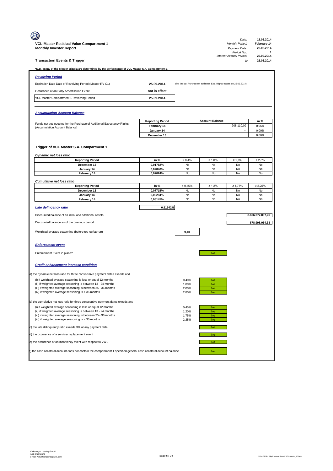|                                                                                                                                              |                                        |                |                                                                         | Date:                                   | 18.03.2014                |
|----------------------------------------------------------------------------------------------------------------------------------------------|----------------------------------------|----------------|-------------------------------------------------------------------------|-----------------------------------------|---------------------------|
| VCL-Master Residual Value Compartment 1<br><b>Monthly Investor Report</b>                                                                    |                                        |                |                                                                         | <b>Monthly Period:</b><br>Payment Date: | February 14<br>25.03.2014 |
|                                                                                                                                              |                                        |                |                                                                         | Period No.:                             | 1                         |
| <b>Transaction Events &amp; Trigger</b>                                                                                                      |                                        |                |                                                                         | Interest Accrual Period:<br>to          | 26.02.2014<br>25.03.2014  |
| *N.B.: many of the Trigger criteria are determined by the performance of VCL Master S.A. Compartment 1                                       |                                        |                |                                                                         |                                         |                           |
| <b>Revolving Period</b>                                                                                                                      |                                        |                |                                                                         |                                         |                           |
| Expiration Date Date of Revolving Period (Master RV C1)                                                                                      | 25.09.2014                             |                | (i.e. the last Purchase of additional Exp. Rights occurs on 25.09.2014) |                                         |                           |
| Occurance of an Early Amortisation Event                                                                                                     | not in effect                          |                |                                                                         |                                         |                           |
| VCL Master Compartment 1 Revolving Period                                                                                                    | 25.09.2014                             |                |                                                                         |                                         |                           |
|                                                                                                                                              |                                        |                |                                                                         |                                         |                           |
|                                                                                                                                              |                                        |                |                                                                         |                                         |                           |
| <b>Accumulation Account Balance</b>                                                                                                          |                                        |                |                                                                         |                                         |                           |
| Funds not yet invested for the Purchase of Additional Expectancy Rights                                                                      | <b>Reporting Period</b><br>February 14 |                | <b>Account Balance</b>                                                  | 208.110,09                              | in %<br>0,06%             |
| (Accumulation Account Balance)                                                                                                               | January 14                             |                |                                                                         |                                         | 0,00%                     |
|                                                                                                                                              | December 13                            |                |                                                                         | $\overline{\phantom{a}}$                | 0,00%                     |
|                                                                                                                                              |                                        |                |                                                                         |                                         |                           |
| Trigger of VCL Master S.A. Compartment 1                                                                                                     |                                        |                |                                                                         |                                         |                           |
| Dynamic net loss ratio                                                                                                                       |                                        |                |                                                                         |                                         |                           |
| <b>Reporting Period</b>                                                                                                                      | in %                                   | > 0.4%         | $\geq 1,0\%$                                                            | $\geq 2,0\%$                            | $\geq 2,8\%$              |
| December 13                                                                                                                                  | 0,01782%                               | No             | No                                                                      | No                                      | No                        |
| January 14<br>February 14                                                                                                                    | 0,02840%<br>0,02024%                   | No<br>No       | No<br>No                                                                | No<br>No                                | No<br>No                  |
|                                                                                                                                              |                                        |                |                                                                         |                                         |                           |
| <b>Cumulative net loss ratio</b>                                                                                                             | in %                                   | > 0,45%        | $\geq 1,2\%$                                                            | $\geq 1,75%$                            | $\geq 2,25\%$             |
| <b>Reporting Period</b><br>December 13                                                                                                       | 0,07715%                               | No             | <b>No</b>                                                               | No                                      | No                        |
| January 14                                                                                                                                   | 0,08294%                               | No             | No                                                                      | No                                      | No                        |
| February 14                                                                                                                                  | 0,08145%                               | No             | No                                                                      | No                                      | No                        |
| Late delingency ratio                                                                                                                        | 0,51542%                               |                |                                                                         |                                         |                           |
| Discounted balance of all initial and additional assets                                                                                      |                                        |                |                                                                         |                                         | 8.666.077.097,26          |
| Discounted balance as of the previous period                                                                                                 |                                        |                |                                                                         |                                         | 878.998.954,33            |
|                                                                                                                                              |                                        |                |                                                                         |                                         |                           |
| Weighted average seasoning (before top-up/tap-up)                                                                                            |                                        | 9,40           |                                                                         |                                         |                           |
|                                                                                                                                              |                                        |                |                                                                         |                                         |                           |
| <b>Enforcement event</b>                                                                                                                     |                                        |                |                                                                         |                                         |                           |
| Enforcement Event in place?                                                                                                                  |                                        |                | No                                                                      |                                         |                           |
|                                                                                                                                              |                                        |                |                                                                         |                                         |                           |
| <b>Credit enhancement increase condition</b>                                                                                                 |                                        |                |                                                                         |                                         |                           |
|                                                                                                                                              |                                        |                |                                                                         |                                         |                           |
| a) the dynamic net loss ratio for three consecutive payment dates exeeds and<br>(i) if weighted average seasoning is less or equal 12 months |                                        |                |                                                                         |                                         |                           |
| (ii) if weighted average seasoning is between 13 - 24 months                                                                                 |                                        | 0,40%<br>1,00% | No<br><b>No</b>                                                         |                                         |                           |
| (iii) if weighted average seasoning is between 25 - 36 months                                                                                |                                        | 2,00%          | <b>No</b>                                                               |                                         |                           |
| (iv) if weighted average seasoning is > 36 months                                                                                            |                                        | 2,80%          | <b>No</b>                                                               |                                         |                           |
| b) the cumulative net loss ratio for three consecutive payment dates exeeds and                                                              |                                        |                |                                                                         |                                         |                           |
| (i) if weighted average seasoning is less or equal 12 months                                                                                 |                                        | 0,45%          | <b>No</b>                                                               |                                         |                           |
| (ii) if weighted average seasoning is between 13 - 24 months                                                                                 |                                        | 1,20%          | <b>No</b>                                                               |                                         |                           |
| (iii) if weighted average seasoning is between 25 - 36 months                                                                                |                                        | 1,75%          | <b>No</b>                                                               |                                         |                           |
| (iv) if weighted average seasoning is > 36 months                                                                                            |                                        | 2,25%          | <b>No</b>                                                               |                                         |                           |
| c) the late delinquency ratio exeeds 3% at any payment date                                                                                  |                                        |                | <b>No</b>                                                               |                                         |                           |
| d) the occurence of a servicer replacement event                                                                                             |                                        |                | No                                                                      |                                         |                           |
| e) the occurence of an insolvency event with respect to VWL                                                                                  |                                        |                | <b>No</b>                                                               |                                         |                           |
| f) the cash collateral account does not contain the compartment 1 specified general cash collateral account balance                          |                                        |                | No                                                                      |                                         |                           |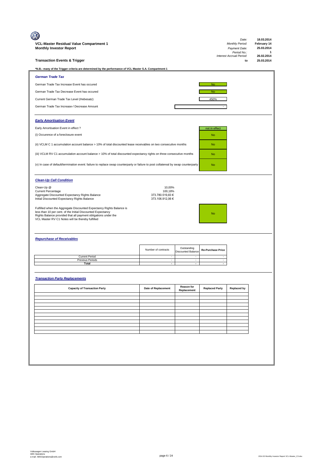| VCL-Master Residual Value Compartment 1<br><b>Monthly Investor Report</b><br><b>Transaction Events &amp; Trigger</b>                                                                                                                                      |                                      |                                          |                          | Date:<br>Monthly Period:<br>Payment Date:<br>Period No.:<br>Interest Accrual Period:<br>to | 18.03.2014<br>February 14<br>25.03.2014<br>1<br>26.02.2014<br>25.03.2014 |
|-----------------------------------------------------------------------------------------------------------------------------------------------------------------------------------------------------------------------------------------------------------|--------------------------------------|------------------------------------------|--------------------------|--------------------------------------------------------------------------------------------|--------------------------------------------------------------------------|
| *N.B.: many of the Trigger criteria are determined by the performance of VCL Master S.A. Compartment 1                                                                                                                                                    |                                      |                                          |                          |                                                                                            |                                                                          |
| <b>German Trade Tax</b>                                                                                                                                                                                                                                   |                                      |                                          |                          |                                                                                            |                                                                          |
| German Trade Tax Increase Event has occured                                                                                                                                                                                                               |                                      |                                          | No                       |                                                                                            |                                                                          |
| German Trade Tax Decrease Event has occured                                                                                                                                                                                                               |                                      |                                          | <b>No</b>                |                                                                                            |                                                                          |
| Current German Trade Tax Level (Hebesatz)                                                                                                                                                                                                                 |                                      |                                          | 450%                     |                                                                                            |                                                                          |
| German Trade Tax Increase-/ Decrease Amount                                                                                                                                                                                                               |                                      |                                          |                          |                                                                                            |                                                                          |
| <b>Early Amortisation Event</b>                                                                                                                                                                                                                           |                                      |                                          |                          |                                                                                            |                                                                          |
| Early Amortisation Event in effect ?                                                                                                                                                                                                                      |                                      |                                          | not in effect            |                                                                                            |                                                                          |
| (i) Occurence of a foreclosure event                                                                                                                                                                                                                      |                                      |                                          | <b>No</b>                |                                                                                            |                                                                          |
| (ii) VCLM C 1 accumulation account balance > 10% of total discounted lease receivables on two consecutive months                                                                                                                                          |                                      |                                          | <b>No</b>                |                                                                                            |                                                                          |
| (iii) VCLM RV C1 accumulation account balance > 10% of total discounted expectancy rights on three consecutive months                                                                                                                                     |                                      |                                          | <b>No</b>                |                                                                                            |                                                                          |
| (v) In case of default/termination event: failure to replace swap counterparty or failure to post collatereal by swap counterparty                                                                                                                        |                                      |                                          | <b>No</b>                |                                                                                            |                                                                          |
| <b>Clean-Up Call Condition</b>                                                                                                                                                                                                                            |                                      |                                          |                          |                                                                                            |                                                                          |
| Clean-Up @<br><b>Current Percentage</b>                                                                                                                                                                                                                   | 10,00%<br>100.18%                    |                                          |                          |                                                                                            |                                                                          |
| Aggregate Discounted Expectancy Rights Balance<br>Initial Discounted Expectancy Rights Balance                                                                                                                                                            | 373.780.519,83 €<br>373.106.912,06 € |                                          |                          |                                                                                            |                                                                          |
| Fulfilled when the Aggregate Discounted Expectancy Rights Balance is<br>less than 10 per cent. of the Initial Discounted Expectancy<br>Rights Balance provided that all payment obligations under the<br>VCL Master RV C1 Notes will be thereby fulfilled |                                      |                                          | <b>No</b>                |                                                                                            |                                                                          |
| <b>Repurchase of Receivables</b>                                                                                                                                                                                                                          |                                      |                                          |                          |                                                                                            |                                                                          |
|                                                                                                                                                                                                                                                           | Number of contracts                  | Outstanding<br><b>Discounted Balance</b> | <b>Re-Purchase Price</b> |                                                                                            |                                                                          |
| <b>Current Period</b><br><b>Previous Periods</b>                                                                                                                                                                                                          |                                      |                                          |                          |                                                                                            |                                                                          |
| Total                                                                                                                                                                                                                                                     |                                      |                                          |                          |                                                                                            |                                                                          |
| <b>Transaction Party Replacements</b>                                                                                                                                                                                                                     |                                      |                                          |                          |                                                                                            |                                                                          |
| <b>Capacity of Transaction Party</b>                                                                                                                                                                                                                      | Date of Replacement                  | Reason for<br>Replacement                | <b>Replaced Party</b>    | <b>Replaced by</b>                                                                         |                                                                          |
|                                                                                                                                                                                                                                                           |                                      |                                          |                          |                                                                                            |                                                                          |
|                                                                                                                                                                                                                                                           |                                      |                                          |                          |                                                                                            |                                                                          |
|                                                                                                                                                                                                                                                           |                                      |                                          |                          |                                                                                            |                                                                          |
|                                                                                                                                                                                                                                                           |                                      |                                          |                          |                                                                                            |                                                                          |
|                                                                                                                                                                                                                                                           |                                      |                                          |                          |                                                                                            |                                                                          |
|                                                                                                                                                                                                                                                           |                                      |                                          |                          |                                                                                            |                                                                          |
|                                                                                                                                                                                                                                                           |                                      |                                          |                          |                                                                                            |                                                                          |
|                                                                                                                                                                                                                                                           |                                      |                                          |                          |                                                                                            |                                                                          |
|                                                                                                                                                                                                                                                           |                                      |                                          |                          |                                                                                            |                                                                          |
|                                                                                                                                                                                                                                                           |                                      |                                          |                          |                                                                                            |                                                                          |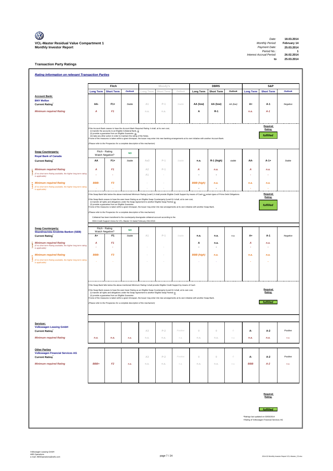**to 25.03.2014**

## **Transaction Party Ratings**

|                                                                                                   |                  | Fitch                                                   |                                                                                                                                                               |                | Moody's        |                                                                                                                             |                                                                                                                                                                               | <b>DBRS</b>       |          |                  | S&P                                         |          |  |
|---------------------------------------------------------------------------------------------------|------------------|---------------------------------------------------------|---------------------------------------------------------------------------------------------------------------------------------------------------------------|----------------|----------------|-----------------------------------------------------------------------------------------------------------------------------|-------------------------------------------------------------------------------------------------------------------------------------------------------------------------------|-------------------|----------|------------------|---------------------------------------------|----------|--|
|                                                                                                   | <b>Long Term</b> | <b>Short Term</b>                                       | <b>Outlook</b>                                                                                                                                                | Long Term      | Short Term     | Outlook                                                                                                                     | <b>Long Term</b>                                                                                                                                                              | <b>Short Term</b> | Outlook  | <b>Long Term</b> | <b>Short Term</b>                           | Outlook  |  |
| <b>Account Bank:</b><br><b>BNY Mellon</b>                                                         |                  |                                                         |                                                                                                                                                               |                |                |                                                                                                                             |                                                                                                                                                                               |                   |          |                  |                                             |          |  |
| <b>Current Rating</b>                                                                             | AA-              | $F1+$                                                   | Stable                                                                                                                                                        | A1             | $P-1$          | Stable                                                                                                                      | AA (low)                                                                                                                                                                      | AA (low)          | AA (low) | A+               | A-1                                         | Negative |  |
| <b>Minimum required Rating</b>                                                                    | А                | F <sub>1</sub>                                          |                                                                                                                                                               | n.a.           | n.a.           |                                                                                                                             | А                                                                                                                                                                             | R-1               |          | n.a.             | $A-1$                                       |          |  |
|                                                                                                   |                  |                                                         |                                                                                                                                                               |                |                |                                                                                                                             |                                                                                                                                                                               |                   |          |                  |                                             |          |  |
|                                                                                                   |                  |                                                         |                                                                                                                                                               |                |                |                                                                                                                             |                                                                                                                                                                               |                   |          |                  |                                             |          |  |
|                                                                                                   |                  |                                                         | f the Account Bank ceases to have the Account Bank Required Rating it shall, at its own cost,<br>(i) transfer the accounts to an Eligible Collateral Bank, or |                |                |                                                                                                                             |                                                                                                                                                                               |                   |          |                  | Required<br>Rating:                         |          |  |
|                                                                                                   |                  | (ii) provide a guarantee from an Eligible Guarantor, or | (iii) take any other action in order to maintain the rating of the Notes.                                                                                     |                |                |                                                                                                                             |                                                                                                                                                                               |                   |          |                  | fulfilled                                   |          |  |
|                                                                                                   |                  |                                                         |                                                                                                                                                               |                |                |                                                                                                                             | none of the measures is taken within a given timespan, the Issuer may enter into new banking arrangements at its own initiative with another Account Bank.                    |                   |          |                  |                                             |          |  |
|                                                                                                   |                  |                                                         | Please refer to the Prospectus for a complete description of the mechanism)                                                                                   |                |                |                                                                                                                             |                                                                                                                                                                               |                   |          |                  |                                             |          |  |
| Swap Counterparty:                                                                                |                  | Fitch - Rating<br>Watch Negative?                       | <b>NO</b>                                                                                                                                                     |                |                |                                                                                                                             |                                                                                                                                                                               |                   |          |                  |                                             |          |  |
| <b>Royal Bank of Canada</b><br><b>Current Rating</b>                                              | ΑА               | $F1+$                                                   | Stable                                                                                                                                                        | Aa3            | $P-1$          | Stable                                                                                                                      | n.a.                                                                                                                                                                          | R-1 (high)        | stable   | AA-              | $A - 1 +$                                   | Stable   |  |
|                                                                                                   |                  |                                                         |                                                                                                                                                               |                |                |                                                                                                                             |                                                                                                                                                                               |                   |          |                  |                                             |          |  |
| <b>Minimum required Rating</b>                                                                    | Α                | F1                                                      |                                                                                                                                                               | A <sub>2</sub> | $P-1$          |                                                                                                                             | A                                                                                                                                                                             | n.a.              |          | A                | n.a.                                        |          |  |
| (if no short term Rating available, the higher long term rating<br>is applicable)                 |                  |                                                         |                                                                                                                                                               | A1             |                |                                                                                                                             |                                                                                                                                                                               |                   |          |                  |                                             |          |  |
| $\equiv$ Minimum required Rating                                                                  | <b>BBB-</b>      | F <sub>3</sub>                                          |                                                                                                                                                               |                |                |                                                                                                                             | <b>BBB</b> (high)                                                                                                                                                             | n.a.              |          | n.a.             | n.a.                                        |          |  |
| (if no short term Rating available, the higher long term rating<br>is applicable)                 |                  |                                                         |                                                                                                                                                               |                |                |                                                                                                                             |                                                                                                                                                                               |                   |          |                  |                                             |          |  |
|                                                                                                   |                  |                                                         |                                                                                                                                                               |                |                |                                                                                                                             | f the Swap Bank falls below the above mentioned Minimum Rating (Level I) it shall provide Eligible Credit Support by means of Cash or certain types of Prime Debt Obligations |                   |          |                  | Required                                    |          |  |
|                                                                                                   |                  |                                                         |                                                                                                                                                               |                |                | f the Swap Bank ceases to have the even lower Rating as an Eligible Swap Counterparty (Level II) it shall, at its own cost, |                                                                                                                                                                               |                   |          |                  | Rating:                                     |          |  |
|                                                                                                   |                  | (ii) provide a guarantee from an Eligible Guarantor.    | (i) transfer all rights and obligations under the Swap Agreement to another Eligible Swap Partner or                                                          |                |                |                                                                                                                             |                                                                                                                                                                               |                   |          |                  | fulfilled                                   |          |  |
|                                                                                                   |                  |                                                         | (Please refer to the Prospectus for a complete description of the mechanism)                                                                                  |                |                |                                                                                                                             | f none of the measures is taken within a given timespan, the Issuer may enter into new arrangements at its own initiative with another Swap Bank.                             |                   |          |                  |                                             |          |  |
|                                                                                                   |                  |                                                         | Collateral has been transfered to the counterparty downgrade collateral account according to the                                                              |                |                |                                                                                                                             |                                                                                                                                                                               |                   |          |                  |                                             |          |  |
|                                                                                                   |                  |                                                         | ISDA Credit Support Annex for VCL Master C2 dated February 23rd 2010.                                                                                         |                |                |                                                                                                                             |                                                                                                                                                                               |                   |          |                  |                                             |          |  |
| <b>Swap Counterparty:</b>                                                                         |                  | Fitch - Rating                                          |                                                                                                                                                               |                |                |                                                                                                                             |                                                                                                                                                                               |                   |          |                  |                                             |          |  |
| Skandinaviska Enskilda Banken (SEB)                                                               | Watch Negative?  |                                                         | <b>NO</b>                                                                                                                                                     |                |                |                                                                                                                             |                                                                                                                                                                               |                   |          |                  |                                             |          |  |
| <b>Current Rating</b>                                                                             | A+               | F <sub>1</sub>                                          | Stable                                                                                                                                                        | A1             | $P-1$          | Stable                                                                                                                      | n.a.                                                                                                                                                                          | n.a.              | n.a.     | A+               | A-1                                         | Negative |  |
| <b>Minimum required Rating</b><br>(if no short term Rating available, the higher long term rating | Α                | F <sub>1</sub>                                          |                                                                                                                                                               |                |                |                                                                                                                             | Α                                                                                                                                                                             | n.a.              |          | Α                | n.a.                                        |          |  |
| is applicable)                                                                                    | ٠                |                                                         |                                                                                                                                                               |                |                |                                                                                                                             |                                                                                                                                                                               | ÷                 |          |                  |                                             |          |  |
| <b>Minimum required Rating</b>                                                                    | <b>BBB-</b>      | F <sub>3</sub>                                          |                                                                                                                                                               |                |                |                                                                                                                             | <b>BBB</b> (high)                                                                                                                                                             | n.a.              |          | n.a.             | n.a.                                        |          |  |
| (if no short term Rating available, the higher long term rating                                   |                  |                                                         |                                                                                                                                                               |                |                |                                                                                                                             |                                                                                                                                                                               |                   |          |                  |                                             |          |  |
| is applicable)                                                                                    |                  |                                                         |                                                                                                                                                               |                |                |                                                                                                                             |                                                                                                                                                                               |                   |          |                  |                                             |          |  |
|                                                                                                   |                  |                                                         |                                                                                                                                                               |                |                |                                                                                                                             |                                                                                                                                                                               |                   |          |                  |                                             |          |  |
|                                                                                                   |                  |                                                         |                                                                                                                                                               |                |                |                                                                                                                             |                                                                                                                                                                               |                   |          |                  |                                             |          |  |
|                                                                                                   |                  |                                                         |                                                                                                                                                               |                |                |                                                                                                                             |                                                                                                                                                                               |                   |          |                  |                                             |          |  |
|                                                                                                   |                  |                                                         |                                                                                                                                                               |                |                | If the Swap Bank falls below the above mentioned Minimum Rating it shall provide Eligible Credit Support by means of Cash   |                                                                                                                                                                               |                   |          |                  | Required                                    |          |  |
|                                                                                                   |                  | (ii) provide a guarantee from an Eligible Guarantor.    | (i) transfer all rights and obligations under the Swap Agreement to another Eligible Swap Partner or                                                          |                |                | f the Swap Bank ceases to have the even lower Rating as an Eligible Swap Counterparty (Level II) it shall, at its own cost, |                                                                                                                                                                               |                   |          |                  | Rating:                                     |          |  |
|                                                                                                   |                  |                                                         |                                                                                                                                                               |                |                |                                                                                                                             | f none of the measures is taken within a given timespan, the Issuer may enter into new arrangements at its own initiative with another Swap Bank.                             |                   |          |                  |                                             |          |  |
|                                                                                                   |                  |                                                         | (Please refer to the Prospectus for a complete description of the mechanism)                                                                                  |                |                |                                                                                                                             |                                                                                                                                                                               |                   |          |                  | <b>fulfilled</b>                            |          |  |
|                                                                                                   |                  |                                                         |                                                                                                                                                               |                |                |                                                                                                                             |                                                                                                                                                                               |                   |          |                  |                                             |          |  |
|                                                                                                   |                  |                                                         |                                                                                                                                                               |                |                |                                                                                                                             |                                                                                                                                                                               |                   |          |                  |                                             |          |  |
| Servicer:                                                                                         |                  |                                                         |                                                                                                                                                               |                |                |                                                                                                                             |                                                                                                                                                                               |                   |          |                  |                                             |          |  |
| <b>Volkswagen Leasing GmbH</b>                                                                    |                  |                                                         |                                                                                                                                                               |                |                |                                                                                                                             |                                                                                                                                                                               |                   |          |                  |                                             |          |  |
| <b>Current Rating</b>                                                                             |                  |                                                         |                                                                                                                                                               | A3             | $\mathsf{P-2}$ | Positive                                                                                                                    | $\mathbb O$                                                                                                                                                                   | $\mathbb O$       | $\cal O$ | А-               | A-2                                         | Positive |  |
| <b>Minimum required Rating</b>                                                                    | n.a.             | n.a.                                                    | n.a.                                                                                                                                                          | n.a.           | n.a.           | n.a.                                                                                                                        | n.a.                                                                                                                                                                          | n.a.              | n.a.     | n.a.             | n.a.                                        | n.a.     |  |
|                                                                                                   |                  |                                                         |                                                                                                                                                               |                |                |                                                                                                                             |                                                                                                                                                                               |                   |          |                  |                                             |          |  |
| <b>Other Parties</b>                                                                              |                  |                                                         |                                                                                                                                                               |                |                |                                                                                                                             |                                                                                                                                                                               |                   |          |                  |                                             |          |  |
| <b>Volkswagen Financial Services AG</b>                                                           |                  |                                                         |                                                                                                                                                               | A3             | $P-2$          | Positive                                                                                                                    | $\mathbb O$                                                                                                                                                                   | $\mathbb O$       | 0        |                  | A-2                                         | Positive |  |
| <b>Current Rating</b>                                                                             |                  |                                                         |                                                                                                                                                               |                |                |                                                                                                                             |                                                                                                                                                                               |                   |          | А-               |                                             |          |  |
| <b>Minimum required Rating</b>                                                                    | BBB+             | F <sub>2</sub>                                          | n.a.                                                                                                                                                          | n.a.           | n.a.           | n.a.                                                                                                                        | n.a.                                                                                                                                                                          | n.a.              | n.a.     | <b>BBB</b>       | $A-2$                                       | n.a.     |  |
|                                                                                                   |                  |                                                         |                                                                                                                                                               |                |                |                                                                                                                             |                                                                                                                                                                               |                   |          |                  |                                             |          |  |
|                                                                                                   |                  |                                                         |                                                                                                                                                               |                |                |                                                                                                                             |                                                                                                                                                                               |                   |          |                  |                                             |          |  |
|                                                                                                   |                  |                                                         |                                                                                                                                                               |                |                |                                                                                                                             |                                                                                                                                                                               |                   |          |                  |                                             |          |  |
|                                                                                                   |                  |                                                         |                                                                                                                                                               |                |                |                                                                                                                             |                                                                                                                                                                               |                   |          |                  |                                             |          |  |
|                                                                                                   |                  |                                                         |                                                                                                                                                               |                |                |                                                                                                                             |                                                                                                                                                                               |                   |          |                  | Required                                    |          |  |
|                                                                                                   |                  |                                                         |                                                                                                                                                               |                |                |                                                                                                                             |                                                                                                                                                                               |                   |          |                  | Rating:                                     |          |  |
|                                                                                                   |                  |                                                         |                                                                                                                                                               |                |                |                                                                                                                             |                                                                                                                                                                               |                   |          |                  |                                             |          |  |
|                                                                                                   |                  |                                                         |                                                                                                                                                               |                |                |                                                                                                                             |                                                                                                                                                                               |                   |          |                  | fulfilled                                   |          |  |
|                                                                                                   |                  |                                                         |                                                                                                                                                               |                |                |                                                                                                                             |                                                                                                                                                                               |                   |          |                  | *Ratings last updated on 03/03/2014         |          |  |
|                                                                                                   |                  |                                                         |                                                                                                                                                               |                |                |                                                                                                                             |                                                                                                                                                                               |                   |          |                  | +Rating of Volkswagen Financial Services AG |          |  |
|                                                                                                   |                  |                                                         |                                                                                                                                                               |                |                |                                                                                                                             |                                                                                                                                                                               |                   |          |                  |                                             |          |  |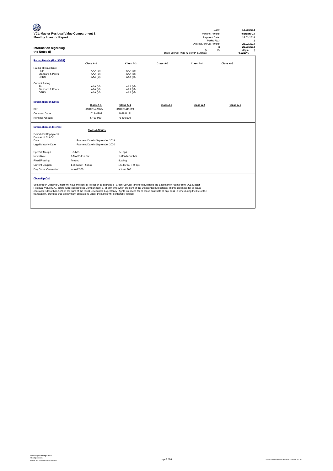| VCL-Master Residual Value Compartment 1<br><b>Monthly Investor Report</b><br>Information regarding<br>the Notes (I)                                                                                                                                                                                                                                                                                                                                                                                                                                                      |                                              |                                              |           | <b>Monthly Period:</b><br>Payment Date:<br>Period No.:<br>Interest Accrual Period:<br>(=<br>Base Interest Rate (1-Month Euribor): | 18.03.2014<br>Date:<br>February 14<br>25.03.2014<br>1<br>26.02.2014<br>25.03.2014<br>to<br>27<br>days)<br>$\lambda$<br>0,2210% |  |  |  |  |
|--------------------------------------------------------------------------------------------------------------------------------------------------------------------------------------------------------------------------------------------------------------------------------------------------------------------------------------------------------------------------------------------------------------------------------------------------------------------------------------------------------------------------------------------------------------------------|----------------------------------------------|----------------------------------------------|-----------|-----------------------------------------------------------------------------------------------------------------------------------|--------------------------------------------------------------------------------------------------------------------------------|--|--|--|--|
| <b>Rating Details (Fitch/S&amp;P)</b>                                                                                                                                                                                                                                                                                                                                                                                                                                                                                                                                    | Class A-1                                    | Class A-2                                    | Class A-3 | Class A-4                                                                                                                         | Class A-5                                                                                                                      |  |  |  |  |
| Rating at Issue Date<br>Fitch<br>Standard & Poors<br><b>DBRS</b><br><b>Current Rating</b><br>Fitch                                                                                                                                                                                                                                                                                                                                                                                                                                                                       | AAA (sf)<br>AAA (sf)<br>AAA (sf)<br>AAA (sf) | AAA (sf)<br>AAA (sf)<br>AAA (sf)<br>AAA (sf) |           |                                                                                                                                   |                                                                                                                                |  |  |  |  |
| Standard & Poors<br><b>DBRS</b>                                                                                                                                                                                                                                                                                                                                                                                                                                                                                                                                          | AAA (sf)<br>AAA (sf)                         | AAA (sf)<br>AAA (sf)                         |           |                                                                                                                                   |                                                                                                                                |  |  |  |  |
| <b>Information on Notes</b>                                                                                                                                                                                                                                                                                                                                                                                                                                                                                                                                              | Class A-1                                    | Class A-1                                    |           | Class A-4                                                                                                                         |                                                                                                                                |  |  |  |  |
| <b>ISIN</b>                                                                                                                                                                                                                                                                                                                                                                                                                                                                                                                                                              | XS1028409925                                 | XS1028411319                                 | Class A-3 |                                                                                                                                   | Class A-5                                                                                                                      |  |  |  |  |
| Common Code                                                                                                                                                                                                                                                                                                                                                                                                                                                                                                                                                              | 102840992                                    | 102841131                                    |           |                                                                                                                                   |                                                                                                                                |  |  |  |  |
| Nominal Amount                                                                                                                                                                                                                                                                                                                                                                                                                                                                                                                                                           | € 100,000                                    | € 100,000                                    |           |                                                                                                                                   |                                                                                                                                |  |  |  |  |
| <b>Information on Interest</b><br>Scheduled Repayment                                                                                                                                                                                                                                                                                                                                                                                                                                                                                                                    | <b>Class A-Series</b>                        |                                              |           |                                                                                                                                   |                                                                                                                                |  |  |  |  |
| Date as of Cut-Off                                                                                                                                                                                                                                                                                                                                                                                                                                                                                                                                                       |                                              |                                              |           |                                                                                                                                   |                                                                                                                                |  |  |  |  |
| Date:                                                                                                                                                                                                                                                                                                                                                                                                                                                                                                                                                                    | Payment Date in September 2019               |                                              |           |                                                                                                                                   |                                                                                                                                |  |  |  |  |
| Legal Maturity Date:                                                                                                                                                                                                                                                                                                                                                                                                                                                                                                                                                     | Payment Date in September 2020               |                                              |           |                                                                                                                                   |                                                                                                                                |  |  |  |  |
| Spread/ Margin                                                                                                                                                                                                                                                                                                                                                                                                                                                                                                                                                           | 55 bps                                       | 55 bps                                       |           |                                                                                                                                   |                                                                                                                                |  |  |  |  |
| <b>Index Rate</b>                                                                                                                                                                                                                                                                                                                                                                                                                                                                                                                                                        | 1-Month-Euribor                              | 1-Month-Euribor                              |           |                                                                                                                                   |                                                                                                                                |  |  |  |  |
| Fixed/Floating                                                                                                                                                                                                                                                                                                                                                                                                                                                                                                                                                           | floating                                     | floating                                     |           |                                                                                                                                   |                                                                                                                                |  |  |  |  |
| <b>Current Coupon</b>                                                                                                                                                                                                                                                                                                                                                                                                                                                                                                                                                    | 1-M-Euribor + 55 bps                         | 1-M-Euribor + 55 bps                         |           |                                                                                                                                   |                                                                                                                                |  |  |  |  |
| Day Count Convention                                                                                                                                                                                                                                                                                                                                                                                                                                                                                                                                                     | actual/360                                   | actual/360                                   |           |                                                                                                                                   |                                                                                                                                |  |  |  |  |
| <b>Clean-Up Call</b>                                                                                                                                                                                                                                                                                                                                                                                                                                                                                                                                                     |                                              |                                              |           |                                                                                                                                   |                                                                                                                                |  |  |  |  |
| Volkswagen Leasing GmbH will have the right at its option to exercise a "Clean-Up Call" and to repurchase the Expectancy Rights from VCL-Master<br>Residual Value S.A., acting with respect to its Compartment 1, at any time when the sum of the Discounted Expectancy Rights Balances for all lease<br>contracts is less than 10% of the sum of the Initial Discounted Expectancy Rights Balances for all lease contracts at any point in time during the life of the<br>transaction, provided that all payment obligations under the Notes will be thereby fulfilled. |                                              |                                              |           |                                                                                                                                   |                                                                                                                                |  |  |  |  |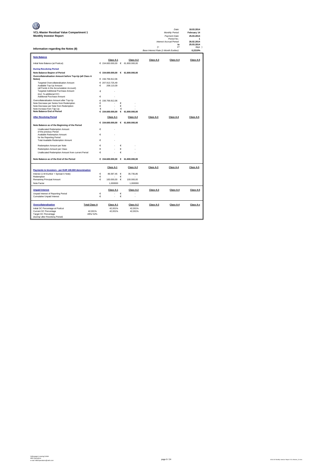| VCL-Master Residual Value Compartment 1                                            |                      |            |                                  |            |                      |                                       | Date:<br>Monthly Period:       | 18.03.2014<br>February 14 |
|------------------------------------------------------------------------------------|----------------------|------------|----------------------------------|------------|----------------------|---------------------------------------|--------------------------------|---------------------------|
| <b>Monthly Investor Report</b>                                                     |                      |            |                                  |            |                      |                                       | Payment Date:                  | 25.03.2014                |
|                                                                                    |                      |            |                                  |            |                      |                                       | Period No.:                    | 1                         |
|                                                                                    |                      |            |                                  |            |                      |                                       | Interest Accrual Period:<br>to | 26.02.2014<br>25.03.2014  |
| Information regarding the Notes (II)                                               |                      |            |                                  |            |                      | $(=$                                  | 27                             | days )                    |
|                                                                                    |                      |            |                                  |            |                      | Base Interest Rate (1-Month Euribor): |                                | 0.2210%                   |
| <b>Note Balance</b>                                                                |                      |            |                                  |            |                      |                                       |                                |                           |
|                                                                                    |                      |            | Class A-1                        |            | Class A-2            | Class A-3                             | Class A-4                      | Class A-5                 |
| Initial Note Balance (at Poolcut)                                                  |                      |            | € 154.600.000,00 € 61.800.000,00 |            |                      |                                       |                                |                           |
| <b>During Revolving Period</b>                                                     |                      |            |                                  |            |                      |                                       |                                |                           |
| Note Balance Beginn of Period                                                      |                      |            | € 154.600.000,00 € 61.800.000,00 |            |                      |                                       |                                |                           |
| Overcollateralisation Amount before Top-Up (all Class A<br>Notes)                  |                      |            | € 156,706,912.06                 |            |                      |                                       |                                |                           |
| Targeted Overcollateralisation Amount                                              |                      |            | € 207.913.725.49                 |            |                      |                                       |                                |                           |
| Available Top-Up Amount                                                            |                      | €          | 208.110,09                       |            |                      |                                       |                                |                           |
| (all Funds in the Accumulation Account)<br>Targeted Additional Purchase Amount     |                      | €          |                                  |            |                      |                                       |                                |                           |
| (incl. % additional OC)                                                            |                      |            |                                  |            |                      |                                       |                                |                           |
| Additional Purchase Amount                                                         |                      | €          |                                  |            |                      |                                       |                                |                           |
| Overcollateralisation Amount after Top-Up                                          |                      | €          | 156.706.912,06                   |            |                      |                                       |                                |                           |
| Note Decrease per Series from Redemption<br>Note Decrease per Note from Redemption |                      | €<br>€     |                                  | €<br>€     |                      |                                       |                                |                           |
| Note Increase from Tap-Up                                                          |                      | €          |                                  | €          |                      |                                       |                                |                           |
| Note Balance End of Period                                                         |                      |            | € 154.600.000,00                 | €          | 61.800.000,00        |                                       |                                |                           |
| <b>After Revolving Period</b>                                                      |                      |            | Class A-1                        |            | Class A-2            | Class A-3                             | Class A-4                      | Class A-5                 |
|                                                                                    |                      |            | € 154.600.000,00 € 61.800.000,00 |            |                      |                                       |                                |                           |
| Note Balance as of the Beginning of the Period                                     |                      |            |                                  |            |                      |                                       |                                |                           |
| Unallocated Redemption Amount<br>of the previous Period                            |                      | €          |                                  |            |                      |                                       |                                |                           |
| Available Redemption Amount                                                        |                      | €          |                                  |            |                      |                                       |                                |                           |
| for the Reporting Period                                                           |                      | €          |                                  |            |                      |                                       |                                |                           |
| <b>Total Available Redemption Amount</b>                                           |                      |            |                                  |            |                      |                                       |                                |                           |
| Redemption Amount per Note                                                         |                      | €          |                                  | €          |                      |                                       |                                |                           |
| Redemption Amount per Class                                                        |                      | €          |                                  | €          |                      |                                       |                                |                           |
| Unallocated Redemption Amount from current Period                                  |                      | €          |                                  | €          |                      |                                       |                                |                           |
| Note Balance as of the End of the Period                                           |                      |            | € 154,600,000,00 € 61,800,000,00 |            |                      |                                       |                                |                           |
|                                                                                    |                      |            |                                  |            |                      |                                       |                                |                           |
| Payments to Investors - per EUR 100.000 denomination                               |                      |            | Class A-1                        |            | Class A-2            | Class A-3                             | Class A-4                      | Class A-5                 |
| Interest (1-M-Euribor + Spread A Note)                                             |                      | $\epsilon$ | 89.397,45                        | $\epsilon$ | 35.735,85            |                                       |                                |                           |
| Redemption                                                                         |                      | €          |                                  | €          |                      |                                       |                                |                           |
| Remaining Principal Amount                                                         |                      | €          | 100.000.00 €                     |            | 100,000.00           |                                       |                                |                           |
| Note Factor                                                                        |                      |            | 1.000000                         |            | 1.000000             |                                       |                                |                           |
| <b>Unpaid Interest</b>                                                             |                      |            | Class A-1                        |            | Class A-2            | Class A-3                             | Class A-4                      | Class A-5                 |
| Unpaid Interest of Reporting Period                                                |                      | €          |                                  | €          |                      |                                       |                                |                           |
| <b>Cumulative Unpaid Interest</b>                                                  |                      | €          |                                  | €          |                      |                                       |                                |                           |
|                                                                                    |                      |            |                                  |            |                      |                                       |                                |                           |
| Overcollateralisation<br>Initial OC Percentage at Poolcut                          | <b>Total Class A</b> |            | Class A-1<br>42,001%             |            | Class A-2<br>42,001% | Class A-3                             | Class A-4                      | Class A-x                 |
| Current OC Percentage                                                              | 42.001%              |            | 42,001%                          |            | 42,001%              |                                       |                                |                           |
| Target OC Percentage                                                               | 49%/52%              |            |                                  |            |                      |                                       |                                |                           |
| (during/ after Revolving Period)                                                   |                      |            |                                  |            |                      |                                       |                                |                           |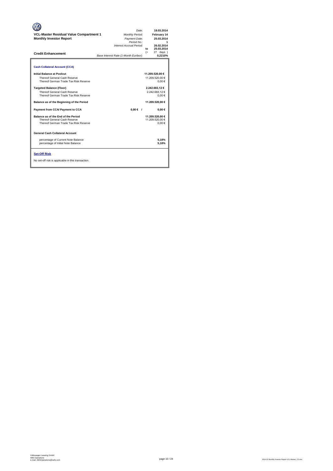| <b>VCL-Master Residual Value Compartment 1</b><br><b>Monthly Investor Report</b><br><b>Credit Enhancement</b> | Date:<br>Monthly Period:<br>Payment Date:<br>Period No.:<br>Interest Accrual Period:<br>Base Interest Rate (1-Month Euribor): | 18.03.2014<br>February 14<br>25.03.2014<br>26.02.2014<br>25.03.2014<br>to<br>27 days )<br>$(=$<br>0.2210% |
|---------------------------------------------------------------------------------------------------------------|-------------------------------------------------------------------------------------------------------------------------------|-----------------------------------------------------------------------------------------------------------|
| <b>Cash Collateral Account (CCA)</b>                                                                          |                                                                                                                               |                                                                                                           |
| Initial Balance at Poolcut<br>Thereof General Cash Reserve<br>Thereof German Trade Tax Risk Reserve           |                                                                                                                               | 11.209.520,00 €<br>11.209.520.00 €<br>0.00€                                                               |
| <b>Targeted Balance (Floor)</b><br>Thereof General Cash Reserve<br>Thereof German Trade Tax Risk Reserve      |                                                                                                                               | 2.242.683,12€<br>2.242.683.12€<br>0.00€                                                                   |
| Balance as of the Beginning of the Period                                                                     |                                                                                                                               | 11.209.520,00 €                                                                                           |
| Payment from CCA/ Payment to CCA                                                                              | $0,00 \in$ /                                                                                                                  | $0.00 \in$                                                                                                |
| Balance as of the End of the Period<br>Thereof General Cash Reserve<br>Thereof German Trade Tax Risk Reserve  |                                                                                                                               | 11.209.520.00 €<br>11.209.520.00 €<br>$0.00 \in$                                                          |
| <b>General Cash Collateral Account</b>                                                                        |                                                                                                                               |                                                                                                           |
| percentage of Current Note Balance<br>percentage of Initial Note Balance                                      |                                                                                                                               | 5.18%<br>5,18%                                                                                            |
| <b>Set-Off Risk</b><br>No set-off risk is applicable in this transaction.                                     |                                                                                                                               |                                                                                                           |

**. . . .** Trigger Level 1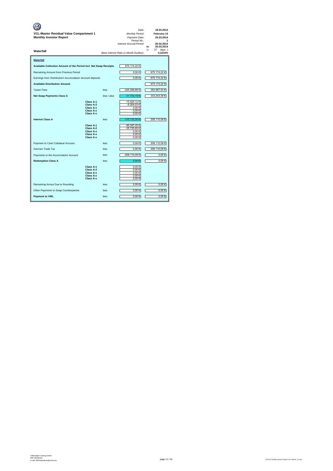| VCL-Master Residual Value Compartment 1<br><b>Monthly Investor Report</b><br>Waterfall |                                                                            |             | Date:<br>Monthly Period:<br>Payment Date:<br>Period No.:<br>Interest Accrual Period:<br>Base Interest Rate (1-Month Euribor): | 18.03.2014<br>February 14<br>25.03.2014<br>26.02.2014<br>25.03.2014<br>to<br>$(=$<br>27<br>$days$ )<br>0.2210% |
|----------------------------------------------------------------------------------------|----------------------------------------------------------------------------|-------------|-------------------------------------------------------------------------------------------------------------------------------|----------------------------------------------------------------------------------------------------------------|
| Waterfall                                                                              |                                                                            |             |                                                                                                                               |                                                                                                                |
| Available Collection Amount of the Period incl. Net Swap Receipts                      |                                                                            |             | 675.174,22€                                                                                                                   |                                                                                                                |
| Remaining Amount from Previous Period                                                  |                                                                            |             | 0,00€                                                                                                                         | 675.174,22 €                                                                                                   |
| Earnings from Distribution/ Accumulation Account deposits                              |                                                                            |             | $0,00 \in$                                                                                                                    | 675.174,22 €                                                                                                   |
| <b>Available Distribution Amount</b>                                                   |                                                                            |             |                                                                                                                               | 675.174,22€                                                                                                    |
| Taxes/Fees                                                                             |                                                                            | less        | -320.206,68€                                                                                                                  | 354.967,54 €                                                                                                   |
| <b>Net Swap Payments Class A</b>                                                       |                                                                            | less / plus | -21.724,15€                                                                                                                   | 333.243,39 €                                                                                                   |
| <b>Interest Class A</b>                                                                | Class A-1<br>Class A-2<br>Class A-x<br>Class A-x<br>Class A-x<br>Class A-1 | less        | -15.520,12 €<br>$-6.204,03€$<br>0,00€<br>0,00€<br>0,00€<br>-125.133,30 €<br>-89.397,45 €                                      | 208.110,09€                                                                                                    |
|                                                                                        | Class A-2<br>Class A-x<br>Class A-x<br>Class A-x                           |             | 35.735,85€<br>0,00€<br>0,00€<br>0,00€                                                                                         |                                                                                                                |
| Payment to Cash Collateral Account                                                     |                                                                            | less        | $0,00 \in$                                                                                                                    | 208.110,09 €                                                                                                   |
| German Trade Tax                                                                       |                                                                            | less        | $0,00 \in$                                                                                                                    | 208.110,09€                                                                                                    |
| Payments to the Accumulation Account                                                   |                                                                            | less        | -208.110,09€                                                                                                                  | $0,00$ €                                                                                                       |
| <b>Redemption Class A</b>                                                              |                                                                            | less        | 0.00€                                                                                                                         | 0.00€                                                                                                          |
|                                                                                        | Class A-1<br>Class A-2<br>Class A-x<br>Class A-x<br>Class A-x              |             | 0,00€<br>0,00€<br>$0,00 \in$<br>0.00€<br>0,00€                                                                                |                                                                                                                |
| Remaining Amout Due to Rounding                                                        |                                                                            | less        | $0,00 \in$                                                                                                                    | $0,00 \in$                                                                                                     |
| Other Payments to Swap Counterparties                                                  |                                                                            | less        | $0,00 \in$                                                                                                                    | $0,00$ €                                                                                                       |
| <b>Payment to VWL</b>                                                                  |                                                                            | less        | $0.00 \in$                                                                                                                    | $0.00 \in$                                                                                                     |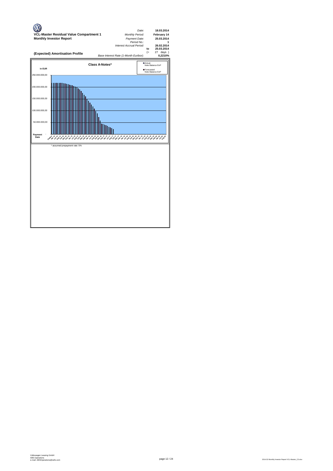

page 12 / 24 2014.02 Monthly Investor Report VCL-Master\_C3.xlsx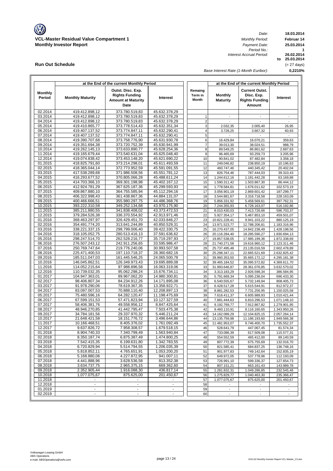

**at the End of the current Monthly Period**

**Run Out Schedule**

*Date: Period No.: Interest Accrual Period:*

**at the End of the current Monthly Period**

**18.03.2014 Februar 14 25.03.2014**

**1**

**0,2210%**

**to 25.03.2014 26.02.2014**

(= 27 days)

*Base Interest Rate (1-Month Euribor):*

| <b>Monthly</b>     |                                  | Outst. Disc. Exp.                 |                                | Remaing          |                                | <b>Current Outst.</b>           |                              |
|--------------------|----------------------------------|-----------------------------------|--------------------------------|------------------|--------------------------------|---------------------------------|------------------------------|
| Period             | <b>Monthly Maturity</b>          | <b>Rights Funding</b>             | Interest                       | Term in<br>Month | <b>Monthly</b>                 | Disc. Exp.                      | <b>Interest</b>              |
|                    |                                  | <b>Amount at Maturity</b><br>Date |                                |                  | <b>Maturity</b>                | <b>Rights Funding</b><br>Amount |                              |
|                    |                                  |                                   |                                |                  |                                |                                 |                              |
| 02.2014            | 419.412.898,12                   | 373.780.519,83                    | 45.632.378,29                  |                  |                                |                                 |                              |
| 03.2014            | 419.412.898,12                   | 373.780.519,83                    | 45.632.378,29                  | $\mathbf{1}$     | $\overline{\phantom{a}}$       | $\overline{\phantom{0}}$        | $\overline{\phantom{a}}$     |
| 04.2014<br>05.2014 | 419.412.898,12<br>419.410.865,77 | 373.780.519,83<br>373.778.514,43  | 45.632.378,29<br>45.632.351,34 | $\sqrt{2}$<br>3  | 2.032,35                       | 2.005,40                        | 26,95                        |
| 06.2014            | 419.407.137,52                   | 373.774.847,11                    | 45.632.290,41                  | $\overline{4}$   | 3.728,25                       | 3.667,32                        | 60,93                        |
| 07.2014            | 419.407.137,52                   | 373.774.847,11                    | 45.632.290,41                  | 5                |                                |                                 |                              |
| 08.2014            | 419.390.707,68                   | 373.758.776,90                    | 45.631.930,78                  | 6                | 16.429,84                      | 16.070,21                       | 359,63                       |
| 09.2014            | 419.351.694,38                   | 373.720.752,39                    | 45.630.941,99                  | $\overline{7}$   | 39.013,30                      | 38.024,51                       | 988,79                       |
| 10.2014            | 419.262.145,13                   | 373.633.890,77                    | 45.628.254,36                  | 8                | 89.549,25                      | 86.861,62                       | 2.687,63                     |
| 11.2014            | 419.165.679,44                   | 373.540.631,04                    | 45.625.048,40                  | 9                | 96.465,69                      | 93.259,73                       | 3.205,96                     |
| 12.2014            | 419.074.838,42                   | 373.453.148,20                    | 45.621.690,22                  | 10               | 90.841,02                      | 87.482,84                       | 3.358,18                     |
| 01.2015            | 418.825.791.60                   | 373.214.298,01                    | 45.611.493,59                  | 11               | 249.046,82                     | 238.850,19                      | 10.196,63                    |
| 02.2015            | 418.365.044,14                   | 372.773.952,59                    | 45.591.091,55                  | 12               | 460.747,46                     | 440.345,42                      | 20.402,04                    |
| 03.2015            | 417.538.289,68                   | 371.986.508,56                    | 45.551.781,12                  | 13               | 826.754,46                     | 787.444,03                      | 39.310,43                    |
| 04.2015            | 416.293.677,52                   | 370.805.066,28                    | 45.488.611,24                  | 14               | 1.244.612,16                   | 1.181.442,28                    | 63.169,88                    |
| 05.2015            | 414.703.366,10                   | 369.301.198,98                    | 45.402.167,12                  | 15               | 1.590.311,42                   | 1.503.867,30                    | 86.444,12                    |
| 06.2015            | 412.924.781,29                   | 367.625.187,36                    | 45.299.593,93                  | 16               | 1.778.584,81                   | 1.676.011,62                    | 102.573,19                   |
| 07.2015            | 409.867.880,10                   | 364.755.585,94                    | 45.112.294,16<br>44.884.131,07 | 17               | 3.056.901,19                   | 2.869.601,42                    | 187.299,77                   |
| 08.2015<br>09.2015 | 406.322.998,43<br>400.466.666,51 | 361.438.867,36<br>355.980.297,75  | 44.486.368,76                  | 18<br>19         | 3.544.881,67<br>5.856.331,92   | 3.316.718,58<br>5.458.569,61    | 228.163,09<br>397.762,31     |
| 10.2015            | 393.222.310,58                   | 349.252.134,68                    | 43.970.175,90                  | 20               | 7.244.355,93                   | 6.728.163,07                    | 516.192,86                   |
| 11.2015            | 385.211.880,55                   | 341.838.408,02                    | 43.373.472,53                  | 21               | 8.010.430,03                   | 7.413.726,66                    | 596.703,37                   |
| 12.2015            | 379.284.526,38                   | 336.370.554,92                    | 42.913.971,46                  | 22               | 5.927.354,17                   | 5.467.853,10                    | 459.501,07                   |
| 01.2016            | 368.463.297,97                   | 326.429.451,70                    | 42.033.846,27                  | 23               | 10.821.228,41                  | 9.941.103,22                    | 880.125,19                   |
| 02.2016            | 354.491.774,20                   | 313.641.244,89                    | 40.850.529,31                  | 24               | 13.971.523,77                  | 12.788.206,81                   | 1.183.316,96                 |
| 03.2016            | 338.221.337,15                   | 298.799.006,40                    | 39.422.330,75                  | 25               | 16.270.437,05                  | 14.842.238,49                   | 1.428.198,56                 |
| 04.2016            | 318.105.052,75                   | 280.513.416,13                    | 37.591.636,62                  | 26               | 20.116.284,40                  | 18.285.590,27                   | 1.830.694,13                 |
| 05.2016            | 298.247.514,70                   | 262.528.216,77                    | 35.719.297,93                  | 27               | 19.857.538,05                  | 17.985.199,36                   | 1.872.338,69                 |
| 06.2016            | 276.507.243,12                   | 242.911.256,65                    | 33.595.986,47                  | 28               | 21.740.271,58                  | 19.616.960,12                   | 2.123.311,46                 |
| 07.2016            | 250.769.747,64                   | 219.776.240,06                    | 30.993.507,58                  | 29               | 25.737.495,48                  | 23.135.016,59                   | 2.602.478,89                 |
| 08.2016            | 225.471.400,53                   | 197.110.718,37                    | 28.360.682,16                  | 30               | 25.298.347,11                  | 22.665.521,69                   | 2.632.825,42                 |
| 09.2016<br>10.2016 | 185.511.047,03<br>146.045.862,51 | 161.445.546,25<br>126.349.973,43  | 24.065.500,78<br>19.695.889,08 | 31<br>32         | 39.960.353,50<br>39.465.184,52 | 35.665.172,12<br>35.095.572,82  | 4.295.181,38<br>4.369.611,70 |
| 11.2016            | 114.052.215,64                   | 97.988.896,58                     | 16.063.319,06                  | 33               | 31.993.646,87                  | 28.361.076,85                   | 3.632.570,02                 |
| 12.2016            | 110.739.032,35                   | 95.062.298,24                     | 15.676.734,11                  | 34               | 3.313.183,29                   | 2.926.598,34                    | 386.584,95                   |
| 01.2017            | 104.947.363,01                   | 89.967.062,20                     | 14.980.300,81                  | 35               | 5.791.669,34                   | 5.095.236,04                    | 696.433,30                   |
| 02.2017            | 98.406.807,34                    | 84.234.912,26                     | 14.171.895,08                  | 36               | 6.540.555,67                   | 5.732.149,94                    | 808.405,73                   |
| 03.2017            | 91.978.290,06                    | 78.619.367,35                     | 13.358.922,71                  | 37               | 6.428.517,28                   | 5.615.544,91                    | 812.972,37                   |
| 04.2017            | 83.097.007,53                    | 70.888.110,40                     | 12.208.897,13                  | 38               | 8.881.282,53                   | 7.731.256,95                    | 1.150.025,58                 |
| 05.2017            | 75.480.596,16                    | 64.282.120,47                     | 11.198.475,69                  | 39               | 7.616.411,37                   | 6.605.989,93                    | 1.010.421,44                 |
| 06.2017            | 67.599.151,53                    | 57.471.823,94                     | 10.127.327,59                  | 40               | 7.881.444,63                   | 6.810.296,53                    | 1.071.148,10                 |
| 07.2017            | 58.406.381,76                    | 49.558.956,12                     | 8.847.425,64                   | 41               | 9.192.769,77                   | 7.912.867,82                    | 1.279.901,95                 |
| 08.2017            | 48.946.270,85                    | 41.442.795,47                     | 7.503.475,38                   | 42               | 9.460.110,91                   | 8.116.160,65                    | 1.343.950,26                 |
| 09.2017<br>10.2017 | 34.784.181,56<br>21.648.421,58   | 29.337.970,32<br>18.151.776,72    | 5.446.211,24<br>3.496.644,86   | 43<br>44         | 14.162.089,29<br>13.135.759,98 | 12.104.825,15<br>11.186.193,60  | 2.057.264,14<br>1.949.566,38 |
| 11.2017            | 10.166.468,51                    | 8.405.376,02                      | 1.761.092,49                   | 45               | 11.481.953,07                  | 9.746.400,70                    | 1.735.552,37                 |
| 12.2017            | 9.637.826,72                     | 7.958.308,57                      | 1.679.518,15                   | 46               | 528.641,79                     | 447.067,45                      | 81.574,34                    |
| 01.2018            | 8.904.740,33                     | 7.340.799,49                      | 1.563.940,84                   | 47               | 733.086,39                     | 617.509,08                      | 115.577,31                   |
| 02.2018            | 8.350.187,74                     | 6.875.387,49                      | 1.474.800,25                   | 48               | 554.552,59                     | 465.412,00                      | 89.140,59                    |
| 03.2018            | 7.542.415,35                     | 6.199.631,80                      | 1.342.783,55                   | 49               | 807.772,39                     | 675.755,69                      | 132.016,70                   |
| 04.2018            | 6.720.829,94                     | 5.514.794,55                      | 1.206.035,39                   | 50               | 821.585,41                     | 684.837,25                      | 136.748,16                   |
| 05.2018            | 5.818.852,11                     | 4.765.651,91                      | 1.053.200,20                   | 51               | 901.977,83                     | 749.142,64                      | 152.835,19                   |
| 06.2018            | 5.168.880,06                     | 4.227.872,95                      | 941.007,11                     | 52               | 649.972,05                     | 537.778,96                      | 112.193,09                   |
| 07.2018            | 4.441.888,96                     | 3.628.536,58                      | 813.352,38                     | 53               | 726.991,10                     | 599.336,37                      | 127.654,73                   |
| 08.2018            | 3.634.737,75                     | 2.965.375,15                      | 669.362,60                     | 54               | 807.151,21                     | 663.161,43                      | 143.989,78                   |
| 09.2018            | 2.352.905,44                     | 1.916.088,30                      | 436.817,14                     | 55               | 1.281.832,31                   | 1.049.286,85                    | 232.545,46                   |
| 10.2018            | 1.077.075,67                     | 875.625,00                        | 201.450,67                     | 56               | 1.275.829,77                   | 1.040.463,30                    | 235.366,47                   |
| 11.2018<br>12.2018 | $\blacksquare$                   | $\blacksquare$                    | $\blacksquare$                 | 57<br>58         | 1.077.075,67                   | 875.625,00                      | 201.450,67                   |
| 01.2019            | $\blacksquare$                   | $\sim$                            | $\overline{\phantom{a}}$       | 59               | $\overline{\phantom{a}}$       | $\overline{\phantom{a}}$        | $\overline{\phantom{a}}$     |
| 02.2019            | $\blacksquare$                   | $\blacksquare$                    |                                | 60               |                                |                                 |                              |
|                    |                                  |                                   |                                |                  |                                |                                 |                              |

 $\overline{\phantom{a}}$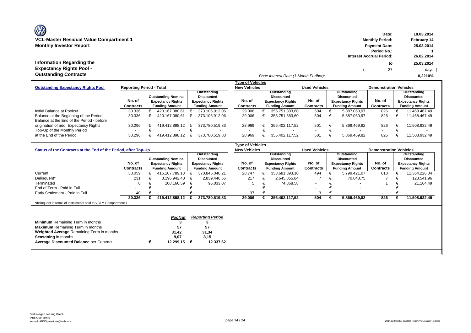# **Information Regarding the Expectancy Rights Pool -**

**Date: 18.03.2014 Monthly Period: February 14 Monthly Period: February 14 Monthly Period: February 14 Monthly Investor Report Payment Date: 25.03.2014 Period No.: 1 Interest Accrual Period: to 25.03.2014** (= 27 days ) *Base Interest Rate (1-Month Euribor):* **Outstanding Contracts 0,2210%**

|                                                                                             |                                                                    |                          |                            | Type of Vehicles         |                       |           |                          |                |                          |              |                               |               |
|---------------------------------------------------------------------------------------------|--------------------------------------------------------------------|--------------------------|----------------------------|--------------------------|-----------------------|-----------|--------------------------|----------------|--------------------------|--------------|-------------------------------|---------------|
| <b>Reporting Period - Total</b><br><b>Outstanding Expectancy Rights Pool</b><br>Outstanding |                                                                    |                          |                            |                          |                       |           | <b>New Vehicles</b>      |                | <b>Used Vehicles</b>     |              | <b>Demonstration Vehicles</b> |               |
|                                                                                             |                                                                    |                          |                            |                          |                       |           |                          | Outstanding    |                          | Outstanding  |                               | Outstanding   |
|                                                                                             |                                                                    |                          | <b>Outstanding Nominal</b> |                          | <b>Discounted</b>     |           |                          | Discounted     |                          | Discounted   |                               | Discounted    |
|                                                                                             | No. of                                                             | <b>Expectancy Rights</b> |                            | <b>Expectancy Rights</b> |                       | No. of    | <b>Expectancy Rights</b> | No. of         | <b>Expectancy Rights</b> | No. of       | <b>Expectancy Rights</b>      |               |
|                                                                                             | <b>Contracts</b><br><b>Funding Amount</b><br><b>Funding Amount</b> |                          |                            | Contracts                | <b>Funding Amount</b> | Contracts | <b>Funding Amount</b>    | Contracts      | <b>Funding Amount</b>    |              |                               |               |
| Initial Balance at Poolcut                                                                  | 30.336                                                             |                          | 420.167.080.61             |                          | 373.106.912.06        |           | 29.006                   | 355.751.383.60 | 504                      | 5.887.060.97 | 826                           | 11.468.467.49 |
| Balance at the Beginning of the Period                                                      | 30.336                                                             |                          | 420.167.080.61             |                          | 373.106.912.06        |           | 29.006                   | 355.751.383.60 | 504                      | 5.887.060.97 | 826                           | 11.468.467.49 |
| Balance at the End of the Period - before                                                   |                                                                    |                          |                            |                          |                       |           |                          |                |                          |              |                               |               |
| origination of add. Expectancy Rights                                                       | 30.296                                                             |                          | 419.412.898.12             | €                        | 373.780.519.83        |           | 28.969                   | 356.402.117.52 | 501                      | 5.869.469,82 | 826                           | 11.508.932.49 |
| Top-Up of the Monthly Period                                                                |                                                                    |                          |                            |                          |                       |           |                          |                | $\overline{\phantom{0}}$ | $\sim$       | $\overline{\phantom{0}}$      |               |
| at the End of the Period                                                                    | 30.296                                                             |                          | 419.412.898.12             |                          | 373.780.519.83        |           | 28.969                   | 356.402.117.52 | 501                      | 5.869.469.82 | 826                           | 11.508.932.49 |

| <b>Type of Vehicles</b>                                        |                          |   |                            |   |                          |  |                          |  |                          |                          |  |                          |                               |  |                          |
|----------------------------------------------------------------|--------------------------|---|----------------------------|---|--------------------------|--|--------------------------|--|--------------------------|--------------------------|--|--------------------------|-------------------------------|--|--------------------------|
| Status of the Contracts at the End of the Period, after Top-Up |                          |   |                            |   |                          |  | <b>New Vehicles</b>      |  |                          | <b>Used Vehicles</b>     |  |                          | <b>Demonstration Vehicles</b> |  |                          |
|                                                                |                          |   |                            |   | Outstanding              |  |                          |  | Outstanding              |                          |  | Outstanding              |                               |  | Outstanding              |
|                                                                |                          |   | <b>Outstanding Nominal</b> |   | <b>Discounted</b>        |  |                          |  | <b>Discounted</b>        |                          |  | <b>Discounted</b>        |                               |  | <b>Discounted</b>        |
|                                                                | No. of                   |   | <b>Expectancy Rights</b>   |   | <b>Expectancy Rights</b> |  | No. of                   |  | <b>Expectancy Rights</b> | No. of                   |  | <b>Expectancy Rights</b> | No. of                        |  | <b>Expectancy Rights</b> |
|                                                                | <b>Contracts</b>         |   | <b>Funding Amount</b>      |   | <b>Funding Amount</b>    |  | Contracts                |  | <b>Funding Amount</b>    | <b>Contracts</b>         |  | <b>Funding Amount</b>    | <b>Contracts</b>              |  | <b>Funding Amount</b>    |
| Current                                                        | 30.059                   |   | 416.107.789.13             |   | 370.845.040,21           |  | 28.747                   |  | 353.681.393,10           | 494                      |  | 5.799.421,07             | 818                           |  | 11.364.226,04            |
| Delinquent*                                                    | 231                      |   | 3.196.942,40               |   | 2.839.446,55             |  | 217                      |  | 2.645.855,84             |                          |  | 70.048,75                |                               |  | 123.541,96               |
| Terminated                                                     | 6                        |   | 108.166,59                 | € | 96.033,07                |  | 5                        |  | 74.868,58                | $\overline{\phantom{a}}$ |  |                          |                               |  | 21.164,49                |
| End of Term - Paid in Full                                     | $\overline{\phantom{0}}$ |   | $\overline{\phantom{0}}$   |   |                          |  | $\overline{\phantom{a}}$ |  |                          | $\overline{\phantom{a}}$ |  |                          | $\overline{\phantom{0}}$      |  |                          |
| Early Settlement - Paid in Full                                | 40                       |   |                            |   |                          |  | 37                       |  |                          | 3                        |  | $\overline{\phantom{a}}$ | $\overline{\phantom{a}}$      |  |                          |
|                                                                | 30.336                   |   | 419.412.898,12             |   | 373.780.519,83           |  | 29.006                   |  | 356.402.117,52           | 504                      |  | 5.869.469,82             | 826                           |  | 11.508.932,49            |
| *delinguent in terms of Instalments sold to VCLM Compartment 1 |                          |   |                            |   |                          |  |                          |  |                          |                          |  |                          |                               |  |                          |
|                                                                |                          |   |                            |   |                          |  |                          |  |                          |                          |  |                          |                               |  |                          |
|                                                                |                          |   |                            |   |                          |  |                          |  |                          |                          |  |                          |                               |  |                          |
|                                                                |                          |   | <b>Poolcut</b>             |   | <b>Reporting Period</b>  |  |                          |  |                          |                          |  |                          |                               |  |                          |
| <b>Minimum</b> Remaining Term in months                        |                          |   |                            |   |                          |  |                          |  |                          |                          |  |                          |                               |  |                          |
| <b>Maximum</b> Remaining Term in months                        |                          |   | 57                         |   | 57                       |  |                          |  |                          |                          |  |                          |                               |  |                          |
| Weighted Average Remaining Term in months                      |                          |   | 31,42                      |   | 31,34                    |  |                          |  |                          |                          |  |                          |                               |  |                          |
| <b>Seasoning in months</b>                                     |                          |   | 9,07                       |   | 8,15                     |  |                          |  |                          |                          |  |                          |                               |  |                          |
| <b>Average Discounted Balance per Contract</b>                 |                          | € | 12.299,15                  | € | 12.337,62                |  |                          |  |                          |                          |  |                          |                               |  |                          |
|                                                                |                          |   |                            |   |                          |  |                          |  |                          |                          |  |                          |                               |  |                          |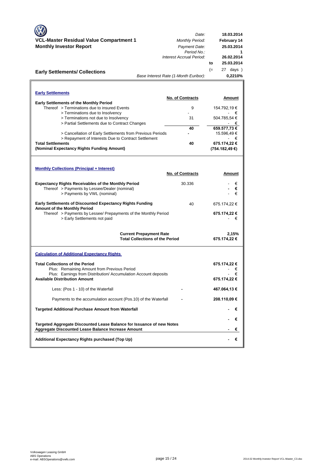| VCL-Master Residual Value Compartment 1<br><b>Monthly Investor Report</b><br><b>Early Settlements/ Collections</b>                                                                                  | Date:<br><b>Monthly Period:</b><br>Payment Date:<br>Period No.:<br>Interest Accrual Period:<br>Base Interest Rate (1-Month Euribor): | 18.03.2014<br>February 14<br>25.03.2014<br>1<br>26.02.2014<br>25.03.2014<br>to<br>$(=$<br>27 days )<br>0,2210% |
|-----------------------------------------------------------------------------------------------------------------------------------------------------------------------------------------------------|--------------------------------------------------------------------------------------------------------------------------------------|----------------------------------------------------------------------------------------------------------------|
| <b>Early Settlements</b>                                                                                                                                                                            |                                                                                                                                      |                                                                                                                |
| Early Settlements of the Monthly Period                                                                                                                                                             | No. of Contracts                                                                                                                     | Amount                                                                                                         |
| Thereof > Terminations due to insured Events                                                                                                                                                        | 9                                                                                                                                    | 154.792,19€                                                                                                    |
| > Terminations due to Insolvency<br>> Terminations not due to Insolvency                                                                                                                            | 31                                                                                                                                   | $\sim$<br>€<br>504.785,54 €                                                                                    |
| > Partial Settlements due to Contract Changes                                                                                                                                                       |                                                                                                                                      | €                                                                                                              |
| > Cancellation of Early Settlements from Previous Periods                                                                                                                                           | 40                                                                                                                                   | 659.577,73€<br>15.596,49 €                                                                                     |
| > Repayment of Interests Due to Contract Settlement<br><b>Total Settlements</b><br>(Nominal Expectancy Rights Funding Amount)                                                                       | 40                                                                                                                                   | - €<br>675.174,22 €<br>(754.182,49 €)                                                                          |
| <b>Monthly Collections (Principal + Interest)</b>                                                                                                                                                   | <b>No. of Contracts</b>                                                                                                              | Amount                                                                                                         |
| <b>Expectancy Rights Receivables of the Monthly Period</b><br>Thereof > Payments by Lessee/Dealer (nominal)<br>> Payments by VWL (nominal)                                                          | 30.336                                                                                                                               | €<br>€<br>€                                                                                                    |
| <b>Early Settlements of Discounted Expectancy Rights Funding</b><br>Amount of the Monthly Period<br>Thereof > Payments by Lessee/ Prepayments of the Monthly Period<br>> Early Settlements not paid | 40                                                                                                                                   | 675.174,22 €<br>675.174,22 €<br>€                                                                              |
|                                                                                                                                                                                                     | <b>Current Prepayment Rate</b><br><b>Total Collections of the Period</b>                                                             | 2,15%<br>675.174,22 €                                                                                          |
| <b>Calculation of Additional Expectancy Rights</b>                                                                                                                                                  |                                                                                                                                      |                                                                                                                |
| <b>Total Collections of the Period</b><br>Plus: Remaining Amount from Previous Period<br>Plus: Earnings from Distribution/ Accumulation Account deposits<br><b>Available Distribution Amount</b>    |                                                                                                                                      | 675.174,22 €<br>€<br>ŧ<br>675.174,22 €                                                                         |
| Less: (Pos 1 - 10) of the Waterfall                                                                                                                                                                 |                                                                                                                                      | 467.064,13€                                                                                                    |
| Payments to the accumulation account (Pos.10) of the Waterfall                                                                                                                                      |                                                                                                                                      | 208.110,09€                                                                                                    |
| <b>Targeted Additional Purchase Amount from Waterfall</b>                                                                                                                                           |                                                                                                                                      | €                                                                                                              |
| Targeted Aggregate Discounted Lease Balance for Issuance of new Notes<br>Aggregate Discounted Lease Balance Increase Amount                                                                         |                                                                                                                                      | €<br>€                                                                                                         |
| Additional Expectancy Rights purchased (Top Up)                                                                                                                                                     |                                                                                                                                      | €                                                                                                              |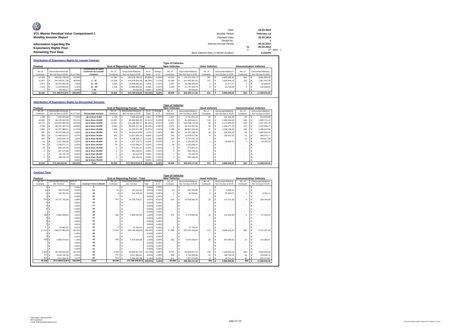| Ø                                       | Date:                                 |     | 18.03.2014  |
|-----------------------------------------|---------------------------------------|-----|-------------|
| VCL-Master Residual Value Compartment 1 | Monthly Period:                       |     | February 14 |
| <b>Monthly Investor Report</b>          | Payment Date:                         |     | 25.03.2014  |
|                                         | Period No.:                           |     |             |
| Information regarding the               | Interest Accrual Period:              |     | 26.02.2014  |
| <b>Expectancy Rights Pool -</b>         |                                       | to  | 25.03.2014  |
|                                         |                                       | $=$ | 27 days     |
| <b>Remaining Pool Data</b>              | Base Interest Rate (1-Month Euribor): |     | 0.2210%     |

| <b>Distribution of Expectancy Rights by Lessee/ Contract</b> |  |                           |            |                              |           |  |                                        |        |          |                         |  |                    |                      |  |                           |                               |                    |
|--------------------------------------------------------------|--|---------------------------|------------|------------------------------|-----------|--|----------------------------------------|--------|----------|-------------------------|--|--------------------|----------------------|--|---------------------------|-------------------------------|--------------------|
|                                                              |  |                           |            |                              |           |  |                                        |        |          | <b>Type of Vehicles</b> |  |                    |                      |  |                           |                               |                    |
| Poolcut                                                      |  |                           |            |                              |           |  | <b>End of Reporting Period - Total</b> |        |          | <b>New Vehicles</b>     |  |                    | <b>Used Vehicles</b> |  |                           | <b>Demonstration Vehicles</b> |                    |
|                                                              |  |                           |            | <b>Distribution of Lease</b> |           |  |                                        |        |          |                         |  |                    |                      |  |                           |                               |                    |
| No. of                                                       |  | <b>Discounted Amounts</b> |            | Contracts by Lessee/         | No. of    |  | Discounted Balance                     | $%$ of | change   | No. of                  |  | Discounted Balance | No. of               |  | <b>Discounted Balance</b> | No. of                        | Discounted Balance |
| Contracts                                                    |  | Not Yet Due in EUR        | % of Total | Contract                     | Contracts |  | Not Yet Due in EUR                     | Total  | in %     | Contracts               |  | Not Yet Due in EUR | Contracts            |  | Not Yet Due in EUR        | Contracts                     | Not Yet Due in EUR |
| 14.328                                                       |  | 190.522.738.98            | 51.06%     |                              | 14.284    |  | 190.578.788.51                         | 50.99% | $-0.08%$ | 13.241                  |  | 176.371.206.17     | 387                  |  | 4.805.686.92              | 656                           | 9.401.895.42       |
| 12,507                                                       |  | 144.149.317.38            | 38.63%     | $2 - 10$                     | 12.534    |  | 144.878.554.35                         | 38,76% | 0.13%    | 12.268                  |  | 141.902.387.62     | 107                  |  | 1.008.469.15              | 159                           | 1.967.697.58       |
| 2.371                                                        |  | 26.420.959.98             | 7.08%      | $11 - 20$                    | 2.363     |  | 26.338.684.93                          | 7.05%  | $-0.03%$ | 2.357                   |  | 26.296.426.92      |                      |  | 21.577.07                 |                               | 20.680.94          |
| 1.123                                                        |  | 11.919.603.55             | 3.19%      | $21 - 50$                    | 1 1 0 8   |  | 11.889.859.02                          | 3.18%  | $-0.01%$ | 1.096                   |  | 11 737 463 79      |                      |  | 33,736.68                 | 9.                            | 118,658.55         |
|                                                              |  | 94.292.17                 | 0.03%      | > 50                         |           |  | 94.633.02                              | 0.03%  | 0.00%    |                         |  | 94.633.02          |                      |  |                           |                               |                    |
| 30,336                                                       |  | 373.106.912.06 €          | 100.00%    | Total                        | 30.296    |  | 373.780.519.83 100.00%                 |        | 0.00%    | 28,969                  |  | 356.402.117.52     | 501                  |  | 5,869,469.82              | 826                           | 11.508.932.49      |

#### **Distribution of Expectancy Rights by Discounted Amounts**

г

|           | Tvpe of Vehicles |                           |            |                          |           |  |                                        |         |          |                     |  |                           |                      |                           |                    |                               |   |                           |
|-----------|------------------|---------------------------|------------|--------------------------|-----------|--|----------------------------------------|---------|----------|---------------------|--|---------------------------|----------------------|---------------------------|--------------------|-------------------------------|---|---------------------------|
| Poolcut   |                  |                           |            |                          |           |  | <b>End of Reporting Period - Total</b> |         |          | <b>New Vehicles</b> |  |                           | <b>Used Vehicles</b> |                           |                    | <b>Demonstration Vehicles</b> |   |                           |
| No. of    |                  | <b>Discounted Amounts</b> |            |                          | No. of    |  | <b>Discounted Amounts</b>              | $%$ of  | change   | No. of              |  | <b>Discounted Balance</b> | No. of               | <b>Discounted Balance</b> |                    | No. of                        |   | <b>Discounted Balance</b> |
| Contracts |                  | Not Yet Due in EUR        | % of Total | <b>Discounted Amount</b> | Contracts |  | Not Yet Due in EUR                     | Total   | in %     | Contracts           |  | Not Yet Due in EUR        | Contracts            |                           | Not Yet Due in EUR | Contracts                     |   | Not Yet Due in EUR        |
| 1.788     |                  | 7.456.043.89              | 2.00%      | Up to Euro 5,000         | 1.759     |  | 7.338.964.30                           | 1.96%   | $-0.03%$ | 1.607               |  | 6,761,854.19              | 69                   |                           | 252.180.46         | 83                            |   | 324.929.65                |
| 10.983    |                  | 86,229,882.69             | 23.11%     | Up to Euro 10,000        | 10.907    |  | 85.640.956.23                          | 22.91%  | $-0.20%$ | 10.470              |  | 82.299.646.61             | 191                  |                           | 1.454.594.50       | 246                           |   | 1.886.715.12              |
| 10.175    |                  | 124.003.969.93            | 33.24%     | Up to Euro 15,000        | 10.187    |  | 124.198.662.27                         | 33.23%  | $-0.01%$ | 9.907               |  | 120.768.170.58            | 98                   |                           | 1.172.945.94       | 182                           |   | 2.257.545.75              |
| 4.038     |                  | 69.192.393.74             | 18.54%     | Up to Euro 20,000        | 4.064     |  | 69.625.427.91                          | 18.63%  | 0.08%    | 3.872               |  | 66.313.561.85             | 69                   |                           | 1.185.477.29       | 123                           |   | 2.126.388.77              |
| 1.853     |                  | 41.287.969.51             | 11.07%     | Up to Euro 25,000        | 1.858     |  | 41.376.977.38                          | 11.07%  | 0.00%    | 1 709               |  | 38.057.291.43             | 47                   |                           | 1.033.138.29       | 102                           |   | 2.286.547.66              |
| 962       |                  | 26.070.348.29             | 6.99%      | Up to Euro 30,000        | 975       |  | 26.424.619.56                          | 7.07%   | 0.08%    | 892                 |  | 24.191.198.72             | 20                   |                           | 536,500.59         | 63                            |   | 1.696.920.25              |
| 358       |                  | 11.466.616.47             | 3.07%      | Up to Euro 35,000        | 361       |  | 11.557.905.26                          | 3.09%   | 0.02%    | 340                 |  | 10.878.017.06             |                      |                           | 193.812.43         | 15                            |   | 486.075.77                |
| 104       |                  | 3.843.656.78              | 1.03%      | Up to Euro 40,000        | 112       |  | 4.138.065.17                           | 1.11%   | 0.08%    | 101                 |  | 3.734.447.79              |                      |                           |                    | 11                            | € | 403.617.38                |
| 31        |                  | 1.311.268.45              | 0.35%      | Up to Euro 45,000        | 29        |  | 1.227.379.71                           | 0.33%   | $-0.02%$ | 27                  |  | 1.146.367.25              |                      |                           | 40.820.32          |                               | € | 40.192.14                 |
| 26        |                  | 1.228.971.71              | 0,33%      | Up to Euro 50,000        | 26        |  | 1.232.099.37                           | 0.33%   | 0.00%    | 26                  |  | 1.232.099.37              |                      |                           |                    |                               |   |                           |
| 10        |                  | 526,194.56                | 0.14%      | Up to Euro 55,000        |           |  | 473.061.37                             | 0.13%   | $-0.01%$ |                     |  | 473.061.37                | ۰                    |                           |                    |                               |   |                           |
|           |                  | 227,370.99                | 0.06%      | Up to Euro 60,000        | 5         |  | 283.228.31                             | 0.08%   | 0.01%    |                     |  | 283.228.31                | ۰                    |                           |                    |                               |   |                           |
|           | ٠                | 62,792.79                 | 0.02%      | Up to Euro 65,000        |           |  | 63.019.78                              | 0.02%   | 0.00%    |                     |  | 63,019.78                 | ۰                    |                           |                    |                               |   |                           |
|           |                  | 199.432.26                | 0.05%      | Up to Euro 70,000        |           |  | 200.153.21                             | 0.05%   | 0.00%    | ۰                   |  | 200.153.21                | ۰                    |                           |                    |                               |   |                           |
|           |                  | $\overline{\phantom{a}}$  | 0.00%      | Up to Euro 75,000        | ۰         |  |                                        | 0.00%   | 0.00%    |                     |  |                           | ۰                    |                           |                    |                               |   |                           |
| 30,336    |                  | 373,106,912.06            | 100.00%    | <b>Total</b>             | 30,296    |  | 373.780.519.83 €                       | 100.00% | 0,00%    | 28,969              |  | 356.402.117.52            | 501                  | ∣€                        | 5,869,469.82       | 826                           |   | 11.508.932.49             |

| <b>Contract Term</b> |                |                                |         |                               |                 |                                 |         |          |                                                |            |                           |                      |                               |                          |                               |
|----------------------|----------------|--------------------------------|---------|-------------------------------|-----------------|---------------------------------|---------|----------|------------------------------------------------|------------|---------------------------|----------------------|-------------------------------|--------------------------|-------------------------------|
| Poolcut              |                |                                |         |                               |                 | End of Reporting Period - Total |         |          | <b>Type of Vehicles</b><br><b>New Vehicles</b> |            |                           | <b>Used Vehicles</b> |                               |                          | <b>Demonstration Vehicles</b> |
| No. of               |                | <b>Discounted Amounts</b>      | in % of |                               | No. of          | <b>Discounted Amounts</b>       | in % of | change   | No. of                                         |            | <b>Discounted Balance</b> | No. of               | <b>Discounted Balance</b>     | No. of                   | <b>Discounted Balance</b>     |
| Contracts            |                | Not Yet Due                    | Total   | <b>Contract Term in Month</b> | Contracts       | Not Yet Due                     | Total   | in %     | Contracts                                      |            | Not Yet Due in EUR        | Contracts            | Not Yet Due in EUR            | Contracts                | Not Yet Due in EUR            |
|                      | 0 <sub>0</sub> |                                | 0.00%   | $\mathbf{Q}$                  | ٠               | €                               | 0.00%   | 0.00%    |                                                | €          |                           |                      | €<br>$\overline{\phantom{a}}$ | $\overline{\phantom{a}}$ | €                             |
|                      | 16             | 130,670.98<br>$\epsilon$       | 0.04%   | 12                            | 16              | 141.541.92<br>€                 | 0.04%   | 0.00%    | 15                                             | ¢          | 131 856 81                |                      | €<br>9.685.11                 |                          | €                             |
|                      |                | 100.791.16<br>$\epsilon$       | 0.03%   | 18                            |                 | 101.155.49                      | 0.03%   | 0.00%    |                                                | ¢          | 66,004.81                 | 3                    | €<br>25,369.57                |                          | €<br>9.781.11                 |
|                      | $0 \in$        |                                | 0.00%   | 22                            |                 | €                               | 0.00%   | 0.00%    |                                                | $\epsilon$ |                           |                      | €                             |                          | €                             |
|                      | 913 €          | 10.727.792.59                  | 2.88%   | 24                            | 911             | 10.726.754.27                   | 2.87%   | $-0.01%$ | 879                                            | ¢          | 10.416.346.79             | 23                   | €<br>172.211.09               | 9                        | €<br>138.196.39               |
|                      | $0 \in$        |                                | 0.00%   | 26                            |                 | €                               | 0.00%   | 0.00%    |                                                | €          |                           |                      | €                             |                          | €                             |
|                      |                | ∣€<br>$\overline{\phantom{a}}$ | 0.00%   | 27                            |                 | ٠                               | 0.00%   | 0.00%    |                                                |            |                           |                      | €                             |                          | €                             |
|                      |                | ∣€                             | 0.00%   | 28                            |                 | ٠                               | 0.00%   | 0.00%    | $\overline{\phantom{a}}$                       | ¢          | ۰                         |                      | €<br>$\overline{\phantom{a}}$ |                          | €                             |
|                      |                | €                              | 0.00%   | 29                            |                 | ٠                               | 0.00%   | 0.00%    |                                                | ¢          |                           |                      | €                             |                          | €                             |
|                      | 494            | 5.991.499.82<br>€              | 1.61%   | 30                            | 492             | 5.988.552.83                    | 1.60%   | 0.00%    | 472                                            | €          | 5.779.692.92              | 15                   | €<br>141.630.39               | 5                        | €<br>67.229.52                |
|                      | $0 \in$        |                                | 0.00%   | 33                            |                 |                                 | 0.00%   | 0.00%    |                                                | €          |                           |                      | €                             |                          | €                             |
|                      |                |                                | 0.00%   | 32                            |                 |                                 | 0.00%   | 0.00%    |                                                |            |                           |                      | €                             |                          | €                             |
|                      |                |                                | 0.00%   | 34                            |                 |                                 | 0.00%   | 0.00%    |                                                | ¢          |                           |                      | €                             |                          | €                             |
|                      | $\overline{2}$ | 27.662.51                      | 0.01%   | 35                            | $\mathfrak{p}$  | 27.762.51                       | 0.01%   | 0.00%    | $\overline{2}$                                 | ¢          | 27.762.51                 |                      | €                             |                          | €                             |
|                      | 17.97          | 240.373.392.28                 | 64.42%  | 36                            | 17,947          | 240.796.286.50                  | 64.42%  | 0.00%    | 17,280                                         | €          | 230.425.785.46            | 272                  | €<br>3.649.213.10             | 395                      | €<br>6.721.287.94             |
|                      |                | $\epsilon$                     | 0.00%   | 38                            |                 |                                 | 0.00%   | 0.00%    |                                                | €          |                           |                      | €                             |                          | €                             |
|                      | 0C             |                                | 0.00%   | 39                            |                 |                                 | 0.00%   | 0.00%    |                                                | €          |                           |                      | €                             |                          | €                             |
|                      | 433            | 5.060.474.83<br>$\epsilon$     | 1.36%   | 42                            | 433             | 5.076.420.59<br>$\epsilon$      | 1.36%   | 0.00%    | 401                                            | ¢          | 4.676.339.57              | 20                   | €<br>257.995.05               | 12                       | €<br>142.085.97               |
|                      |                | €                              | 0.00%   | 45                            |                 |                                 | 0.00%   | 0.00%    |                                                |            |                           |                      | €                             |                          | €                             |
|                      |                | €                              | 0.00%   | 46                            |                 |                                 | 0.00%   | 0.00%    | $\overline{\phantom{a}}$                       |            |                           |                      | €                             |                          | €                             |
|                      |                | €                              | 0.00%   | 47                            |                 |                                 | 0.00%   | 0.00%    | $\overline{\phantom{a}}$                       | €          |                           |                      | €                             |                          | €                             |
|                      | 9.204          | 99.766.834.93<br>$\epsilon$    | 26.74%  | 48                            | 9.193           | 99.959.817.20<br>€              | 26.74%  | 0.00%    | 8.707                                          | ¢          | 94.565.647.14             | 148                  | €<br>1.429.920.03             | 338                      | €<br>3.964.250.03             |
|                      | 371            | 3.016.760.18<br>G              | 0.81%   | 54                            | 37 <sup>1</sup> | 3.027.665.62                    | 0.81%   | 0.00%    | 338                                            | ¢          | 2.745.304.66              | 13                   | €<br>138,734.24               | 20                       | €<br>143.626.72               |
|                      | 924            | 7.911.032.78                   | 2.12%   | 60                            | 923             | 7.934.562.90                    | 2.12%   | 0.00%    | 871                                            | €          | 7.567.376.85              | 6                    | €<br>44.711.24                | 46                       | 322.474.81<br>€               |
|                      | 30,336         | 373,106,912,06€                | 100,00% | <b>Total</b>                  | 30.296          | 373.780.519.83                  | 100.00% | 0.00%    | 28,969                                         |            | 356.402.117.52            | 501                  | 5.869.469.82                  | 826                      | 11.508.932.49                 |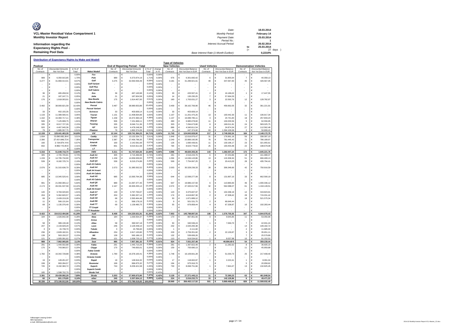| Ø                                       | Date:                                 |     | 18.03.2014  |
|-----------------------------------------|---------------------------------------|-----|-------------|
| VCL-Master Residual Value Compartment 1 | Monthly Period:                       |     | February 14 |
| <b>Monthly Investor Report</b>          | Payment Date:                         |     | 25.03.2014  |
|                                         | Period No.:                           |     |             |
| Information regarding the               | Interest Accrual Period:              |     | 26.02.2014  |
| <b>Expectancy Rights Pool -</b>         |                                       | to  | 25.03.2014  |
|                                         |                                       | $=$ | 27 days     |
| <b>Remaining Pool Data</b>              | Base Interest Rate (1-Month Euribor): |     | 0.2210%     |

| <b>New Vehicles</b><br><b>Used Vehicles</b><br><b>End of Reporting Period - Total</b><br><b>Demonstration Vehicles</b><br>Poolcut<br><b>Discounted Balance</b><br><b>Discounted Balance</b><br><b>Discounted Amounts</b><br>in % of<br>change<br>No. of<br>No. of<br>No. of<br><b>Discounted Balance</b><br>No. of<br>No. of<br><b>Discounted Amounts</b><br>in % of<br>Contracts<br>Not Yet Due<br>Make/Modell<br>Contracts<br>Not Yet Due<br>Contracts<br>Not Yet Due in EUR<br>Contracts<br>Not Yet Due in EUR<br>Contracts<br>Not Yet Due in EUR<br>Total<br>Total<br>in %<br>0,009<br>Fox<br>$0.00^{\circ}$<br>0.00%<br>€<br>€<br>€<br>€<br>€<br>1,719<br>989<br>€<br>6.350.915,85<br>1,709<br>Polo<br>989<br>$\epsilon$<br>6.373.874,19<br>0,00%<br>976<br>$\epsilon$<br>6.301.660,42<br>6<br>€<br>31.855,64<br>$\overline{7}$<br>€<br>40.358,13<br>3.277<br>€<br>31.969.414,01<br>Golf<br>3.275<br>€<br>32.063.556,49<br>8.58<br>3.181<br>31.289.921,61<br>49<br>€<br>347.067,83<br>45<br>426.567,05<br>8.579<br>0.01%<br>€<br>€<br><b>Golf Variant</b><br>0,00%<br>$\epsilon$<br>0.00%<br>€<br>0.00%<br>€<br>€<br>€<br><b>Golf Plus</b><br>€<br>0.00%<br>€<br>0.00%<br>0.00%<br>€<br>€<br>€<br>Golf Cabrio<br>0,00%<br>€<br>0.009<br>€<br>0.00%<br>€<br>€<br>€<br>0.12%<br>36<br>$\epsilon$<br><b>Eos</b><br>$\overline{2}$<br>465 458 34<br>0.129<br>36<br>€<br>467 140 98<br>0.00%<br>33<br>$\epsilon$<br>433 507 41<br>€<br>16,186.02<br>€<br>17,447.55<br>$\overline{1}$<br>0.05%<br>21<br>€<br>187.247,71<br>0,059<br>.letta<br>21<br>€<br>187.924,58<br>0.00%<br>14<br>€<br>130.230,25<br>$\overline{7}$<br>€<br>57.694,33<br>€<br>0.519<br>176<br><b>New Beetle</b><br>175<br>€<br>1.918.003.91<br>0.519<br>€<br>1.914.407,00<br>0.00%<br>160<br>€<br>1.763.031.27<br>$\mathbf{3}$<br>€<br>22.592.76<br>12<br>€<br>128,782.97<br>0,00%<br>$\epsilon$<br>0,00%<br><b>New Beetle Cabrio</b><br>€<br>0,00%<br>€<br>€<br>€<br>3.492<br>$\epsilon$<br>38.900.821,58<br>10,43%<br>Passat<br>3.487<br>38.980.653,86<br>10,43%<br>3.409<br>$\in$<br>38.162.769,90<br>46<br>456.662,05<br>32<br>361.221,91<br>€<br>0.00%<br>€<br>€<br><b>Passat Variant</b><br>0,00%<br>€<br>0,00%<br>€<br>0.00%<br>$\epsilon$<br>Ë<br>€<br>33<br>Scirocco<br>0,11%<br>€<br>402.155.35<br>0.11%<br>33<br>€<br>403.609.14<br>0.00%<br>33<br>€<br>403.609.14<br>€<br>€<br>3,05%<br>1.133<br>$\epsilon$<br>11.389.590,41<br>3,05%<br>Touran<br>1.131<br>$\epsilon$<br>11.408.834,89<br>0,00%<br>1.107<br>$\epsilon$<br>11.201.475,25<br>13<br>€<br>100.442,30<br>11<br>€<br>106.917,34<br>$\epsilon$<br>4,38%<br>Tiguan<br>4.389<br>0,00%<br>$\epsilon$<br>€<br>€<br>1.162<br>16.360.717.11<br>1.158<br>€<br>16,372,360.18<br>1.137<br>16.089.785.11<br>3<br>24.741.84<br>18<br>257.833.23<br>Sharan<br>1,919<br>$\epsilon$<br>0.00%<br>6.985.078.60<br>11<br>€<br>506<br>7 125 908 75<br>1919<br>506<br>€<br>7.151.669.11<br>490<br>$\epsilon$<br>€<br>104 033 56<br>5<br>62.556.95<br>$\epsilon$<br>Touareg<br>2,159<br>€<br>335<br>8.017.727.26<br>2.159<br>335<br>€<br>8.046.711.36<br>0.00%<br>303<br>€<br>7.294.673.80<br>€<br>169.011.81<br>24<br>583.025.75<br>8<br>1,209<br>$\epsilon$<br>1,20%<br>up!<br>0,00%<br>$\epsilon$<br>$\epsilon$<br>27<br>€<br>920<br>4.467.945.36<br>919<br>€<br>4.478.248.36<br>886<br>4.340.811.54<br>6<br>24.874.34<br>112.562.48<br>0.51%<br>1.885.557,75<br>0.51%<br>Phaeton<br>79<br>189237409<br>0,00%<br>447 374 60<br>63<br>1394 100 06<br>50.899,43<br>79<br>€<br>14<br>€<br>$\mathcal{P}$<br>€<br>12.159<br><b>VW</b><br>11,743<br>217<br>184<br>129.441.463,39<br>34,69%<br>12.144<br>129.741.364,23<br>34,71%<br>0,02%<br>124.843.928,90<br>2.749.262,54<br>2.148.172,79<br>€<br>€<br>€<br>€<br>Caddy<br>3,51<br>1.934<br>3,519<br>1.933<br>13.132.334,73<br>0,00%<br>1.846<br>31<br>56<br>13.090.082.39 €<br>€<br>€<br>12.616.976,47<br>€<br>176.961.16<br>€<br>338.397,10<br>2.390<br>27.431.649,72 €<br>7,359<br><b>Transporter</b><br>2.387<br>€<br>27.456.796,35<br>7,359<br>$-0.019$<br>2.240<br>€<br>25.889.160,95<br>76<br>€<br>781.445,43<br>71<br>€<br>786.189,97<br>2.134.874,14 €<br>0,57%<br>Amarok<br>2.142.591,69<br>0,57%<br>0,00%<br>1.690.439,91<br>11<br>€<br>130.196,17<br>23<br>321.955,61<br>160<br>160<br>€<br>126<br>€<br>€<br>832<br>8.992.110,45 €<br>2,419<br>Crafter<br>831<br>€<br>9.015.911,58<br>2,419<br>0,00%<br>784<br>$\in$<br>8.623.778,02<br>25<br>€<br>193.454,48<br>22<br>€<br>198.679,08<br>0,009<br>LT<br>$0.00^{\circ}$<br>0.00%<br><b>VWN</b><br>5.316<br>51.648.716,70<br>13,84%<br>5.311<br>51.747.634,35<br>13,84%<br>0,00%<br>4.996<br>48.820.355,35<br>143<br>1.282.057,24<br>172<br>€<br>€<br>€<br>1.645.221,76<br>Audi A1<br>305<br>0,739<br>305<br>0.73%<br>0,00%<br>281<br>2.516.243,76<br>6<br>37.254,86<br>18<br>161.988,37<br>€<br>2.705.705.81<br>€<br>2.715.486.99<br>€<br>€<br>€<br>Audi A3<br>3,97%<br>1.159<br>€<br>14.795.734,90<br>3,97%<br>1.158<br>$\epsilon$<br>14.836.939,93<br>0,00%<br>1.094<br>¢<br>14.046.143,86<br>13<br>Ë<br>124.306,94<br>51<br>€<br>666.489,13<br>€<br>8.182.725,74<br>2,19%<br>Audi Q3<br>8.210.274,89<br>2.20%<br>$\sqrt{2}$<br>28<br>435.794,41<br>539<br>539<br>€<br>0.00%<br>509<br>€<br>7.754.067.25<br>€<br>20.413.23<br>€<br>Audi A3 Cabrio<br>0,00%<br>€<br>0.009<br>0.00%<br>€<br>€<br>€<br>€<br>$\overline{\phantom{a}}$<br>$\overline{\phantom{a}}$<br>31.315.636.70<br>8.39%<br>Audi A4<br>31.385.502.52<br>8,40%<br>30.328.236.33<br>28<br>306,349.60<br>750.916.59<br>2.076<br>€<br>2.073<br>€<br>0.00%<br>2.003<br>€<br>42<br>€<br>€<br>Audi A4 Avant<br>0,00%<br>0.009<br>€<br>€<br>0.00%<br>€<br>€<br>€<br>$\overline{\phantom{a}}$<br>٠<br>Audi A4 Cabrio<br>0.003<br>$\epsilon$<br>0.00%<br>€<br>0.00%<br>E<br>€<br>€<br>Audi A5<br>3.58%<br>685<br>€<br>13.345.520,41<br>3,58%<br>685<br>€<br>13.393.764,38<br>0,019<br>644<br>€<br>12.599.277,09<br>8<br>€<br>131.897,10<br>33<br>€<br>662.590,19<br>Audi A5 Cabrio<br>0.003<br>€<br>0.00%<br>€<br>0.00%<br>$\epsilon$<br>€<br>€<br>Audi O5<br>991<br>€<br>21.060.065,12<br>5,64%<br>989<br>€<br>21.097.377,45<br>5.64%<br>0,00%<br>937<br>€<br>19.986.157,50<br>6<br>€<br>110.883,83<br>46<br>€<br>1.000.336,12<br>2.174<br>€<br>49.331.537,58<br>13,22%<br>Audi A6<br>2.167<br>49.300.255,14<br>13,199<br>2.074<br>47.320.017,56<br>32<br>562.088,07<br>61<br>€<br>1.418.149,51<br>€<br>$-0.039$<br>€<br>€<br>Audi A6 Avant<br>0,00%<br>$\epsilon$<br>0,00%<br>€<br>0,00%<br>$\epsilon$<br>Ë<br>€<br>3.784.020,83<br>Audi A7<br>140<br>1,029<br>140<br>€<br>1.019<br>€<br>3.797.700.07<br>0.009<br>123<br>€<br>3.375.607.97<br>5<br>€<br>102.268.19<br>12<br>€<br>319.823,91<br>Audi Q7<br>1,44%<br>204<br>€<br>5.362.820,57<br>1,44%<br>204<br>€<br>5.382.207,14<br>0,00%<br>174<br>$\epsilon$<br>4.619.867,30<br>$\sqrt{2}$<br>€<br>47.308,42<br>28<br>€<br>715.031,42<br>69<br>$\epsilon$<br>2.428.219,28<br>Audi A8<br>2.393.464,46<br>0,649<br>18<br>521.575,34<br>0.65%<br>68<br>€<br>$-0.019$<br>50<br>€<br>1.871.889.12<br>€<br>€<br>Audi R8<br>0,159<br>11<br>$\epsilon$<br>566.131,64<br>568 178 19<br>0.00%<br>$\sqrt{2}$<br>0.15%<br>11<br>$\epsilon$<br>$\mathbf{Q}$<br>$\epsilon$<br>501.531.75<br>€<br>66 646 44<br>€<br>1.135.376,40<br>Audi TT<br>1.139.480,75<br>0,309<br>879.858,44<br>67.338,87<br>10<br>69<br>€<br>0.30%<br>69<br>€<br>0.00%<br>55<br>€<br>€<br>€<br>192.283.44<br>$\overline{4}$<br>TT Coupé<br>0,00%<br>$\epsilon$<br>0,00%<br>$\epsilon$<br>0,00%<br>$\epsilon$<br>$\epsilon$<br>€<br>0.00%<br>0.00%<br><b>TT Roadster</b><br>0.00%<br>E<br>€<br>€<br>8.422<br>7.953<br>145.798.897,93<br>108<br>1.576.755.55<br>347<br>154.013.494.98<br>41,28%<br>8.408<br>154.220.631.91<br>41.265<br>$-0.029$<br>6.844.978,43<br>Audi<br>€<br>€<br>€<br>€<br>0.289<br>184<br>€<br>€<br>1.030.554,37<br>967.851,56<br>€<br>9.645,85<br>11<br>€<br>53.056,96<br>1.026.842.38<br>0.28%<br>Ibiza<br>184<br>0.00%<br>170<br>¢<br>3<br>0,00%<br>€<br>0,00%<br>Arosa<br>€<br>0,00%<br>€<br>€<br>58<br>$\epsilon$<br>390.537,18<br>0,10%<br>7.069,70<br>€<br>389.130.48<br>$0.10^{6}$<br>Altea<br>58<br>€<br>0.009<br>50<br>€<br>340,536.24<br>$\overline{1}$<br>€<br>$\overline{7}$<br>42.931.24<br>247<br>$\epsilon$<br>2.133.929,29<br>0,57%<br>246<br>€<br>2.129.448,10<br>0,579<br>0,00%<br>232<br>€<br>2.020.265,38<br>14<br>€<br>109.182,72<br>Leon<br>€<br>$\epsilon$<br>€<br>0,009<br>$\in$<br>€<br>3<br>15,739.70<br>0.009<br>Toledo<br>3<br>15,796.60<br>0.009<br>$\ddot{\phantom{0}}$<br>4.111.60<br>€<br>$\overline{2}$<br>11.685.00<br>$\in$<br>0,75%<br>€<br>236<br>2.828.182,01<br>0.76%<br><b>Albambra</b><br>234<br>$\epsilon$<br>2.817.133,80<br>0.009<br>229<br>$\epsilon$<br>2.759.351,82<br>$\sqrt{2}$<br>€<br>22.130,87<br>$\overline{3}$<br>35.651,11<br>139<br>$\epsilon$<br>563.150,37<br>0,15%<br>139<br>€<br>565.186,15<br>0.15%<br>132<br>$\in$<br>539.606,26<br>€<br>$\overline{7}$<br>€<br>25.579,89<br>Mii<br>0.00%<br>0,27%<br>121<br>$\epsilon$<br>1.005.091,62<br>0,279<br>Exeo<br>121<br>1.008.725,12<br>0.00%<br>110<br>919.534,62<br>€<br>8.037,98<br>10<br>€<br>81.152,52<br>€<br>988<br>€<br>7.962.065,85<br>2,13%<br>985<br>7.957.381,32<br>2.13 <sup>6</sup><br>$-0,01$<br>924<br>7.551.257,48<br>$\overline{7}$<br>46.884,40 €<br>54<br>€<br>359.239,44<br>€<br>€<br>Seat<br>0.399<br>$\sqrt{2}$<br>11 282 62<br>291<br>1 440 502 88<br>0.39%<br>Fabia<br>291<br>1.445.710.26<br>0.009<br>281<br>€<br>8<br>€<br>€<br>1.397.822.49<br>€<br>36.605.15<br>c<br>0.20%<br>170<br>170<br>11<br>€<br>743.960.57<br>0.20%<br>Citygo<br>€<br>746,650.01<br>0.00%<br>159<br>$\epsilon$<br>700.690.13<br>€<br>€<br>45.959.88<br>÷<br>0,00%<br>0.009<br>0.00%<br>е<br><b>Fabia Combi</b><br>€<br>€<br>€<br>€<br>4.389<br>1782<br>$\epsilon$<br>$\overline{7}$<br>16 342 728 88<br>4.389<br>Octavia<br>1.780<br>€<br>16.378.100.41<br>0.00%<br>1.748<br>€<br>16.109.661.28<br>€<br>51.030.73<br>25<br>€<br>217.408.40<br>0.009<br>€<br>0,00%<br>Octavia Combi<br>€<br>0,009<br>€<br>€<br>€<br>0.03%<br>19<br>€<br>128,451.97<br>0.039<br>Rapid<br>19<br>€<br>128.916.32<br>0.00%<br>17<br>$\epsilon$<br>118,602.87<br>$\overline{1}$<br>€<br>2.222.41<br>€<br>8.091.04<br>$\mathbf{1}$<br>0.27%<br>199<br>€<br>993.284,57<br>0,279<br>199<br>€<br>996.875,32<br>0,00%<br>194<br>975.916,70<br>€<br>5<br>€<br>20.958,62<br>Roomstei<br>€<br>$\epsilon$<br>8.192.360,72<br>2,20%<br>744<br>€<br>2.20%<br>730<br>7.844,47<br>13<br>745<br><b>Superb</b><br>8.209.421.58<br>0.00%<br>€<br>8.068.751,66<br>$\overline{1}$<br>€<br>€<br>132.825,45<br>$\in$<br>0,00%<br>0,009<br><b>Superb Combi</b><br>€<br>0,00%<br>$\epsilon$<br>€<br>€<br>185<br>0,43%<br>0.009<br>1.598.702.70<br>Skoda Yeti<br>$-0.439$<br>3.391<br>3.203<br>7,47%<br>$-0,42%$<br>3.129<br>27.371.445,13<br>11<br>72.380,23<br>63<br>461.848,54<br>€<br>29.439.992,29<br>7.89%<br>Skoda<br>€<br>27.905.673,90<br>€<br>€<br>€<br>0.59%<br>60<br>€<br>601.178.85<br>0.16%<br>other<br>245<br>€<br>2.207.834.12<br>0.43%<br>224<br>€<br>2.016.232.73<br>15<br>€<br>142.129.86<br>6<br>€<br>49.471.53<br>30.336<br>€<br>373.106.912,06<br>100,00%<br>Total<br>30.296<br>€<br>373.780.519,83<br>100,00%<br>28.969<br>$\epsilon$<br>356.402.117,52<br>501<br>€<br>5.869.469,82<br>826<br>$\epsilon$<br>11.508.932,49 | Distribution of Expectancy Rights by Make and Modell<br><b>Type of Vehicles</b> |  |  |  |  |  |  |  |  |  |  |  |  |  |
|-----------------------------------------------------------------------------------------------------------------------------------------------------------------------------------------------------------------------------------------------------------------------------------------------------------------------------------------------------------------------------------------------------------------------------------------------------------------------------------------------------------------------------------------------------------------------------------------------------------------------------------------------------------------------------------------------------------------------------------------------------------------------------------------------------------------------------------------------------------------------------------------------------------------------------------------------------------------------------------------------------------------------------------------------------------------------------------------------------------------------------------------------------------------------------------------------------------------------------------------------------------------------------------------------------------------------------------------------------------------------------------------------------------------------------------------------------------------------------------------------------------------------------------------------------------------------------------------------------------------------------------------------------------------------------------------------------------------------------------------------------------------------------------------------------------------------------------------------------------------------------------------------------------------------------------------------------------------------------------------------------------------------------------------------------------------------------------------------------------------------------------------------------------------------------------------------------------------------------------------------------------------------------------------------------------------------------------------------------------------------------------------------------------------------------------------------------------------------------------------------------------------------------------------------------------------------------------------------------------------------------------------------------------------------------------------------------------------------------------------------------------------------------------------------------------------------------------------------------------------------------------------------------------------------------------------------------------------------------------------------------------------------------------------------------------------------------------------------------------------------------------------------------------------------------------------------------------------------------------------------------------------------------------------------------------------------------------------------------------------------------------------------------------------------------------------------------------------------------------------------------------------------------------------------------------------------------------------------------------------------------------------------------------------------------------------------------------------------------------------------------------------------------------------------------------------------------------------------------------------------------------------------------------------------------------------------------------------------------------------------------------------------------------------------------------------------------------------------------------------------------------------------------------------------------------------------------------------------------------------------------------------------------------------------------------------------------------------------------------------------------------------------------------------------------------------------------------------------------------------------------------------------------------------------------------------------------------------------------------------------------------------------------------------------------------------------------------------------------------------------------------------------------------------------------------------------------------------------------------------------------------------------------------------------------------------------------------------------------------------------------------------------------------------------------------------------------------------------------------------------------------------------------------------------------------------------------------------------------------------------------------------------------------------------------------------------------------------------------------------------------------------------------------------------------------------------------------------------------------------------------------------------------------------------------------------------------------------------------------------------------------------------------------------------------------------------------------------------------------------------------------------------------------------------------------------------------------------------------------------------------------------------------------------------------------------------------------------------------------------------------------------------------------------------------------------------------------------------------------------------------------------------------------------------------------------------------------------------------------------------------------------------------------------------------------------------------------------------------------------------------------------------------------------------------------------------------------------------------------------------------------------------------------------------------------------------------------------------------------------------------------------------------------------------------------------------------------------------------------------------------------------------------------------------------------------------------------------------------------------------------------------------------------------------------------------------------------------------------------------------------------------------------------------------------------------------------------------------------------------------------------------------------------------------------------------------------------------------------------------------------------------------------------------------------------------------------------------------------------------------------------------------------------------------------------------------------------------------------------------------------------------------------------------------------------------------------------------------------------------------------------------------------------------------------------------------------------------------------------------------------------------------------------------------------------------------------------------------------------------------------------------------------------------------------------------------------------------------------------------------------------------------------------------------------------------------------------------------------------------------------------------------------------------------------------------------------------------------------------------------------------------------------------------------------------------------------------------------------------------------------------------------------------------------------------------------------------------------------------------------------------------------------------------------------------------------------------------------------------------------------------------------------------------------------------------------------------------------------------------------------------------------------------------------------------------------------------------------------------------------------------------------------------------------------------------------------------------------------------------------------------------------------------------------------------------------------------------------------------------------------------------------------------------------------------------------------------------------------------------------------------------------------------------------------------------------------------------------------------------------------------------------------------------------------------------------------------------------------------------------------------------------------------------------------------------------------------------------------------------------------------------------------------------------------------------------------------------------------------------------------------------------------------------------------------------------------------------------------------------------------------------------------------------------------------------------------------------------------------------------------------------------------------------------------------------------------------------------------------------------------------------------------------------------------------------------------------------------------------------------------------------------------------------------------------------------------------------------------------------------------------------------------------------------------------------------------------------------------------------------------------------------------------------------------------------------------------------------------------------------------------------------------------------------------------------------------------------------------------------------------------------------------------------------------------------------------------------------------------------------------------------------------------------------------------------------------------------------------------------------------------------------------------------------------------------------------------------------------------------------------------------------------------------------------------------------------------------------------------------------------------------------------------------------------------------------------------------|---------------------------------------------------------------------------------|--|--|--|--|--|--|--|--|--|--|--|--|--|
|                                                                                                                                                                                                                                                                                                                                                                                                                                                                                                                                                                                                                                                                                                                                                                                                                                                                                                                                                                                                                                                                                                                                                                                                                                                                                                                                                                                                                                                                                                                                                                                                                                                                                                                                                                                                                                                                                                                                                                                                                                                                                                                                                                                                                                                                                                                                                                                                                                                                                                                                                                                                                                                                                                                                                                                                                                                                                                                                                                                                                                                                                                                                                                                                                                                                                                                                                                                                                                                                                                                                                                                                                                                                                                                                                                                                                                                                                                                                                                                                                                                                                                                                                                                                                                                                                                                                                                                                                                                                                                                                                                                                                                                                                                                                                                                                                                                                                                                                                                                                                                                                                                                                                                                                                                                                                                                                                                                                                                                                                                                                                                                                                                                                                                                                                                                                                                                                                                                                                                                                                                                                                                                                                                                                                                                                                                                                                                                                                                                                                                                                                                                                                                                                                                                                                                                                                                                                                                                                                                                                                                                                                                                                                                                                                                                                                                                                                                                                                                                                                                                                                                                                                                                                                                                                                                                                                                                                                                                                                                                                                                                                                                                                                                                                                                                                                                                                                                                                                                                                                                                                                                                                                                                                                                                                                                                                                                                                                                                                                                                                                                                                                                                                                                                                                                                                                                                                                                                                                                                                                                                                                                                                                                                                                                                                                                                                                                                                                                                                                                                                                                                                                                                                                                                                                                                                                                                                                                                                                                                                                                                                                                                                                                                                                                                                                                                                                                                                                                                                                                                                                                                                                                                                                                                                                                                                                                                                         |                                                                                 |  |  |  |  |  |  |  |  |  |  |  |  |  |
|                                                                                                                                                                                                                                                                                                                                                                                                                                                                                                                                                                                                                                                                                                                                                                                                                                                                                                                                                                                                                                                                                                                                                                                                                                                                                                                                                                                                                                                                                                                                                                                                                                                                                                                                                                                                                                                                                                                                                                                                                                                                                                                                                                                                                                                                                                                                                                                                                                                                                                                                                                                                                                                                                                                                                                                                                                                                                                                                                                                                                                                                                                                                                                                                                                                                                                                                                                                                                                                                                                                                                                                                                                                                                                                                                                                                                                                                                                                                                                                                                                                                                                                                                                                                                                                                                                                                                                                                                                                                                                                                                                                                                                                                                                                                                                                                                                                                                                                                                                                                                                                                                                                                                                                                                                                                                                                                                                                                                                                                                                                                                                                                                                                                                                                                                                                                                                                                                                                                                                                                                                                                                                                                                                                                                                                                                                                                                                                                                                                                                                                                                                                                                                                                                                                                                                                                                                                                                                                                                                                                                                                                                                                                                                                                                                                                                                                                                                                                                                                                                                                                                                                                                                                                                                                                                                                                                                                                                                                                                                                                                                                                                                                                                                                                                                                                                                                                                                                                                                                                                                                                                                                                                                                                                                                                                                                                                                                                                                                                                                                                                                                                                                                                                                                                                                                                                                                                                                                                                                                                                                                                                                                                                                                                                                                                                                                                                                                                                                                                                                                                                                                                                                                                                                                                                                                                                                                                                                                                                                                                                                                                                                                                                                                                                                                                                                                                                                                                                                                                                                                                                                                                                                                                                                                                                                                                                                                                         |                                                                                 |  |  |  |  |  |  |  |  |  |  |  |  |  |
|                                                                                                                                                                                                                                                                                                                                                                                                                                                                                                                                                                                                                                                                                                                                                                                                                                                                                                                                                                                                                                                                                                                                                                                                                                                                                                                                                                                                                                                                                                                                                                                                                                                                                                                                                                                                                                                                                                                                                                                                                                                                                                                                                                                                                                                                                                                                                                                                                                                                                                                                                                                                                                                                                                                                                                                                                                                                                                                                                                                                                                                                                                                                                                                                                                                                                                                                                                                                                                                                                                                                                                                                                                                                                                                                                                                                                                                                                                                                                                                                                                                                                                                                                                                                                                                                                                                                                                                                                                                                                                                                                                                                                                                                                                                                                                                                                                                                                                                                                                                                                                                                                                                                                                                                                                                                                                                                                                                                                                                                                                                                                                                                                                                                                                                                                                                                                                                                                                                                                                                                                                                                                                                                                                                                                                                                                                                                                                                                                                                                                                                                                                                                                                                                                                                                                                                                                                                                                                                                                                                                                                                                                                                                                                                                                                                                                                                                                                                                                                                                                                                                                                                                                                                                                                                                                                                                                                                                                                                                                                                                                                                                                                                                                                                                                                                                                                                                                                                                                                                                                                                                                                                                                                                                                                                                                                                                                                                                                                                                                                                                                                                                                                                                                                                                                                                                                                                                                                                                                                                                                                                                                                                                                                                                                                                                                                                                                                                                                                                                                                                                                                                                                                                                                                                                                                                                                                                                                                                                                                                                                                                                                                                                                                                                                                                                                                                                                                                                                                                                                                                                                                                                                                                                                                                                                                                                                                                                         |                                                                                 |  |  |  |  |  |  |  |  |  |  |  |  |  |
|                                                                                                                                                                                                                                                                                                                                                                                                                                                                                                                                                                                                                                                                                                                                                                                                                                                                                                                                                                                                                                                                                                                                                                                                                                                                                                                                                                                                                                                                                                                                                                                                                                                                                                                                                                                                                                                                                                                                                                                                                                                                                                                                                                                                                                                                                                                                                                                                                                                                                                                                                                                                                                                                                                                                                                                                                                                                                                                                                                                                                                                                                                                                                                                                                                                                                                                                                                                                                                                                                                                                                                                                                                                                                                                                                                                                                                                                                                                                                                                                                                                                                                                                                                                                                                                                                                                                                                                                                                                                                                                                                                                                                                                                                                                                                                                                                                                                                                                                                                                                                                                                                                                                                                                                                                                                                                                                                                                                                                                                                                                                                                                                                                                                                                                                                                                                                                                                                                                                                                                                                                                                                                                                                                                                                                                                                                                                                                                                                                                                                                                                                                                                                                                                                                                                                                                                                                                                                                                                                                                                                                                                                                                                                                                                                                                                                                                                                                                                                                                                                                                                                                                                                                                                                                                                                                                                                                                                                                                                                                                                                                                                                                                                                                                                                                                                                                                                                                                                                                                                                                                                                                                                                                                                                                                                                                                                                                                                                                                                                                                                                                                                                                                                                                                                                                                                                                                                                                                                                                                                                                                                                                                                                                                                                                                                                                                                                                                                                                                                                                                                                                                                                                                                                                                                                                                                                                                                                                                                                                                                                                                                                                                                                                                                                                                                                                                                                                                                                                                                                                                                                                                                                                                                                                                                                                                                                                                                         |                                                                                 |  |  |  |  |  |  |  |  |  |  |  |  |  |
|                                                                                                                                                                                                                                                                                                                                                                                                                                                                                                                                                                                                                                                                                                                                                                                                                                                                                                                                                                                                                                                                                                                                                                                                                                                                                                                                                                                                                                                                                                                                                                                                                                                                                                                                                                                                                                                                                                                                                                                                                                                                                                                                                                                                                                                                                                                                                                                                                                                                                                                                                                                                                                                                                                                                                                                                                                                                                                                                                                                                                                                                                                                                                                                                                                                                                                                                                                                                                                                                                                                                                                                                                                                                                                                                                                                                                                                                                                                                                                                                                                                                                                                                                                                                                                                                                                                                                                                                                                                                                                                                                                                                                                                                                                                                                                                                                                                                                                                                                                                                                                                                                                                                                                                                                                                                                                                                                                                                                                                                                                                                                                                                                                                                                                                                                                                                                                                                                                                                                                                                                                                                                                                                                                                                                                                                                                                                                                                                                                                                                                                                                                                                                                                                                                                                                                                                                                                                                                                                                                                                                                                                                                                                                                                                                                                                                                                                                                                                                                                                                                                                                                                                                                                                                                                                                                                                                                                                                                                                                                                                                                                                                                                                                                                                                                                                                                                                                                                                                                                                                                                                                                                                                                                                                                                                                                                                                                                                                                                                                                                                                                                                                                                                                                                                                                                                                                                                                                                                                                                                                                                                                                                                                                                                                                                                                                                                                                                                                                                                                                                                                                                                                                                                                                                                                                                                                                                                                                                                                                                                                                                                                                                                                                                                                                                                                                                                                                                                                                                                                                                                                                                                                                                                                                                                                                                                                                                                         |                                                                                 |  |  |  |  |  |  |  |  |  |  |  |  |  |
|                                                                                                                                                                                                                                                                                                                                                                                                                                                                                                                                                                                                                                                                                                                                                                                                                                                                                                                                                                                                                                                                                                                                                                                                                                                                                                                                                                                                                                                                                                                                                                                                                                                                                                                                                                                                                                                                                                                                                                                                                                                                                                                                                                                                                                                                                                                                                                                                                                                                                                                                                                                                                                                                                                                                                                                                                                                                                                                                                                                                                                                                                                                                                                                                                                                                                                                                                                                                                                                                                                                                                                                                                                                                                                                                                                                                                                                                                                                                                                                                                                                                                                                                                                                                                                                                                                                                                                                                                                                                                                                                                                                                                                                                                                                                                                                                                                                                                                                                                                                                                                                                                                                                                                                                                                                                                                                                                                                                                                                                                                                                                                                                                                                                                                                                                                                                                                                                                                                                                                                                                                                                                                                                                                                                                                                                                                                                                                                                                                                                                                                                                                                                                                                                                                                                                                                                                                                                                                                                                                                                                                                                                                                                                                                                                                                                                                                                                                                                                                                                                                                                                                                                                                                                                                                                                                                                                                                                                                                                                                                                                                                                                                                                                                                                                                                                                                                                                                                                                                                                                                                                                                                                                                                                                                                                                                                                                                                                                                                                                                                                                                                                                                                                                                                                                                                                                                                                                                                                                                                                                                                                                                                                                                                                                                                                                                                                                                                                                                                                                                                                                                                                                                                                                                                                                                                                                                                                                                                                                                                                                                                                                                                                                                                                                                                                                                                                                                                                                                                                                                                                                                                                                                                                                                                                                                                                                                                                         |                                                                                 |  |  |  |  |  |  |  |  |  |  |  |  |  |
|                                                                                                                                                                                                                                                                                                                                                                                                                                                                                                                                                                                                                                                                                                                                                                                                                                                                                                                                                                                                                                                                                                                                                                                                                                                                                                                                                                                                                                                                                                                                                                                                                                                                                                                                                                                                                                                                                                                                                                                                                                                                                                                                                                                                                                                                                                                                                                                                                                                                                                                                                                                                                                                                                                                                                                                                                                                                                                                                                                                                                                                                                                                                                                                                                                                                                                                                                                                                                                                                                                                                                                                                                                                                                                                                                                                                                                                                                                                                                                                                                                                                                                                                                                                                                                                                                                                                                                                                                                                                                                                                                                                                                                                                                                                                                                                                                                                                                                                                                                                                                                                                                                                                                                                                                                                                                                                                                                                                                                                                                                                                                                                                                                                                                                                                                                                                                                                                                                                                                                                                                                                                                                                                                                                                                                                                                                                                                                                                                                                                                                                                                                                                                                                                                                                                                                                                                                                                                                                                                                                                                                                                                                                                                                                                                                                                                                                                                                                                                                                                                                                                                                                                                                                                                                                                                                                                                                                                                                                                                                                                                                                                                                                                                                                                                                                                                                                                                                                                                                                                                                                                                                                                                                                                                                                                                                                                                                                                                                                                                                                                                                                                                                                                                                                                                                                                                                                                                                                                                                                                                                                                                                                                                                                                                                                                                                                                                                                                                                                                                                                                                                                                                                                                                                                                                                                                                                                                                                                                                                                                                                                                                                                                                                                                                                                                                                                                                                                                                                                                                                                                                                                                                                                                                                                                                                                                                                                                         |                                                                                 |  |  |  |  |  |  |  |  |  |  |  |  |  |
|                                                                                                                                                                                                                                                                                                                                                                                                                                                                                                                                                                                                                                                                                                                                                                                                                                                                                                                                                                                                                                                                                                                                                                                                                                                                                                                                                                                                                                                                                                                                                                                                                                                                                                                                                                                                                                                                                                                                                                                                                                                                                                                                                                                                                                                                                                                                                                                                                                                                                                                                                                                                                                                                                                                                                                                                                                                                                                                                                                                                                                                                                                                                                                                                                                                                                                                                                                                                                                                                                                                                                                                                                                                                                                                                                                                                                                                                                                                                                                                                                                                                                                                                                                                                                                                                                                                                                                                                                                                                                                                                                                                                                                                                                                                                                                                                                                                                                                                                                                                                                                                                                                                                                                                                                                                                                                                                                                                                                                                                                                                                                                                                                                                                                                                                                                                                                                                                                                                                                                                                                                                                                                                                                                                                                                                                                                                                                                                                                                                                                                                                                                                                                                                                                                                                                                                                                                                                                                                                                                                                                                                                                                                                                                                                                                                                                                                                                                                                                                                                                                                                                                                                                                                                                                                                                                                                                                                                                                                                                                                                                                                                                                                                                                                                                                                                                                                                                                                                                                                                                                                                                                                                                                                                                                                                                                                                                                                                                                                                                                                                                                                                                                                                                                                                                                                                                                                                                                                                                                                                                                                                                                                                                                                                                                                                                                                                                                                                                                                                                                                                                                                                                                                                                                                                                                                                                                                                                                                                                                                                                                                                                                                                                                                                                                                                                                                                                                                                                                                                                                                                                                                                                                                                                                                                                                                                                                                                         |                                                                                 |  |  |  |  |  |  |  |  |  |  |  |  |  |
|                                                                                                                                                                                                                                                                                                                                                                                                                                                                                                                                                                                                                                                                                                                                                                                                                                                                                                                                                                                                                                                                                                                                                                                                                                                                                                                                                                                                                                                                                                                                                                                                                                                                                                                                                                                                                                                                                                                                                                                                                                                                                                                                                                                                                                                                                                                                                                                                                                                                                                                                                                                                                                                                                                                                                                                                                                                                                                                                                                                                                                                                                                                                                                                                                                                                                                                                                                                                                                                                                                                                                                                                                                                                                                                                                                                                                                                                                                                                                                                                                                                                                                                                                                                                                                                                                                                                                                                                                                                                                                                                                                                                                                                                                                                                                                                                                                                                                                                                                                                                                                                                                                                                                                                                                                                                                                                                                                                                                                                                                                                                                                                                                                                                                                                                                                                                                                                                                                                                                                                                                                                                                                                                                                                                                                                                                                                                                                                                                                                                                                                                                                                                                                                                                                                                                                                                                                                                                                                                                                                                                                                                                                                                                                                                                                                                                                                                                                                                                                                                                                                                                                                                                                                                                                                                                                                                                                                                                                                                                                                                                                                                                                                                                                                                                                                                                                                                                                                                                                                                                                                                                                                                                                                                                                                                                                                                                                                                                                                                                                                                                                                                                                                                                                                                                                                                                                                                                                                                                                                                                                                                                                                                                                                                                                                                                                                                                                                                                                                                                                                                                                                                                                                                                                                                                                                                                                                                                                                                                                                                                                                                                                                                                                                                                                                                                                                                                                                                                                                                                                                                                                                                                                                                                                                                                                                                                                                                         |                                                                                 |  |  |  |  |  |  |  |  |  |  |  |  |  |
|                                                                                                                                                                                                                                                                                                                                                                                                                                                                                                                                                                                                                                                                                                                                                                                                                                                                                                                                                                                                                                                                                                                                                                                                                                                                                                                                                                                                                                                                                                                                                                                                                                                                                                                                                                                                                                                                                                                                                                                                                                                                                                                                                                                                                                                                                                                                                                                                                                                                                                                                                                                                                                                                                                                                                                                                                                                                                                                                                                                                                                                                                                                                                                                                                                                                                                                                                                                                                                                                                                                                                                                                                                                                                                                                                                                                                                                                                                                                                                                                                                                                                                                                                                                                                                                                                                                                                                                                                                                                                                                                                                                                                                                                                                                                                                                                                                                                                                                                                                                                                                                                                                                                                                                                                                                                                                                                                                                                                                                                                                                                                                                                                                                                                                                                                                                                                                                                                                                                                                                                                                                                                                                                                                                                                                                                                                                                                                                                                                                                                                                                                                                                                                                                                                                                                                                                                                                                                                                                                                                                                                                                                                                                                                                                                                                                                                                                                                                                                                                                                                                                                                                                                                                                                                                                                                                                                                                                                                                                                                                                                                                                                                                                                                                                                                                                                                                                                                                                                                                                                                                                                                                                                                                                                                                                                                                                                                                                                                                                                                                                                                                                                                                                                                                                                                                                                                                                                                                                                                                                                                                                                                                                                                                                                                                                                                                                                                                                                                                                                                                                                                                                                                                                                                                                                                                                                                                                                                                                                                                                                                                                                                                                                                                                                                                                                                                                                                                                                                                                                                                                                                                                                                                                                                                                                                                                                                                                         |                                                                                 |  |  |  |  |  |  |  |  |  |  |  |  |  |
|                                                                                                                                                                                                                                                                                                                                                                                                                                                                                                                                                                                                                                                                                                                                                                                                                                                                                                                                                                                                                                                                                                                                                                                                                                                                                                                                                                                                                                                                                                                                                                                                                                                                                                                                                                                                                                                                                                                                                                                                                                                                                                                                                                                                                                                                                                                                                                                                                                                                                                                                                                                                                                                                                                                                                                                                                                                                                                                                                                                                                                                                                                                                                                                                                                                                                                                                                                                                                                                                                                                                                                                                                                                                                                                                                                                                                                                                                                                                                                                                                                                                                                                                                                                                                                                                                                                                                                                                                                                                                                                                                                                                                                                                                                                                                                                                                                                                                                                                                                                                                                                                                                                                                                                                                                                                                                                                                                                                                                                                                                                                                                                                                                                                                                                                                                                                                                                                                                                                                                                                                                                                                                                                                                                                                                                                                                                                                                                                                                                                                                                                                                                                                                                                                                                                                                                                                                                                                                                                                                                                                                                                                                                                                                                                                                                                                                                                                                                                                                                                                                                                                                                                                                                                                                                                                                                                                                                                                                                                                                                                                                                                                                                                                                                                                                                                                                                                                                                                                                                                                                                                                                                                                                                                                                                                                                                                                                                                                                                                                                                                                                                                                                                                                                                                                                                                                                                                                                                                                                                                                                                                                                                                                                                                                                                                                                                                                                                                                                                                                                                                                                                                                                                                                                                                                                                                                                                                                                                                                                                                                                                                                                                                                                                                                                                                                                                                                                                                                                                                                                                                                                                                                                                                                                                                                                                                                                                                         |                                                                                 |  |  |  |  |  |  |  |  |  |  |  |  |  |
|                                                                                                                                                                                                                                                                                                                                                                                                                                                                                                                                                                                                                                                                                                                                                                                                                                                                                                                                                                                                                                                                                                                                                                                                                                                                                                                                                                                                                                                                                                                                                                                                                                                                                                                                                                                                                                                                                                                                                                                                                                                                                                                                                                                                                                                                                                                                                                                                                                                                                                                                                                                                                                                                                                                                                                                                                                                                                                                                                                                                                                                                                                                                                                                                                                                                                                                                                                                                                                                                                                                                                                                                                                                                                                                                                                                                                                                                                                                                                                                                                                                                                                                                                                                                                                                                                                                                                                                                                                                                                                                                                                                                                                                                                                                                                                                                                                                                                                                                                                                                                                                                                                                                                                                                                                                                                                                                                                                                                                                                                                                                                                                                                                                                                                                                                                                                                                                                                                                                                                                                                                                                                                                                                                                                                                                                                                                                                                                                                                                                                                                                                                                                                                                                                                                                                                                                                                                                                                                                                                                                                                                                                                                                                                                                                                                                                                                                                                                                                                                                                                                                                                                                                                                                                                                                                                                                                                                                                                                                                                                                                                                                                                                                                                                                                                                                                                                                                                                                                                                                                                                                                                                                                                                                                                                                                                                                                                                                                                                                                                                                                                                                                                                                                                                                                                                                                                                                                                                                                                                                                                                                                                                                                                                                                                                                                                                                                                                                                                                                                                                                                                                                                                                                                                                                                                                                                                                                                                                                                                                                                                                                                                                                                                                                                                                                                                                                                                                                                                                                                                                                                                                                                                                                                                                                                                                                                                                                         |                                                                                 |  |  |  |  |  |  |  |  |  |  |  |  |  |
|                                                                                                                                                                                                                                                                                                                                                                                                                                                                                                                                                                                                                                                                                                                                                                                                                                                                                                                                                                                                                                                                                                                                                                                                                                                                                                                                                                                                                                                                                                                                                                                                                                                                                                                                                                                                                                                                                                                                                                                                                                                                                                                                                                                                                                                                                                                                                                                                                                                                                                                                                                                                                                                                                                                                                                                                                                                                                                                                                                                                                                                                                                                                                                                                                                                                                                                                                                                                                                                                                                                                                                                                                                                                                                                                                                                                                                                                                                                                                                                                                                                                                                                                                                                                                                                                                                                                                                                                                                                                                                                                                                                                                                                                                                                                                                                                                                                                                                                                                                                                                                                                                                                                                                                                                                                                                                                                                                                                                                                                                                                                                                                                                                                                                                                                                                                                                                                                                                                                                                                                                                                                                                                                                                                                                                                                                                                                                                                                                                                                                                                                                                                                                                                                                                                                                                                                                                                                                                                                                                                                                                                                                                                                                                                                                                                                                                                                                                                                                                                                                                                                                                                                                                                                                                                                                                                                                                                                                                                                                                                                                                                                                                                                                                                                                                                                                                                                                                                                                                                                                                                                                                                                                                                                                                                                                                                                                                                                                                                                                                                                                                                                                                                                                                                                                                                                                                                                                                                                                                                                                                                                                                                                                                                                                                                                                                                                                                                                                                                                                                                                                                                                                                                                                                                                                                                                                                                                                                                                                                                                                                                                                                                                                                                                                                                                                                                                                                                                                                                                                                                                                                                                                                                                                                                                                                                                                                                                         |                                                                                 |  |  |  |  |  |  |  |  |  |  |  |  |  |
|                                                                                                                                                                                                                                                                                                                                                                                                                                                                                                                                                                                                                                                                                                                                                                                                                                                                                                                                                                                                                                                                                                                                                                                                                                                                                                                                                                                                                                                                                                                                                                                                                                                                                                                                                                                                                                                                                                                                                                                                                                                                                                                                                                                                                                                                                                                                                                                                                                                                                                                                                                                                                                                                                                                                                                                                                                                                                                                                                                                                                                                                                                                                                                                                                                                                                                                                                                                                                                                                                                                                                                                                                                                                                                                                                                                                                                                                                                                                                                                                                                                                                                                                                                                                                                                                                                                                                                                                                                                                                                                                                                                                                                                                                                                                                                                                                                                                                                                                                                                                                                                                                                                                                                                                                                                                                                                                                                                                                                                                                                                                                                                                                                                                                                                                                                                                                                                                                                                                                                                                                                                                                                                                                                                                                                                                                                                                                                                                                                                                                                                                                                                                                                                                                                                                                                                                                                                                                                                                                                                                                                                                                                                                                                                                                                                                                                                                                                                                                                                                                                                                                                                                                                                                                                                                                                                                                                                                                                                                                                                                                                                                                                                                                                                                                                                                                                                                                                                                                                                                                                                                                                                                                                                                                                                                                                                                                                                                                                                                                                                                                                                                                                                                                                                                                                                                                                                                                                                                                                                                                                                                                                                                                                                                                                                                                                                                                                                                                                                                                                                                                                                                                                                                                                                                                                                                                                                                                                                                                                                                                                                                                                                                                                                                                                                                                                                                                                                                                                                                                                                                                                                                                                                                                                                                                                                                                                                                         |                                                                                 |  |  |  |  |  |  |  |  |  |  |  |  |  |
|                                                                                                                                                                                                                                                                                                                                                                                                                                                                                                                                                                                                                                                                                                                                                                                                                                                                                                                                                                                                                                                                                                                                                                                                                                                                                                                                                                                                                                                                                                                                                                                                                                                                                                                                                                                                                                                                                                                                                                                                                                                                                                                                                                                                                                                                                                                                                                                                                                                                                                                                                                                                                                                                                                                                                                                                                                                                                                                                                                                                                                                                                                                                                                                                                                                                                                                                                                                                                                                                                                                                                                                                                                                                                                                                                                                                                                                                                                                                                                                                                                                                                                                                                                                                                                                                                                                                                                                                                                                                                                                                                                                                                                                                                                                                                                                                                                                                                                                                                                                                                                                                                                                                                                                                                                                                                                                                                                                                                                                                                                                                                                                                                                                                                                                                                                                                                                                                                                                                                                                                                                                                                                                                                                                                                                                                                                                                                                                                                                                                                                                                                                                                                                                                                                                                                                                                                                                                                                                                                                                                                                                                                                                                                                                                                                                                                                                                                                                                                                                                                                                                                                                                                                                                                                                                                                                                                                                                                                                                                                                                                                                                                                                                                                                                                                                                                                                                                                                                                                                                                                                                                                                                                                                                                                                                                                                                                                                                                                                                                                                                                                                                                                                                                                                                                                                                                                                                                                                                                                                                                                                                                                                                                                                                                                                                                                                                                                                                                                                                                                                                                                                                                                                                                                                                                                                                                                                                                                                                                                                                                                                                                                                                                                                                                                                                                                                                                                                                                                                                                                                                                                                                                                                                                                                                                                                                                                                                         |                                                                                 |  |  |  |  |  |  |  |  |  |  |  |  |  |
|                                                                                                                                                                                                                                                                                                                                                                                                                                                                                                                                                                                                                                                                                                                                                                                                                                                                                                                                                                                                                                                                                                                                                                                                                                                                                                                                                                                                                                                                                                                                                                                                                                                                                                                                                                                                                                                                                                                                                                                                                                                                                                                                                                                                                                                                                                                                                                                                                                                                                                                                                                                                                                                                                                                                                                                                                                                                                                                                                                                                                                                                                                                                                                                                                                                                                                                                                                                                                                                                                                                                                                                                                                                                                                                                                                                                                                                                                                                                                                                                                                                                                                                                                                                                                                                                                                                                                                                                                                                                                                                                                                                                                                                                                                                                                                                                                                                                                                                                                                                                                                                                                                                                                                                                                                                                                                                                                                                                                                                                                                                                                                                                                                                                                                                                                                                                                                                                                                                                                                                                                                                                                                                                                                                                                                                                                                                                                                                                                                                                                                                                                                                                                                                                                                                                                                                                                                                                                                                                                                                                                                                                                                                                                                                                                                                                                                                                                                                                                                                                                                                                                                                                                                                                                                                                                                                                                                                                                                                                                                                                                                                                                                                                                                                                                                                                                                                                                                                                                                                                                                                                                                                                                                                                                                                                                                                                                                                                                                                                                                                                                                                                                                                                                                                                                                                                                                                                                                                                                                                                                                                                                                                                                                                                                                                                                                                                                                                                                                                                                                                                                                                                                                                                                                                                                                                                                                                                                                                                                                                                                                                                                                                                                                                                                                                                                                                                                                                                                                                                                                                                                                                                                                                                                                                                                                                                                                                                         |                                                                                 |  |  |  |  |  |  |  |  |  |  |  |  |  |
|                                                                                                                                                                                                                                                                                                                                                                                                                                                                                                                                                                                                                                                                                                                                                                                                                                                                                                                                                                                                                                                                                                                                                                                                                                                                                                                                                                                                                                                                                                                                                                                                                                                                                                                                                                                                                                                                                                                                                                                                                                                                                                                                                                                                                                                                                                                                                                                                                                                                                                                                                                                                                                                                                                                                                                                                                                                                                                                                                                                                                                                                                                                                                                                                                                                                                                                                                                                                                                                                                                                                                                                                                                                                                                                                                                                                                                                                                                                                                                                                                                                                                                                                                                                                                                                                                                                                                                                                                                                                                                                                                                                                                                                                                                                                                                                                                                                                                                                                                                                                                                                                                                                                                                                                                                                                                                                                                                                                                                                                                                                                                                                                                                                                                                                                                                                                                                                                                                                                                                                                                                                                                                                                                                                                                                                                                                                                                                                                                                                                                                                                                                                                                                                                                                                                                                                                                                                                                                                                                                                                                                                                                                                                                                                                                                                                                                                                                                                                                                                                                                                                                                                                                                                                                                                                                                                                                                                                                                                                                                                                                                                                                                                                                                                                                                                                                                                                                                                                                                                                                                                                                                                                                                                                                                                                                                                                                                                                                                                                                                                                                                                                                                                                                                                                                                                                                                                                                                                                                                                                                                                                                                                                                                                                                                                                                                                                                                                                                                                                                                                                                                                                                                                                                                                                                                                                                                                                                                                                                                                                                                                                                                                                                                                                                                                                                                                                                                                                                                                                                                                                                                                                                                                                                                                                                                                                                                                                         |                                                                                 |  |  |  |  |  |  |  |  |  |  |  |  |  |
|                                                                                                                                                                                                                                                                                                                                                                                                                                                                                                                                                                                                                                                                                                                                                                                                                                                                                                                                                                                                                                                                                                                                                                                                                                                                                                                                                                                                                                                                                                                                                                                                                                                                                                                                                                                                                                                                                                                                                                                                                                                                                                                                                                                                                                                                                                                                                                                                                                                                                                                                                                                                                                                                                                                                                                                                                                                                                                                                                                                                                                                                                                                                                                                                                                                                                                                                                                                                                                                                                                                                                                                                                                                                                                                                                                                                                                                                                                                                                                                                                                                                                                                                                                                                                                                                                                                                                                                                                                                                                                                                                                                                                                                                                                                                                                                                                                                                                                                                                                                                                                                                                                                                                                                                                                                                                                                                                                                                                                                                                                                                                                                                                                                                                                                                                                                                                                                                                                                                                                                                                                                                                                                                                                                                                                                                                                                                                                                                                                                                                                                                                                                                                                                                                                                                                                                                                                                                                                                                                                                                                                                                                                                                                                                                                                                                                                                                                                                                                                                                                                                                                                                                                                                                                                                                                                                                                                                                                                                                                                                                                                                                                                                                                                                                                                                                                                                                                                                                                                                                                                                                                                                                                                                                                                                                                                                                                                                                                                                                                                                                                                                                                                                                                                                                                                                                                                                                                                                                                                                                                                                                                                                                                                                                                                                                                                                                                                                                                                                                                                                                                                                                                                                                                                                                                                                                                                                                                                                                                                                                                                                                                                                                                                                                                                                                                                                                                                                                                                                                                                                                                                                                                                                                                                                                                                                                                                                                         |                                                                                 |  |  |  |  |  |  |  |  |  |  |  |  |  |
|                                                                                                                                                                                                                                                                                                                                                                                                                                                                                                                                                                                                                                                                                                                                                                                                                                                                                                                                                                                                                                                                                                                                                                                                                                                                                                                                                                                                                                                                                                                                                                                                                                                                                                                                                                                                                                                                                                                                                                                                                                                                                                                                                                                                                                                                                                                                                                                                                                                                                                                                                                                                                                                                                                                                                                                                                                                                                                                                                                                                                                                                                                                                                                                                                                                                                                                                                                                                                                                                                                                                                                                                                                                                                                                                                                                                                                                                                                                                                                                                                                                                                                                                                                                                                                                                                                                                                                                                                                                                                                                                                                                                                                                                                                                                                                                                                                                                                                                                                                                                                                                                                                                                                                                                                                                                                                                                                                                                                                                                                                                                                                                                                                                                                                                                                                                                                                                                                                                                                                                                                                                                                                                                                                                                                                                                                                                                                                                                                                                                                                                                                                                                                                                                                                                                                                                                                                                                                                                                                                                                                                                                                                                                                                                                                                                                                                                                                                                                                                                                                                                                                                                                                                                                                                                                                                                                                                                                                                                                                                                                                                                                                                                                                                                                                                                                                                                                                                                                                                                                                                                                                                                                                                                                                                                                                                                                                                                                                                                                                                                                                                                                                                                                                                                                                                                                                                                                                                                                                                                                                                                                                                                                                                                                                                                                                                                                                                                                                                                                                                                                                                                                                                                                                                                                                                                                                                                                                                                                                                                                                                                                                                                                                                                                                                                                                                                                                                                                                                                                                                                                                                                                                                                                                                                                                                                                                                                                         |                                                                                 |  |  |  |  |  |  |  |  |  |  |  |  |  |
|                                                                                                                                                                                                                                                                                                                                                                                                                                                                                                                                                                                                                                                                                                                                                                                                                                                                                                                                                                                                                                                                                                                                                                                                                                                                                                                                                                                                                                                                                                                                                                                                                                                                                                                                                                                                                                                                                                                                                                                                                                                                                                                                                                                                                                                                                                                                                                                                                                                                                                                                                                                                                                                                                                                                                                                                                                                                                                                                                                                                                                                                                                                                                                                                                                                                                                                                                                                                                                                                                                                                                                                                                                                                                                                                                                                                                                                                                                                                                                                                                                                                                                                                                                                                                                                                                                                                                                                                                                                                                                                                                                                                                                                                                                                                                                                                                                                                                                                                                                                                                                                                                                                                                                                                                                                                                                                                                                                                                                                                                                                                                                                                                                                                                                                                                                                                                                                                                                                                                                                                                                                                                                                                                                                                                                                                                                                                                                                                                                                                                                                                                                                                                                                                                                                                                                                                                                                                                                                                                                                                                                                                                                                                                                                                                                                                                                                                                                                                                                                                                                                                                                                                                                                                                                                                                                                                                                                                                                                                                                                                                                                                                                                                                                                                                                                                                                                                                                                                                                                                                                                                                                                                                                                                                                                                                                                                                                                                                                                                                                                                                                                                                                                                                                                                                                                                                                                                                                                                                                                                                                                                                                                                                                                                                                                                                                                                                                                                                                                                                                                                                                                                                                                                                                                                                                                                                                                                                                                                                                                                                                                                                                                                                                                                                                                                                                                                                                                                                                                                                                                                                                                                                                                                                                                                                                                                                                                                         |                                                                                 |  |  |  |  |  |  |  |  |  |  |  |  |  |
|                                                                                                                                                                                                                                                                                                                                                                                                                                                                                                                                                                                                                                                                                                                                                                                                                                                                                                                                                                                                                                                                                                                                                                                                                                                                                                                                                                                                                                                                                                                                                                                                                                                                                                                                                                                                                                                                                                                                                                                                                                                                                                                                                                                                                                                                                                                                                                                                                                                                                                                                                                                                                                                                                                                                                                                                                                                                                                                                                                                                                                                                                                                                                                                                                                                                                                                                                                                                                                                                                                                                                                                                                                                                                                                                                                                                                                                                                                                                                                                                                                                                                                                                                                                                                                                                                                                                                                                                                                                                                                                                                                                                                                                                                                                                                                                                                                                                                                                                                                                                                                                                                                                                                                                                                                                                                                                                                                                                                                                                                                                                                                                                                                                                                                                                                                                                                                                                                                                                                                                                                                                                                                                                                                                                                                                                                                                                                                                                                                                                                                                                                                                                                                                                                                                                                                                                                                                                                                                                                                                                                                                                                                                                                                                                                                                                                                                                                                                                                                                                                                                                                                                                                                                                                                                                                                                                                                                                                                                                                                                                                                                                                                                                                                                                                                                                                                                                                                                                                                                                                                                                                                                                                                                                                                                                                                                                                                                                                                                                                                                                                                                                                                                                                                                                                                                                                                                                                                                                                                                                                                                                                                                                                                                                                                                                                                                                                                                                                                                                                                                                                                                                                                                                                                                                                                                                                                                                                                                                                                                                                                                                                                                                                                                                                                                                                                                                                                                                                                                                                                                                                                                                                                                                                                                                                                                                                                                                         |                                                                                 |  |  |  |  |  |  |  |  |  |  |  |  |  |
|                                                                                                                                                                                                                                                                                                                                                                                                                                                                                                                                                                                                                                                                                                                                                                                                                                                                                                                                                                                                                                                                                                                                                                                                                                                                                                                                                                                                                                                                                                                                                                                                                                                                                                                                                                                                                                                                                                                                                                                                                                                                                                                                                                                                                                                                                                                                                                                                                                                                                                                                                                                                                                                                                                                                                                                                                                                                                                                                                                                                                                                                                                                                                                                                                                                                                                                                                                                                                                                                                                                                                                                                                                                                                                                                                                                                                                                                                                                                                                                                                                                                                                                                                                                                                                                                                                                                                                                                                                                                                                                                                                                                                                                                                                                                                                                                                                                                                                                                                                                                                                                                                                                                                                                                                                                                                                                                                                                                                                                                                                                                                                                                                                                                                                                                                                                                                                                                                                                                                                                                                                                                                                                                                                                                                                                                                                                                                                                                                                                                                                                                                                                                                                                                                                                                                                                                                                                                                                                                                                                                                                                                                                                                                                                                                                                                                                                                                                                                                                                                                                                                                                                                                                                                                                                                                                                                                                                                                                                                                                                                                                                                                                                                                                                                                                                                                                                                                                                                                                                                                                                                                                                                                                                                                                                                                                                                                                                                                                                                                                                                                                                                                                                                                                                                                                                                                                                                                                                                                                                                                                                                                                                                                                                                                                                                                                                                                                                                                                                                                                                                                                                                                                                                                                                                                                                                                                                                                                                                                                                                                                                                                                                                                                                                                                                                                                                                                                                                                                                                                                                                                                                                                                                                                                                                                                                                                                                                         |                                                                                 |  |  |  |  |  |  |  |  |  |  |  |  |  |
|                                                                                                                                                                                                                                                                                                                                                                                                                                                                                                                                                                                                                                                                                                                                                                                                                                                                                                                                                                                                                                                                                                                                                                                                                                                                                                                                                                                                                                                                                                                                                                                                                                                                                                                                                                                                                                                                                                                                                                                                                                                                                                                                                                                                                                                                                                                                                                                                                                                                                                                                                                                                                                                                                                                                                                                                                                                                                                                                                                                                                                                                                                                                                                                                                                                                                                                                                                                                                                                                                                                                                                                                                                                                                                                                                                                                                                                                                                                                                                                                                                                                                                                                                                                                                                                                                                                                                                                                                                                                                                                                                                                                                                                                                                                                                                                                                                                                                                                                                                                                                                                                                                                                                                                                                                                                                                                                                                                                                                                                                                                                                                                                                                                                                                                                                                                                                                                                                                                                                                                                                                                                                                                                                                                                                                                                                                                                                                                                                                                                                                                                                                                                                                                                                                                                                                                                                                                                                                                                                                                                                                                                                                                                                                                                                                                                                                                                                                                                                                                                                                                                                                                                                                                                                                                                                                                                                                                                                                                                                                                                                                                                                                                                                                                                                                                                                                                                                                                                                                                                                                                                                                                                                                                                                                                                                                                                                                                                                                                                                                                                                                                                                                                                                                                                                                                                                                                                                                                                                                                                                                                                                                                                                                                                                                                                                                                                                                                                                                                                                                                                                                                                                                                                                                                                                                                                                                                                                                                                                                                                                                                                                                                                                                                                                                                                                                                                                                                                                                                                                                                                                                                                                                                                                                                                                                                                                                                                         |                                                                                 |  |  |  |  |  |  |  |  |  |  |  |  |  |
|                                                                                                                                                                                                                                                                                                                                                                                                                                                                                                                                                                                                                                                                                                                                                                                                                                                                                                                                                                                                                                                                                                                                                                                                                                                                                                                                                                                                                                                                                                                                                                                                                                                                                                                                                                                                                                                                                                                                                                                                                                                                                                                                                                                                                                                                                                                                                                                                                                                                                                                                                                                                                                                                                                                                                                                                                                                                                                                                                                                                                                                                                                                                                                                                                                                                                                                                                                                                                                                                                                                                                                                                                                                                                                                                                                                                                                                                                                                                                                                                                                                                                                                                                                                                                                                                                                                                                                                                                                                                                                                                                                                                                                                                                                                                                                                                                                                                                                                                                                                                                                                                                                                                                                                                                                                                                                                                                                                                                                                                                                                                                                                                                                                                                                                                                                                                                                                                                                                                                                                                                                                                                                                                                                                                                                                                                                                                                                                                                                                                                                                                                                                                                                                                                                                                                                                                                                                                                                                                                                                                                                                                                                                                                                                                                                                                                                                                                                                                                                                                                                                                                                                                                                                                                                                                                                                                                                                                                                                                                                                                                                                                                                                                                                                                                                                                                                                                                                                                                                                                                                                                                                                                                                                                                                                                                                                                                                                                                                                                                                                                                                                                                                                                                                                                                                                                                                                                                                                                                                                                                                                                                                                                                                                                                                                                                                                                                                                                                                                                                                                                                                                                                                                                                                                                                                                                                                                                                                                                                                                                                                                                                                                                                                                                                                                                                                                                                                                                                                                                                                                                                                                                                                                                                                                                                                                                                                                                         |                                                                                 |  |  |  |  |  |  |  |  |  |  |  |  |  |
|                                                                                                                                                                                                                                                                                                                                                                                                                                                                                                                                                                                                                                                                                                                                                                                                                                                                                                                                                                                                                                                                                                                                                                                                                                                                                                                                                                                                                                                                                                                                                                                                                                                                                                                                                                                                                                                                                                                                                                                                                                                                                                                                                                                                                                                                                                                                                                                                                                                                                                                                                                                                                                                                                                                                                                                                                                                                                                                                                                                                                                                                                                                                                                                                                                                                                                                                                                                                                                                                                                                                                                                                                                                                                                                                                                                                                                                                                                                                                                                                                                                                                                                                                                                                                                                                                                                                                                                                                                                                                                                                                                                                                                                                                                                                                                                                                                                                                                                                                                                                                                                                                                                                                                                                                                                                                                                                                                                                                                                                                                                                                                                                                                                                                                                                                                                                                                                                                                                                                                                                                                                                                                                                                                                                                                                                                                                                                                                                                                                                                                                                                                                                                                                                                                                                                                                                                                                                                                                                                                                                                                                                                                                                                                                                                                                                                                                                                                                                                                                                                                                                                                                                                                                                                                                                                                                                                                                                                                                                                                                                                                                                                                                                                                                                                                                                                                                                                                                                                                                                                                                                                                                                                                                                                                                                                                                                                                                                                                                                                                                                                                                                                                                                                                                                                                                                                                                                                                                                                                                                                                                                                                                                                                                                                                                                                                                                                                                                                                                                                                                                                                                                                                                                                                                                                                                                                                                                                                                                                                                                                                                                                                                                                                                                                                                                                                                                                                                                                                                                                                                                                                                                                                                                                                                                                                                                                                                                         |                                                                                 |  |  |  |  |  |  |  |  |  |  |  |  |  |
|                                                                                                                                                                                                                                                                                                                                                                                                                                                                                                                                                                                                                                                                                                                                                                                                                                                                                                                                                                                                                                                                                                                                                                                                                                                                                                                                                                                                                                                                                                                                                                                                                                                                                                                                                                                                                                                                                                                                                                                                                                                                                                                                                                                                                                                                                                                                                                                                                                                                                                                                                                                                                                                                                                                                                                                                                                                                                                                                                                                                                                                                                                                                                                                                                                                                                                                                                                                                                                                                                                                                                                                                                                                                                                                                                                                                                                                                                                                                                                                                                                                                                                                                                                                                                                                                                                                                                                                                                                                                                                                                                                                                                                                                                                                                                                                                                                                                                                                                                                                                                                                                                                                                                                                                                                                                                                                                                                                                                                                                                                                                                                                                                                                                                                                                                                                                                                                                                                                                                                                                                                                                                                                                                                                                                                                                                                                                                                                                                                                                                                                                                                                                                                                                                                                                                                                                                                                                                                                                                                                                                                                                                                                                                                                                                                                                                                                                                                                                                                                                                                                                                                                                                                                                                                                                                                                                                                                                                                                                                                                                                                                                                                                                                                                                                                                                                                                                                                                                                                                                                                                                                                                                                                                                                                                                                                                                                                                                                                                                                                                                                                                                                                                                                                                                                                                                                                                                                                                                                                                                                                                                                                                                                                                                                                                                                                                                                                                                                                                                                                                                                                                                                                                                                                                                                                                                                                                                                                                                                                                                                                                                                                                                                                                                                                                                                                                                                                                                                                                                                                                                                                                                                                                                                                                                                                                                                                                                         |                                                                                 |  |  |  |  |  |  |  |  |  |  |  |  |  |
|                                                                                                                                                                                                                                                                                                                                                                                                                                                                                                                                                                                                                                                                                                                                                                                                                                                                                                                                                                                                                                                                                                                                                                                                                                                                                                                                                                                                                                                                                                                                                                                                                                                                                                                                                                                                                                                                                                                                                                                                                                                                                                                                                                                                                                                                                                                                                                                                                                                                                                                                                                                                                                                                                                                                                                                                                                                                                                                                                                                                                                                                                                                                                                                                                                                                                                                                                                                                                                                                                                                                                                                                                                                                                                                                                                                                                                                                                                                                                                                                                                                                                                                                                                                                                                                                                                                                                                                                                                                                                                                                                                                                                                                                                                                                                                                                                                                                                                                                                                                                                                                                                                                                                                                                                                                                                                                                                                                                                                                                                                                                                                                                                                                                                                                                                                                                                                                                                                                                                                                                                                                                                                                                                                                                                                                                                                                                                                                                                                                                                                                                                                                                                                                                                                                                                                                                                                                                                                                                                                                                                                                                                                                                                                                                                                                                                                                                                                                                                                                                                                                                                                                                                                                                                                                                                                                                                                                                                                                                                                                                                                                                                                                                                                                                                                                                                                                                                                                                                                                                                                                                                                                                                                                                                                                                                                                                                                                                                                                                                                                                                                                                                                                                                                                                                                                                                                                                                                                                                                                                                                                                                                                                                                                                                                                                                                                                                                                                                                                                                                                                                                                                                                                                                                                                                                                                                                                                                                                                                                                                                                                                                                                                                                                                                                                                                                                                                                                                                                                                                                                                                                                                                                                                                                                                                                                                                                                                         |                                                                                 |  |  |  |  |  |  |  |  |  |  |  |  |  |
|                                                                                                                                                                                                                                                                                                                                                                                                                                                                                                                                                                                                                                                                                                                                                                                                                                                                                                                                                                                                                                                                                                                                                                                                                                                                                                                                                                                                                                                                                                                                                                                                                                                                                                                                                                                                                                                                                                                                                                                                                                                                                                                                                                                                                                                                                                                                                                                                                                                                                                                                                                                                                                                                                                                                                                                                                                                                                                                                                                                                                                                                                                                                                                                                                                                                                                                                                                                                                                                                                                                                                                                                                                                                                                                                                                                                                                                                                                                                                                                                                                                                                                                                                                                                                                                                                                                                                                                                                                                                                                                                                                                                                                                                                                                                                                                                                                                                                                                                                                                                                                                                                                                                                                                                                                                                                                                                                                                                                                                                                                                                                                                                                                                                                                                                                                                                                                                                                                                                                                                                                                                                                                                                                                                                                                                                                                                                                                                                                                                                                                                                                                                                                                                                                                                                                                                                                                                                                                                                                                                                                                                                                                                                                                                                                                                                                                                                                                                                                                                                                                                                                                                                                                                                                                                                                                                                                                                                                                                                                                                                                                                                                                                                                                                                                                                                                                                                                                                                                                                                                                                                                                                                                                                                                                                                                                                                                                                                                                                                                                                                                                                                                                                                                                                                                                                                                                                                                                                                                                                                                                                                                                                                                                                                                                                                                                                                                                                                                                                                                                                                                                                                                                                                                                                                                                                                                                                                                                                                                                                                                                                                                                                                                                                                                                                                                                                                                                                                                                                                                                                                                                                                                                                                                                                                                                                                                                                                         |                                                                                 |  |  |  |  |  |  |  |  |  |  |  |  |  |
|                                                                                                                                                                                                                                                                                                                                                                                                                                                                                                                                                                                                                                                                                                                                                                                                                                                                                                                                                                                                                                                                                                                                                                                                                                                                                                                                                                                                                                                                                                                                                                                                                                                                                                                                                                                                                                                                                                                                                                                                                                                                                                                                                                                                                                                                                                                                                                                                                                                                                                                                                                                                                                                                                                                                                                                                                                                                                                                                                                                                                                                                                                                                                                                                                                                                                                                                                                                                                                                                                                                                                                                                                                                                                                                                                                                                                                                                                                                                                                                                                                                                                                                                                                                                                                                                                                                                                                                                                                                                                                                                                                                                                                                                                                                                                                                                                                                                                                                                                                                                                                                                                                                                                                                                                                                                                                                                                                                                                                                                                                                                                                                                                                                                                                                                                                                                                                                                                                                                                                                                                                                                                                                                                                                                                                                                                                                                                                                                                                                                                                                                                                                                                                                                                                                                                                                                                                                                                                                                                                                                                                                                                                                                                                                                                                                                                                                                                                                                                                                                                                                                                                                                                                                                                                                                                                                                                                                                                                                                                                                                                                                                                                                                                                                                                                                                                                                                                                                                                                                                                                                                                                                                                                                                                                                                                                                                                                                                                                                                                                                                                                                                                                                                                                                                                                                                                                                                                                                                                                                                                                                                                                                                                                                                                                                                                                                                                                                                                                                                                                                                                                                                                                                                                                                                                                                                                                                                                                                                                                                                                                                                                                                                                                                                                                                                                                                                                                                                                                                                                                                                                                                                                                                                                                                                                                                                                                                                         |                                                                                 |  |  |  |  |  |  |  |  |  |  |  |  |  |
|                                                                                                                                                                                                                                                                                                                                                                                                                                                                                                                                                                                                                                                                                                                                                                                                                                                                                                                                                                                                                                                                                                                                                                                                                                                                                                                                                                                                                                                                                                                                                                                                                                                                                                                                                                                                                                                                                                                                                                                                                                                                                                                                                                                                                                                                                                                                                                                                                                                                                                                                                                                                                                                                                                                                                                                                                                                                                                                                                                                                                                                                                                                                                                                                                                                                                                                                                                                                                                                                                                                                                                                                                                                                                                                                                                                                                                                                                                                                                                                                                                                                                                                                                                                                                                                                                                                                                                                                                                                                                                                                                                                                                                                                                                                                                                                                                                                                                                                                                                                                                                                                                                                                                                                                                                                                                                                                                                                                                                                                                                                                                                                                                                                                                                                                                                                                                                                                                                                                                                                                                                                                                                                                                                                                                                                                                                                                                                                                                                                                                                                                                                                                                                                                                                                                                                                                                                                                                                                                                                                                                                                                                                                                                                                                                                                                                                                                                                                                                                                                                                                                                                                                                                                                                                                                                                                                                                                                                                                                                                                                                                                                                                                                                                                                                                                                                                                                                                                                                                                                                                                                                                                                                                                                                                                                                                                                                                                                                                                                                                                                                                                                                                                                                                                                                                                                                                                                                                                                                                                                                                                                                                                                                                                                                                                                                                                                                                                                                                                                                                                                                                                                                                                                                                                                                                                                                                                                                                                                                                                                                                                                                                                                                                                                                                                                                                                                                                                                                                                                                                                                                                                                                                                                                                                                                                                                                                                                         |                                                                                 |  |  |  |  |  |  |  |  |  |  |  |  |  |
|                                                                                                                                                                                                                                                                                                                                                                                                                                                                                                                                                                                                                                                                                                                                                                                                                                                                                                                                                                                                                                                                                                                                                                                                                                                                                                                                                                                                                                                                                                                                                                                                                                                                                                                                                                                                                                                                                                                                                                                                                                                                                                                                                                                                                                                                                                                                                                                                                                                                                                                                                                                                                                                                                                                                                                                                                                                                                                                                                                                                                                                                                                                                                                                                                                                                                                                                                                                                                                                                                                                                                                                                                                                                                                                                                                                                                                                                                                                                                                                                                                                                                                                                                                                                                                                                                                                                                                                                                                                                                                                                                                                                                                                                                                                                                                                                                                                                                                                                                                                                                                                                                                                                                                                                                                                                                                                                                                                                                                                                                                                                                                                                                                                                                                                                                                                                                                                                                                                                                                                                                                                                                                                                                                                                                                                                                                                                                                                                                                                                                                                                                                                                                                                                                                                                                                                                                                                                                                                                                                                                                                                                                                                                                                                                                                                                                                                                                                                                                                                                                                                                                                                                                                                                                                                                                                                                                                                                                                                                                                                                                                                                                                                                                                                                                                                                                                                                                                                                                                                                                                                                                                                                                                                                                                                                                                                                                                                                                                                                                                                                                                                                                                                                                                                                                                                                                                                                                                                                                                                                                                                                                                                                                                                                                                                                                                                                                                                                                                                                                                                                                                                                                                                                                                                                                                                                                                                                                                                                                                                                                                                                                                                                                                                                                                                                                                                                                                                                                                                                                                                                                                                                                                                                                                                                                                                                                                                                         |                                                                                 |  |  |  |  |  |  |  |  |  |  |  |  |  |
|                                                                                                                                                                                                                                                                                                                                                                                                                                                                                                                                                                                                                                                                                                                                                                                                                                                                                                                                                                                                                                                                                                                                                                                                                                                                                                                                                                                                                                                                                                                                                                                                                                                                                                                                                                                                                                                                                                                                                                                                                                                                                                                                                                                                                                                                                                                                                                                                                                                                                                                                                                                                                                                                                                                                                                                                                                                                                                                                                                                                                                                                                                                                                                                                                                                                                                                                                                                                                                                                                                                                                                                                                                                                                                                                                                                                                                                                                                                                                                                                                                                                                                                                                                                                                                                                                                                                                                                                                                                                                                                                                                                                                                                                                                                                                                                                                                                                                                                                                                                                                                                                                                                                                                                                                                                                                                                                                                                                                                                                                                                                                                                                                                                                                                                                                                                                                                                                                                                                                                                                                                                                                                                                                                                                                                                                                                                                                                                                                                                                                                                                                                                                                                                                                                                                                                                                                                                                                                                                                                                                                                                                                                                                                                                                                                                                                                                                                                                                                                                                                                                                                                                                                                                                                                                                                                                                                                                                                                                                                                                                                                                                                                                                                                                                                                                                                                                                                                                                                                                                                                                                                                                                                                                                                                                                                                                                                                                                                                                                                                                                                                                                                                                                                                                                                                                                                                                                                                                                                                                                                                                                                                                                                                                                                                                                                                                                                                                                                                                                                                                                                                                                                                                                                                                                                                                                                                                                                                                                                                                                                                                                                                                                                                                                                                                                                                                                                                                                                                                                                                                                                                                                                                                                                                                                                                                                                                                                         |                                                                                 |  |  |  |  |  |  |  |  |  |  |  |  |  |
|                                                                                                                                                                                                                                                                                                                                                                                                                                                                                                                                                                                                                                                                                                                                                                                                                                                                                                                                                                                                                                                                                                                                                                                                                                                                                                                                                                                                                                                                                                                                                                                                                                                                                                                                                                                                                                                                                                                                                                                                                                                                                                                                                                                                                                                                                                                                                                                                                                                                                                                                                                                                                                                                                                                                                                                                                                                                                                                                                                                                                                                                                                                                                                                                                                                                                                                                                                                                                                                                                                                                                                                                                                                                                                                                                                                                                                                                                                                                                                                                                                                                                                                                                                                                                                                                                                                                                                                                                                                                                                                                                                                                                                                                                                                                                                                                                                                                                                                                                                                                                                                                                                                                                                                                                                                                                                                                                                                                                                                                                                                                                                                                                                                                                                                                                                                                                                                                                                                                                                                                                                                                                                                                                                                                                                                                                                                                                                                                                                                                                                                                                                                                                                                                                                                                                                                                                                                                                                                                                                                                                                                                                                                                                                                                                                                                                                                                                                                                                                                                                                                                                                                                                                                                                                                                                                                                                                                                                                                                                                                                                                                                                                                                                                                                                                                                                                                                                                                                                                                                                                                                                                                                                                                                                                                                                                                                                                                                                                                                                                                                                                                                                                                                                                                                                                                                                                                                                                                                                                                                                                                                                                                                                                                                                                                                                                                                                                                                                                                                                                                                                                                                                                                                                                                                                                                                                                                                                                                                                                                                                                                                                                                                                                                                                                                                                                                                                                                                                                                                                                                                                                                                                                                                                                                                                                                                                                                                         |                                                                                 |  |  |  |  |  |  |  |  |  |  |  |  |  |
|                                                                                                                                                                                                                                                                                                                                                                                                                                                                                                                                                                                                                                                                                                                                                                                                                                                                                                                                                                                                                                                                                                                                                                                                                                                                                                                                                                                                                                                                                                                                                                                                                                                                                                                                                                                                                                                                                                                                                                                                                                                                                                                                                                                                                                                                                                                                                                                                                                                                                                                                                                                                                                                                                                                                                                                                                                                                                                                                                                                                                                                                                                                                                                                                                                                                                                                                                                                                                                                                                                                                                                                                                                                                                                                                                                                                                                                                                                                                                                                                                                                                                                                                                                                                                                                                                                                                                                                                                                                                                                                                                                                                                                                                                                                                                                                                                                                                                                                                                                                                                                                                                                                                                                                                                                                                                                                                                                                                                                                                                                                                                                                                                                                                                                                                                                                                                                                                                                                                                                                                                                                                                                                                                                                                                                                                                                                                                                                                                                                                                                                                                                                                                                                                                                                                                                                                                                                                                                                                                                                                                                                                                                                                                                                                                                                                                                                                                                                                                                                                                                                                                                                                                                                                                                                                                                                                                                                                                                                                                                                                                                                                                                                                                                                                                                                                                                                                                                                                                                                                                                                                                                                                                                                                                                                                                                                                                                                                                                                                                                                                                                                                                                                                                                                                                                                                                                                                                                                                                                                                                                                                                                                                                                                                                                                                                                                                                                                                                                                                                                                                                                                                                                                                                                                                                                                                                                                                                                                                                                                                                                                                                                                                                                                                                                                                                                                                                                                                                                                                                                                                                                                                                                                                                                                                                                                                                                                                         |                                                                                 |  |  |  |  |  |  |  |  |  |  |  |  |  |
|                                                                                                                                                                                                                                                                                                                                                                                                                                                                                                                                                                                                                                                                                                                                                                                                                                                                                                                                                                                                                                                                                                                                                                                                                                                                                                                                                                                                                                                                                                                                                                                                                                                                                                                                                                                                                                                                                                                                                                                                                                                                                                                                                                                                                                                                                                                                                                                                                                                                                                                                                                                                                                                                                                                                                                                                                                                                                                                                                                                                                                                                                                                                                                                                                                                                                                                                                                                                                                                                                                                                                                                                                                                                                                                                                                                                                                                                                                                                                                                                                                                                                                                                                                                                                                                                                                                                                                                                                                                                                                                                                                                                                                                                                                                                                                                                                                                                                                                                                                                                                                                                                                                                                                                                                                                                                                                                                                                                                                                                                                                                                                                                                                                                                                                                                                                                                                                                                                                                                                                                                                                                                                                                                                                                                                                                                                                                                                                                                                                                                                                                                                                                                                                                                                                                                                                                                                                                                                                                                                                                                                                                                                                                                                                                                                                                                                                                                                                                                                                                                                                                                                                                                                                                                                                                                                                                                                                                                                                                                                                                                                                                                                                                                                                                                                                                                                                                                                                                                                                                                                                                                                                                                                                                                                                                                                                                                                                                                                                                                                                                                                                                                                                                                                                                                                                                                                                                                                                                                                                                                                                                                                                                                                                                                                                                                                                                                                                                                                                                                                                                                                                                                                                                                                                                                                                                                                                                                                                                                                                                                                                                                                                                                                                                                                                                                                                                                                                                                                                                                                                                                                                                                                                                                                                                                                                                                                                                         |                                                                                 |  |  |  |  |  |  |  |  |  |  |  |  |  |
|                                                                                                                                                                                                                                                                                                                                                                                                                                                                                                                                                                                                                                                                                                                                                                                                                                                                                                                                                                                                                                                                                                                                                                                                                                                                                                                                                                                                                                                                                                                                                                                                                                                                                                                                                                                                                                                                                                                                                                                                                                                                                                                                                                                                                                                                                                                                                                                                                                                                                                                                                                                                                                                                                                                                                                                                                                                                                                                                                                                                                                                                                                                                                                                                                                                                                                                                                                                                                                                                                                                                                                                                                                                                                                                                                                                                                                                                                                                                                                                                                                                                                                                                                                                                                                                                                                                                                                                                                                                                                                                                                                                                                                                                                                                                                                                                                                                                                                                                                                                                                                                                                                                                                                                                                                                                                                                                                                                                                                                                                                                                                                                                                                                                                                                                                                                                                                                                                                                                                                                                                                                                                                                                                                                                                                                                                                                                                                                                                                                                                                                                                                                                                                                                                                                                                                                                                                                                                                                                                                                                                                                                                                                                                                                                                                                                                                                                                                                                                                                                                                                                                                                                                                                                                                                                                                                                                                                                                                                                                                                                                                                                                                                                                                                                                                                                                                                                                                                                                                                                                                                                                                                                                                                                                                                                                                                                                                                                                                                                                                                                                                                                                                                                                                                                                                                                                                                                                                                                                                                                                                                                                                                                                                                                                                                                                                                                                                                                                                                                                                                                                                                                                                                                                                                                                                                                                                                                                                                                                                                                                                                                                                                                                                                                                                                                                                                                                                                                                                                                                                                                                                                                                                                                                                                                                                                                                                                                         |                                                                                 |  |  |  |  |  |  |  |  |  |  |  |  |  |
|                                                                                                                                                                                                                                                                                                                                                                                                                                                                                                                                                                                                                                                                                                                                                                                                                                                                                                                                                                                                                                                                                                                                                                                                                                                                                                                                                                                                                                                                                                                                                                                                                                                                                                                                                                                                                                                                                                                                                                                                                                                                                                                                                                                                                                                                                                                                                                                                                                                                                                                                                                                                                                                                                                                                                                                                                                                                                                                                                                                                                                                                                                                                                                                                                                                                                                                                                                                                                                                                                                                                                                                                                                                                                                                                                                                                                                                                                                                                                                                                                                                                                                                                                                                                                                                                                                                                                                                                                                                                                                                                                                                                                                                                                                                                                                                                                                                                                                                                                                                                                                                                                                                                                                                                                                                                                                                                                                                                                                                                                                                                                                                                                                                                                                                                                                                                                                                                                                                                                                                                                                                                                                                                                                                                                                                                                                                                                                                                                                                                                                                                                                                                                                                                                                                                                                                                                                                                                                                                                                                                                                                                                                                                                                                                                                                                                                                                                                                                                                                                                                                                                                                                                                                                                                                                                                                                                                                                                                                                                                                                                                                                                                                                                                                                                                                                                                                                                                                                                                                                                                                                                                                                                                                                                                                                                                                                                                                                                                                                                                                                                                                                                                                                                                                                                                                                                                                                                                                                                                                                                                                                                                                                                                                                                                                                                                                                                                                                                                                                                                                                                                                                                                                                                                                                                                                                                                                                                                                                                                                                                                                                                                                                                                                                                                                                                                                                                                                                                                                                                                                                                                                                                                                                                                                                                                                                                                                                         |                                                                                 |  |  |  |  |  |  |  |  |  |  |  |  |  |
|                                                                                                                                                                                                                                                                                                                                                                                                                                                                                                                                                                                                                                                                                                                                                                                                                                                                                                                                                                                                                                                                                                                                                                                                                                                                                                                                                                                                                                                                                                                                                                                                                                                                                                                                                                                                                                                                                                                                                                                                                                                                                                                                                                                                                                                                                                                                                                                                                                                                                                                                                                                                                                                                                                                                                                                                                                                                                                                                                                                                                                                                                                                                                                                                                                                                                                                                                                                                                                                                                                                                                                                                                                                                                                                                                                                                                                                                                                                                                                                                                                                                                                                                                                                                                                                                                                                                                                                                                                                                                                                                                                                                                                                                                                                                                                                                                                                                                                                                                                                                                                                                                                                                                                                                                                                                                                                                                                                                                                                                                                                                                                                                                                                                                                                                                                                                                                                                                                                                                                                                                                                                                                                                                                                                                                                                                                                                                                                                                                                                                                                                                                                                                                                                                                                                                                                                                                                                                                                                                                                                                                                                                                                                                                                                                                                                                                                                                                                                                                                                                                                                                                                                                                                                                                                                                                                                                                                                                                                                                                                                                                                                                                                                                                                                                                                                                                                                                                                                                                                                                                                                                                                                                                                                                                                                                                                                                                                                                                                                                                                                                                                                                                                                                                                                                                                                                                                                                                                                                                                                                                                                                                                                                                                                                                                                                                                                                                                                                                                                                                                                                                                                                                                                                                                                                                                                                                                                                                                                                                                                                                                                                                                                                                                                                                                                                                                                                                                                                                                                                                                                                                                                                                                                                                                                                                                                                                                                         |                                                                                 |  |  |  |  |  |  |  |  |  |  |  |  |  |
|                                                                                                                                                                                                                                                                                                                                                                                                                                                                                                                                                                                                                                                                                                                                                                                                                                                                                                                                                                                                                                                                                                                                                                                                                                                                                                                                                                                                                                                                                                                                                                                                                                                                                                                                                                                                                                                                                                                                                                                                                                                                                                                                                                                                                                                                                                                                                                                                                                                                                                                                                                                                                                                                                                                                                                                                                                                                                                                                                                                                                                                                                                                                                                                                                                                                                                                                                                                                                                                                                                                                                                                                                                                                                                                                                                                                                                                                                                                                                                                                                                                                                                                                                                                                                                                                                                                                                                                                                                                                                                                                                                                                                                                                                                                                                                                                                                                                                                                                                                                                                                                                                                                                                                                                                                                                                                                                                                                                                                                                                                                                                                                                                                                                                                                                                                                                                                                                                                                                                                                                                                                                                                                                                                                                                                                                                                                                                                                                                                                                                                                                                                                                                                                                                                                                                                                                                                                                                                                                                                                                                                                                                                                                                                                                                                                                                                                                                                                                                                                                                                                                                                                                                                                                                                                                                                                                                                                                                                                                                                                                                                                                                                                                                                                                                                                                                                                                                                                                                                                                                                                                                                                                                                                                                                                                                                                                                                                                                                                                                                                                                                                                                                                                                                                                                                                                                                                                                                                                                                                                                                                                                                                                                                                                                                                                                                                                                                                                                                                                                                                                                                                                                                                                                                                                                                                                                                                                                                                                                                                                                                                                                                                                                                                                                                                                                                                                                                                                                                                                                                                                                                                                                                                                                                                                                                                                                                                                         |                                                                                 |  |  |  |  |  |  |  |  |  |  |  |  |  |
|                                                                                                                                                                                                                                                                                                                                                                                                                                                                                                                                                                                                                                                                                                                                                                                                                                                                                                                                                                                                                                                                                                                                                                                                                                                                                                                                                                                                                                                                                                                                                                                                                                                                                                                                                                                                                                                                                                                                                                                                                                                                                                                                                                                                                                                                                                                                                                                                                                                                                                                                                                                                                                                                                                                                                                                                                                                                                                                                                                                                                                                                                                                                                                                                                                                                                                                                                                                                                                                                                                                                                                                                                                                                                                                                                                                                                                                                                                                                                                                                                                                                                                                                                                                                                                                                                                                                                                                                                                                                                                                                                                                                                                                                                                                                                                                                                                                                                                                                                                                                                                                                                                                                                                                                                                                                                                                                                                                                                                                                                                                                                                                                                                                                                                                                                                                                                                                                                                                                                                                                                                                                                                                                                                                                                                                                                                                                                                                                                                                                                                                                                                                                                                                                                                                                                                                                                                                                                                                                                                                                                                                                                                                                                                                                                                                                                                                                                                                                                                                                                                                                                                                                                                                                                                                                                                                                                                                                                                                                                                                                                                                                                                                                                                                                                                                                                                                                                                                                                                                                                                                                                                                                                                                                                                                                                                                                                                                                                                                                                                                                                                                                                                                                                                                                                                                                                                                                                                                                                                                                                                                                                                                                                                                                                                                                                                                                                                                                                                                                                                                                                                                                                                                                                                                                                                                                                                                                                                                                                                                                                                                                                                                                                                                                                                                                                                                                                                                                                                                                                                                                                                                                                                                                                                                                                                                                                                                                         |                                                                                 |  |  |  |  |  |  |  |  |  |  |  |  |  |
|                                                                                                                                                                                                                                                                                                                                                                                                                                                                                                                                                                                                                                                                                                                                                                                                                                                                                                                                                                                                                                                                                                                                                                                                                                                                                                                                                                                                                                                                                                                                                                                                                                                                                                                                                                                                                                                                                                                                                                                                                                                                                                                                                                                                                                                                                                                                                                                                                                                                                                                                                                                                                                                                                                                                                                                                                                                                                                                                                                                                                                                                                                                                                                                                                                                                                                                                                                                                                                                                                                                                                                                                                                                                                                                                                                                                                                                                                                                                                                                                                                                                                                                                                                                                                                                                                                                                                                                                                                                                                                                                                                                                                                                                                                                                                                                                                                                                                                                                                                                                                                                                                                                                                                                                                                                                                                                                                                                                                                                                                                                                                                                                                                                                                                                                                                                                                                                                                                                                                                                                                                                                                                                                                                                                                                                                                                                                                                                                                                                                                                                                                                                                                                                                                                                                                                                                                                                                                                                                                                                                                                                                                                                                                                                                                                                                                                                                                                                                                                                                                                                                                                                                                                                                                                                                                                                                                                                                                                                                                                                                                                                                                                                                                                                                                                                                                                                                                                                                                                                                                                                                                                                                                                                                                                                                                                                                                                                                                                                                                                                                                                                                                                                                                                                                                                                                                                                                                                                                                                                                                                                                                                                                                                                                                                                                                                                                                                                                                                                                                                                                                                                                                                                                                                                                                                                                                                                                                                                                                                                                                                                                                                                                                                                                                                                                                                                                                                                                                                                                                                                                                                                                                                                                                                                                                                                                                                                                         |                                                                                 |  |  |  |  |  |  |  |  |  |  |  |  |  |
|                                                                                                                                                                                                                                                                                                                                                                                                                                                                                                                                                                                                                                                                                                                                                                                                                                                                                                                                                                                                                                                                                                                                                                                                                                                                                                                                                                                                                                                                                                                                                                                                                                                                                                                                                                                                                                                                                                                                                                                                                                                                                                                                                                                                                                                                                                                                                                                                                                                                                                                                                                                                                                                                                                                                                                                                                                                                                                                                                                                                                                                                                                                                                                                                                                                                                                                                                                                                                                                                                                                                                                                                                                                                                                                                                                                                                                                                                                                                                                                                                                                                                                                                                                                                                                                                                                                                                                                                                                                                                                                                                                                                                                                                                                                                                                                                                                                                                                                                                                                                                                                                                                                                                                                                                                                                                                                                                                                                                                                                                                                                                                                                                                                                                                                                                                                                                                                                                                                                                                                                                                                                                                                                                                                                                                                                                                                                                                                                                                                                                                                                                                                                                                                                                                                                                                                                                                                                                                                                                                                                                                                                                                                                                                                                                                                                                                                                                                                                                                                                                                                                                                                                                                                                                                                                                                                                                                                                                                                                                                                                                                                                                                                                                                                                                                                                                                                                                                                                                                                                                                                                                                                                                                                                                                                                                                                                                                                                                                                                                                                                                                                                                                                                                                                                                                                                                                                                                                                                                                                                                                                                                                                                                                                                                                                                                                                                                                                                                                                                                                                                                                                                                                                                                                                                                                                                                                                                                                                                                                                                                                                                                                                                                                                                                                                                                                                                                                                                                                                                                                                                                                                                                                                                                                                                                                                                                                                                         |                                                                                 |  |  |  |  |  |  |  |  |  |  |  |  |  |
|                                                                                                                                                                                                                                                                                                                                                                                                                                                                                                                                                                                                                                                                                                                                                                                                                                                                                                                                                                                                                                                                                                                                                                                                                                                                                                                                                                                                                                                                                                                                                                                                                                                                                                                                                                                                                                                                                                                                                                                                                                                                                                                                                                                                                                                                                                                                                                                                                                                                                                                                                                                                                                                                                                                                                                                                                                                                                                                                                                                                                                                                                                                                                                                                                                                                                                                                                                                                                                                                                                                                                                                                                                                                                                                                                                                                                                                                                                                                                                                                                                                                                                                                                                                                                                                                                                                                                                                                                                                                                                                                                                                                                                                                                                                                                                                                                                                                                                                                                                                                                                                                                                                                                                                                                                                                                                                                                                                                                                                                                                                                                                                                                                                                                                                                                                                                                                                                                                                                                                                                                                                                                                                                                                                                                                                                                                                                                                                                                                                                                                                                                                                                                                                                                                                                                                                                                                                                                                                                                                                                                                                                                                                                                                                                                                                                                                                                                                                                                                                                                                                                                                                                                                                                                                                                                                                                                                                                                                                                                                                                                                                                                                                                                                                                                                                                                                                                                                                                                                                                                                                                                                                                                                                                                                                                                                                                                                                                                                                                                                                                                                                                                                                                                                                                                                                                                                                                                                                                                                                                                                                                                                                                                                                                                                                                                                                                                                                                                                                                                                                                                                                                                                                                                                                                                                                                                                                                                                                                                                                                                                                                                                                                                                                                                                                                                                                                                                                                                                                                                                                                                                                                                                                                                                                                                                                                                                                                         |                                                                                 |  |  |  |  |  |  |  |  |  |  |  |  |  |
|                                                                                                                                                                                                                                                                                                                                                                                                                                                                                                                                                                                                                                                                                                                                                                                                                                                                                                                                                                                                                                                                                                                                                                                                                                                                                                                                                                                                                                                                                                                                                                                                                                                                                                                                                                                                                                                                                                                                                                                                                                                                                                                                                                                                                                                                                                                                                                                                                                                                                                                                                                                                                                                                                                                                                                                                                                                                                                                                                                                                                                                                                                                                                                                                                                                                                                                                                                                                                                                                                                                                                                                                                                                                                                                                                                                                                                                                                                                                                                                                                                                                                                                                                                                                                                                                                                                                                                                                                                                                                                                                                                                                                                                                                                                                                                                                                                                                                                                                                                                                                                                                                                                                                                                                                                                                                                                                                                                                                                                                                                                                                                                                                                                                                                                                                                                                                                                                                                                                                                                                                                                                                                                                                                                                                                                                                                                                                                                                                                                                                                                                                                                                                                                                                                                                                                                                                                                                                                                                                                                                                                                                                                                                                                                                                                                                                                                                                                                                                                                                                                                                                                                                                                                                                                                                                                                                                                                                                                                                                                                                                                                                                                                                                                                                                                                                                                                                                                                                                                                                                                                                                                                                                                                                                                                                                                                                                                                                                                                                                                                                                                                                                                                                                                                                                                                                                                                                                                                                                                                                                                                                                                                                                                                                                                                                                                                                                                                                                                                                                                                                                                                                                                                                                                                                                                                                                                                                                                                                                                                                                                                                                                                                                                                                                                                                                                                                                                                                                                                                                                                                                                                                                                                                                                                                                                                                                                                                         |                                                                                 |  |  |  |  |  |  |  |  |  |  |  |  |  |
|                                                                                                                                                                                                                                                                                                                                                                                                                                                                                                                                                                                                                                                                                                                                                                                                                                                                                                                                                                                                                                                                                                                                                                                                                                                                                                                                                                                                                                                                                                                                                                                                                                                                                                                                                                                                                                                                                                                                                                                                                                                                                                                                                                                                                                                                                                                                                                                                                                                                                                                                                                                                                                                                                                                                                                                                                                                                                                                                                                                                                                                                                                                                                                                                                                                                                                                                                                                                                                                                                                                                                                                                                                                                                                                                                                                                                                                                                                                                                                                                                                                                                                                                                                                                                                                                                                                                                                                                                                                                                                                                                                                                                                                                                                                                                                                                                                                                                                                                                                                                                                                                                                                                                                                                                                                                                                                                                                                                                                                                                                                                                                                                                                                                                                                                                                                                                                                                                                                                                                                                                                                                                                                                                                                                                                                                                                                                                                                                                                                                                                                                                                                                                                                                                                                                                                                                                                                                                                                                                                                                                                                                                                                                                                                                                                                                                                                                                                                                                                                                                                                                                                                                                                                                                                                                                                                                                                                                                                                                                                                                                                                                                                                                                                                                                                                                                                                                                                                                                                                                                                                                                                                                                                                                                                                                                                                                                                                                                                                                                                                                                                                                                                                                                                                                                                                                                                                                                                                                                                                                                                                                                                                                                                                                                                                                                                                                                                                                                                                                                                                                                                                                                                                                                                                                                                                                                                                                                                                                                                                                                                                                                                                                                                                                                                                                                                                                                                                                                                                                                                                                                                                                                                                                                                                                                                                                                                                                         |                                                                                 |  |  |  |  |  |  |  |  |  |  |  |  |  |
|                                                                                                                                                                                                                                                                                                                                                                                                                                                                                                                                                                                                                                                                                                                                                                                                                                                                                                                                                                                                                                                                                                                                                                                                                                                                                                                                                                                                                                                                                                                                                                                                                                                                                                                                                                                                                                                                                                                                                                                                                                                                                                                                                                                                                                                                                                                                                                                                                                                                                                                                                                                                                                                                                                                                                                                                                                                                                                                                                                                                                                                                                                                                                                                                                                                                                                                                                                                                                                                                                                                                                                                                                                                                                                                                                                                                                                                                                                                                                                                                                                                                                                                                                                                                                                                                                                                                                                                                                                                                                                                                                                                                                                                                                                                                                                                                                                                                                                                                                                                                                                                                                                                                                                                                                                                                                                                                                                                                                                                                                                                                                                                                                                                                                                                                                                                                                                                                                                                                                                                                                                                                                                                                                                                                                                                                                                                                                                                                                                                                                                                                                                                                                                                                                                                                                                                                                                                                                                                                                                                                                                                                                                                                                                                                                                                                                                                                                                                                                                                                                                                                                                                                                                                                                                                                                                                                                                                                                                                                                                                                                                                                                                                                                                                                                                                                                                                                                                                                                                                                                                                                                                                                                                                                                                                                                                                                                                                                                                                                                                                                                                                                                                                                                                                                                                                                                                                                                                                                                                                                                                                                                                                                                                                                                                                                                                                                                                                                                                                                                                                                                                                                                                                                                                                                                                                                                                                                                                                                                                                                                                                                                                                                                                                                                                                                                                                                                                                                                                                                                                                                                                                                                                                                                                                                                                                                                                                                         |                                                                                 |  |  |  |  |  |  |  |  |  |  |  |  |  |
|                                                                                                                                                                                                                                                                                                                                                                                                                                                                                                                                                                                                                                                                                                                                                                                                                                                                                                                                                                                                                                                                                                                                                                                                                                                                                                                                                                                                                                                                                                                                                                                                                                                                                                                                                                                                                                                                                                                                                                                                                                                                                                                                                                                                                                                                                                                                                                                                                                                                                                                                                                                                                                                                                                                                                                                                                                                                                                                                                                                                                                                                                                                                                                                                                                                                                                                                                                                                                                                                                                                                                                                                                                                                                                                                                                                                                                                                                                                                                                                                                                                                                                                                                                                                                                                                                                                                                                                                                                                                                                                                                                                                                                                                                                                                                                                                                                                                                                                                                                                                                                                                                                                                                                                                                                                                                                                                                                                                                                                                                                                                                                                                                                                                                                                                                                                                                                                                                                                                                                                                                                                                                                                                                                                                                                                                                                                                                                                                                                                                                                                                                                                                                                                                                                                                                                                                                                                                                                                                                                                                                                                                                                                                                                                                                                                                                                                                                                                                                                                                                                                                                                                                                                                                                                                                                                                                                                                                                                                                                                                                                                                                                                                                                                                                                                                                                                                                                                                                                                                                                                                                                                                                                                                                                                                                                                                                                                                                                                                                                                                                                                                                                                                                                                                                                                                                                                                                                                                                                                                                                                                                                                                                                                                                                                                                                                                                                                                                                                                                                                                                                                                                                                                                                                                                                                                                                                                                                                                                                                                                                                                                                                                                                                                                                                                                                                                                                                                                                                                                                                                                                                                                                                                                                                                                                                                                                                                                         |                                                                                 |  |  |  |  |  |  |  |  |  |  |  |  |  |
|                                                                                                                                                                                                                                                                                                                                                                                                                                                                                                                                                                                                                                                                                                                                                                                                                                                                                                                                                                                                                                                                                                                                                                                                                                                                                                                                                                                                                                                                                                                                                                                                                                                                                                                                                                                                                                                                                                                                                                                                                                                                                                                                                                                                                                                                                                                                                                                                                                                                                                                                                                                                                                                                                                                                                                                                                                                                                                                                                                                                                                                                                                                                                                                                                                                                                                                                                                                                                                                                                                                                                                                                                                                                                                                                                                                                                                                                                                                                                                                                                                                                                                                                                                                                                                                                                                                                                                                                                                                                                                                                                                                                                                                                                                                                                                                                                                                                                                                                                                                                                                                                                                                                                                                                                                                                                                                                                                                                                                                                                                                                                                                                                                                                                                                                                                                                                                                                                                                                                                                                                                                                                                                                                                                                                                                                                                                                                                                                                                                                                                                                                                                                                                                                                                                                                                                                                                                                                                                                                                                                                                                                                                                                                                                                                                                                                                                                                                                                                                                                                                                                                                                                                                                                                                                                                                                                                                                                                                                                                                                                                                                                                                                                                                                                                                                                                                                                                                                                                                                                                                                                                                                                                                                                                                                                                                                                                                                                                                                                                                                                                                                                                                                                                                                                                                                                                                                                                                                                                                                                                                                                                                                                                                                                                                                                                                                                                                                                                                                                                                                                                                                                                                                                                                                                                                                                                                                                                                                                                                                                                                                                                                                                                                                                                                                                                                                                                                                                                                                                                                                                                                                                                                                                                                                                                                                                                                                                         |                                                                                 |  |  |  |  |  |  |  |  |  |  |  |  |  |
|                                                                                                                                                                                                                                                                                                                                                                                                                                                                                                                                                                                                                                                                                                                                                                                                                                                                                                                                                                                                                                                                                                                                                                                                                                                                                                                                                                                                                                                                                                                                                                                                                                                                                                                                                                                                                                                                                                                                                                                                                                                                                                                                                                                                                                                                                                                                                                                                                                                                                                                                                                                                                                                                                                                                                                                                                                                                                                                                                                                                                                                                                                                                                                                                                                                                                                                                                                                                                                                                                                                                                                                                                                                                                                                                                                                                                                                                                                                                                                                                                                                                                                                                                                                                                                                                                                                                                                                                                                                                                                                                                                                                                                                                                                                                                                                                                                                                                                                                                                                                                                                                                                                                                                                                                                                                                                                                                                                                                                                                                                                                                                                                                                                                                                                                                                                                                                                                                                                                                                                                                                                                                                                                                                                                                                                                                                                                                                                                                                                                                                                                                                                                                                                                                                                                                                                                                                                                                                                                                                                                                                                                                                                                                                                                                                                                                                                                                                                                                                                                                                                                                                                                                                                                                                                                                                                                                                                                                                                                                                                                                                                                                                                                                                                                                                                                                                                                                                                                                                                                                                                                                                                                                                                                                                                                                                                                                                                                                                                                                                                                                                                                                                                                                                                                                                                                                                                                                                                                                                                                                                                                                                                                                                                                                                                                                                                                                                                                                                                                                                                                                                                                                                                                                                                                                                                                                                                                                                                                                                                                                                                                                                                                                                                                                                                                                                                                                                                                                                                                                                                                                                                                                                                                                                                                                                                                                                                                         |                                                                                 |  |  |  |  |  |  |  |  |  |  |  |  |  |
|                                                                                                                                                                                                                                                                                                                                                                                                                                                                                                                                                                                                                                                                                                                                                                                                                                                                                                                                                                                                                                                                                                                                                                                                                                                                                                                                                                                                                                                                                                                                                                                                                                                                                                                                                                                                                                                                                                                                                                                                                                                                                                                                                                                                                                                                                                                                                                                                                                                                                                                                                                                                                                                                                                                                                                                                                                                                                                                                                                                                                                                                                                                                                                                                                                                                                                                                                                                                                                                                                                                                                                                                                                                                                                                                                                                                                                                                                                                                                                                                                                                                                                                                                                                                                                                                                                                                                                                                                                                                                                                                                                                                                                                                                                                                                                                                                                                                                                                                                                                                                                                                                                                                                                                                                                                                                                                                                                                                                                                                                                                                                                                                                                                                                                                                                                                                                                                                                                                                                                                                                                                                                                                                                                                                                                                                                                                                                                                                                                                                                                                                                                                                                                                                                                                                                                                                                                                                                                                                                                                                                                                                                                                                                                                                                                                                                                                                                                                                                                                                                                                                                                                                                                                                                                                                                                                                                                                                                                                                                                                                                                                                                                                                                                                                                                                                                                                                                                                                                                                                                                                                                                                                                                                                                                                                                                                                                                                                                                                                                                                                                                                                                                                                                                                                                                                                                                                                                                                                                                                                                                                                                                                                                                                                                                                                                                                                                                                                                                                                                                                                                                                                                                                                                                                                                                                                                                                                                                                                                                                                                                                                                                                                                                                                                                                                                                                                                                                                                                                                                                                                                                                                                                                                                                                                                                                                                                                                         |                                                                                 |  |  |  |  |  |  |  |  |  |  |  |  |  |
|                                                                                                                                                                                                                                                                                                                                                                                                                                                                                                                                                                                                                                                                                                                                                                                                                                                                                                                                                                                                                                                                                                                                                                                                                                                                                                                                                                                                                                                                                                                                                                                                                                                                                                                                                                                                                                                                                                                                                                                                                                                                                                                                                                                                                                                                                                                                                                                                                                                                                                                                                                                                                                                                                                                                                                                                                                                                                                                                                                                                                                                                                                                                                                                                                                                                                                                                                                                                                                                                                                                                                                                                                                                                                                                                                                                                                                                                                                                                                                                                                                                                                                                                                                                                                                                                                                                                                                                                                                                                                                                                                                                                                                                                                                                                                                                                                                                                                                                                                                                                                                                                                                                                                                                                                                                                                                                                                                                                                                                                                                                                                                                                                                                                                                                                                                                                                                                                                                                                                                                                                                                                                                                                                                                                                                                                                                                                                                                                                                                                                                                                                                                                                                                                                                                                                                                                                                                                                                                                                                                                                                                                                                                                                                                                                                                                                                                                                                                                                                                                                                                                                                                                                                                                                                                                                                                                                                                                                                                                                                                                                                                                                                                                                                                                                                                                                                                                                                                                                                                                                                                                                                                                                                                                                                                                                                                                                                                                                                                                                                                                                                                                                                                                                                                                                                                                                                                                                                                                                                                                                                                                                                                                                                                                                                                                                                                                                                                                                                                                                                                                                                                                                                                                                                                                                                                                                                                                                                                                                                                                                                                                                                                                                                                                                                                                                                                                                                                                                                                                                                                                                                                                                                                                                                                                                                                                                                                                         |                                                                                 |  |  |  |  |  |  |  |  |  |  |  |  |  |
|                                                                                                                                                                                                                                                                                                                                                                                                                                                                                                                                                                                                                                                                                                                                                                                                                                                                                                                                                                                                                                                                                                                                                                                                                                                                                                                                                                                                                                                                                                                                                                                                                                                                                                                                                                                                                                                                                                                                                                                                                                                                                                                                                                                                                                                                                                                                                                                                                                                                                                                                                                                                                                                                                                                                                                                                                                                                                                                                                                                                                                                                                                                                                                                                                                                                                                                                                                                                                                                                                                                                                                                                                                                                                                                                                                                                                                                                                                                                                                                                                                                                                                                                                                                                                                                                                                                                                                                                                                                                                                                                                                                                                                                                                                                                                                                                                                                                                                                                                                                                                                                                                                                                                                                                                                                                                                                                                                                                                                                                                                                                                                                                                                                                                                                                                                                                                                                                                                                                                                                                                                                                                                                                                                                                                                                                                                                                                                                                                                                                                                                                                                                                                                                                                                                                                                                                                                                                                                                                                                                                                                                                                                                                                                                                                                                                                                                                                                                                                                                                                                                                                                                                                                                                                                                                                                                                                                                                                                                                                                                                                                                                                                                                                                                                                                                                                                                                                                                                                                                                                                                                                                                                                                                                                                                                                                                                                                                                                                                                                                                                                                                                                                                                                                                                                                                                                                                                                                                                                                                                                                                                                                                                                                                                                                                                                                                                                                                                                                                                                                                                                                                                                                                                                                                                                                                                                                                                                                                                                                                                                                                                                                                                                                                                                                                                                                                                                                                                                                                                                                                                                                                                                                                                                                                                                                                                                                                                         |                                                                                 |  |  |  |  |  |  |  |  |  |  |  |  |  |
|                                                                                                                                                                                                                                                                                                                                                                                                                                                                                                                                                                                                                                                                                                                                                                                                                                                                                                                                                                                                                                                                                                                                                                                                                                                                                                                                                                                                                                                                                                                                                                                                                                                                                                                                                                                                                                                                                                                                                                                                                                                                                                                                                                                                                                                                                                                                                                                                                                                                                                                                                                                                                                                                                                                                                                                                                                                                                                                                                                                                                                                                                                                                                                                                                                                                                                                                                                                                                                                                                                                                                                                                                                                                                                                                                                                                                                                                                                                                                                                                                                                                                                                                                                                                                                                                                                                                                                                                                                                                                                                                                                                                                                                                                                                                                                                                                                                                                                                                                                                                                                                                                                                                                                                                                                                                                                                                                                                                                                                                                                                                                                                                                                                                                                                                                                                                                                                                                                                                                                                                                                                                                                                                                                                                                                                                                                                                                                                                                                                                                                                                                                                                                                                                                                                                                                                                                                                                                                                                                                                                                                                                                                                                                                                                                                                                                                                                                                                                                                                                                                                                                                                                                                                                                                                                                                                                                                                                                                                                                                                                                                                                                                                                                                                                                                                                                                                                                                                                                                                                                                                                                                                                                                                                                                                                                                                                                                                                                                                                                                                                                                                                                                                                                                                                                                                                                                                                                                                                                                                                                                                                                                                                                                                                                                                                                                                                                                                                                                                                                                                                                                                                                                                                                                                                                                                                                                                                                                                                                                                                                                                                                                                                                                                                                                                                                                                                                                                                                                                                                                                                                                                                                                                                                                                                                                                                                                                                         |                                                                                 |  |  |  |  |  |  |  |  |  |  |  |  |  |
|                                                                                                                                                                                                                                                                                                                                                                                                                                                                                                                                                                                                                                                                                                                                                                                                                                                                                                                                                                                                                                                                                                                                                                                                                                                                                                                                                                                                                                                                                                                                                                                                                                                                                                                                                                                                                                                                                                                                                                                                                                                                                                                                                                                                                                                                                                                                                                                                                                                                                                                                                                                                                                                                                                                                                                                                                                                                                                                                                                                                                                                                                                                                                                                                                                                                                                                                                                                                                                                                                                                                                                                                                                                                                                                                                                                                                                                                                                                                                                                                                                                                                                                                                                                                                                                                                                                                                                                                                                                                                                                                                                                                                                                                                                                                                                                                                                                                                                                                                                                                                                                                                                                                                                                                                                                                                                                                                                                                                                                                                                                                                                                                                                                                                                                                                                                                                                                                                                                                                                                                                                                                                                                                                                                                                                                                                                                                                                                                                                                                                                                                                                                                                                                                                                                                                                                                                                                                                                                                                                                                                                                                                                                                                                                                                                                                                                                                                                                                                                                                                                                                                                                                                                                                                                                                                                                                                                                                                                                                                                                                                                                                                                                                                                                                                                                                                                                                                                                                                                                                                                                                                                                                                                                                                                                                                                                                                                                                                                                                                                                                                                                                                                                                                                                                                                                                                                                                                                                                                                                                                                                                                                                                                                                                                                                                                                                                                                                                                                                                                                                                                                                                                                                                                                                                                                                                                                                                                                                                                                                                                                                                                                                                                                                                                                                                                                                                                                                                                                                                                                                                                                                                                                                                                                                                                                                                                                                                         |                                                                                 |  |  |  |  |  |  |  |  |  |  |  |  |  |
|                                                                                                                                                                                                                                                                                                                                                                                                                                                                                                                                                                                                                                                                                                                                                                                                                                                                                                                                                                                                                                                                                                                                                                                                                                                                                                                                                                                                                                                                                                                                                                                                                                                                                                                                                                                                                                                                                                                                                                                                                                                                                                                                                                                                                                                                                                                                                                                                                                                                                                                                                                                                                                                                                                                                                                                                                                                                                                                                                                                                                                                                                                                                                                                                                                                                                                                                                                                                                                                                                                                                                                                                                                                                                                                                                                                                                                                                                                                                                                                                                                                                                                                                                                                                                                                                                                                                                                                                                                                                                                                                                                                                                                                                                                                                                                                                                                                                                                                                                                                                                                                                                                                                                                                                                                                                                                                                                                                                                                                                                                                                                                                                                                                                                                                                                                                                                                                                                                                                                                                                                                                                                                                                                                                                                                                                                                                                                                                                                                                                                                                                                                                                                                                                                                                                                                                                                                                                                                                                                                                                                                                                                                                                                                                                                                                                                                                                                                                                                                                                                                                                                                                                                                                                                                                                                                                                                                                                                                                                                                                                                                                                                                                                                                                                                                                                                                                                                                                                                                                                                                                                                                                                                                                                                                                                                                                                                                                                                                                                                                                                                                                                                                                                                                                                                                                                                                                                                                                                                                                                                                                                                                                                                                                                                                                                                                                                                                                                                                                                                                                                                                                                                                                                                                                                                                                                                                                                                                                                                                                                                                                                                                                                                                                                                                                                                                                                                                                                                                                                                                                                                                                                                                                                                                                                                                                                                                                                         |                                                                                 |  |  |  |  |  |  |  |  |  |  |  |  |  |
|                                                                                                                                                                                                                                                                                                                                                                                                                                                                                                                                                                                                                                                                                                                                                                                                                                                                                                                                                                                                                                                                                                                                                                                                                                                                                                                                                                                                                                                                                                                                                                                                                                                                                                                                                                                                                                                                                                                                                                                                                                                                                                                                                                                                                                                                                                                                                                                                                                                                                                                                                                                                                                                                                                                                                                                                                                                                                                                                                                                                                                                                                                                                                                                                                                                                                                                                                                                                                                                                                                                                                                                                                                                                                                                                                                                                                                                                                                                                                                                                                                                                                                                                                                                                                                                                                                                                                                                                                                                                                                                                                                                                                                                                                                                                                                                                                                                                                                                                                                                                                                                                                                                                                                                                                                                                                                                                                                                                                                                                                                                                                                                                                                                                                                                                                                                                                                                                                                                                                                                                                                                                                                                                                                                                                                                                                                                                                                                                                                                                                                                                                                                                                                                                                                                                                                                                                                                                                                                                                                                                                                                                                                                                                                                                                                                                                                                                                                                                                                                                                                                                                                                                                                                                                                                                                                                                                                                                                                                                                                                                                                                                                                                                                                                                                                                                                                                                                                                                                                                                                                                                                                                                                                                                                                                                                                                                                                                                                                                                                                                                                                                                                                                                                                                                                                                                                                                                                                                                                                                                                                                                                                                                                                                                                                                                                                                                                                                                                                                                                                                                                                                                                                                                                                                                                                                                                                                                                                                                                                                                                                                                                                                                                                                                                                                                                                                                                                                                                                                                                                                                                                                                                                                                                                                                                                                                                                                                         |                                                                                 |  |  |  |  |  |  |  |  |  |  |  |  |  |
|                                                                                                                                                                                                                                                                                                                                                                                                                                                                                                                                                                                                                                                                                                                                                                                                                                                                                                                                                                                                                                                                                                                                                                                                                                                                                                                                                                                                                                                                                                                                                                                                                                                                                                                                                                                                                                                                                                                                                                                                                                                                                                                                                                                                                                                                                                                                                                                                                                                                                                                                                                                                                                                                                                                                                                                                                                                                                                                                                                                                                                                                                                                                                                                                                                                                                                                                                                                                                                                                                                                                                                                                                                                                                                                                                                                                                                                                                                                                                                                                                                                                                                                                                                                                                                                                                                                                                                                                                                                                                                                                                                                                                                                                                                                                                                                                                                                                                                                                                                                                                                                                                                                                                                                                                                                                                                                                                                                                                                                                                                                                                                                                                                                                                                                                                                                                                                                                                                                                                                                                                                                                                                                                                                                                                                                                                                                                                                                                                                                                                                                                                                                                                                                                                                                                                                                                                                                                                                                                                                                                                                                                                                                                                                                                                                                                                                                                                                                                                                                                                                                                                                                                                                                                                                                                                                                                                                                                                                                                                                                                                                                                                                                                                                                                                                                                                                                                                                                                                                                                                                                                                                                                                                                                                                                                                                                                                                                                                                                                                                                                                                                                                                                                                                                                                                                                                                                                                                                                                                                                                                                                                                                                                                                                                                                                                                                                                                                                                                                                                                                                                                                                                                                                                                                                                                                                                                                                                                                                                                                                                                                                                                                                                                                                                                                                                                                                                                                                                                                                                                                                                                                                                                                                                                                                                                                                                                                                         |                                                                                 |  |  |  |  |  |  |  |  |  |  |  |  |  |
|                                                                                                                                                                                                                                                                                                                                                                                                                                                                                                                                                                                                                                                                                                                                                                                                                                                                                                                                                                                                                                                                                                                                                                                                                                                                                                                                                                                                                                                                                                                                                                                                                                                                                                                                                                                                                                                                                                                                                                                                                                                                                                                                                                                                                                                                                                                                                                                                                                                                                                                                                                                                                                                                                                                                                                                                                                                                                                                                                                                                                                                                                                                                                                                                                                                                                                                                                                                                                                                                                                                                                                                                                                                                                                                                                                                                                                                                                                                                                                                                                                                                                                                                                                                                                                                                                                                                                                                                                                                                                                                                                                                                                                                                                                                                                                                                                                                                                                                                                                                                                                                                                                                                                                                                                                                                                                                                                                                                                                                                                                                                                                                                                                                                                                                                                                                                                                                                                                                                                                                                                                                                                                                                                                                                                                                                                                                                                                                                                                                                                                                                                                                                                                                                                                                                                                                                                                                                                                                                                                                                                                                                                                                                                                                                                                                                                                                                                                                                                                                                                                                                                                                                                                                                                                                                                                                                                                                                                                                                                                                                                                                                                                                                                                                                                                                                                                                                                                                                                                                                                                                                                                                                                                                                                                                                                                                                                                                                                                                                                                                                                                                                                                                                                                                                                                                                                                                                                                                                                                                                                                                                                                                                                                                                                                                                                                                                                                                                                                                                                                                                                                                                                                                                                                                                                                                                                                                                                                                                                                                                                                                                                                                                                                                                                                                                                                                                                                                                                                                                                                                                                                                                                                                                                                                                                                                                                                                                         |                                                                                 |  |  |  |  |  |  |  |  |  |  |  |  |  |
|                                                                                                                                                                                                                                                                                                                                                                                                                                                                                                                                                                                                                                                                                                                                                                                                                                                                                                                                                                                                                                                                                                                                                                                                                                                                                                                                                                                                                                                                                                                                                                                                                                                                                                                                                                                                                                                                                                                                                                                                                                                                                                                                                                                                                                                                                                                                                                                                                                                                                                                                                                                                                                                                                                                                                                                                                                                                                                                                                                                                                                                                                                                                                                                                                                                                                                                                                                                                                                                                                                                                                                                                                                                                                                                                                                                                                                                                                                                                                                                                                                                                                                                                                                                                                                                                                                                                                                                                                                                                                                                                                                                                                                                                                                                                                                                                                                                                                                                                                                                                                                                                                                                                                                                                                                                                                                                                                                                                                                                                                                                                                                                                                                                                                                                                                                                                                                                                                                                                                                                                                                                                                                                                                                                                                                                                                                                                                                                                                                                                                                                                                                                                                                                                                                                                                                                                                                                                                                                                                                                                                                                                                                                                                                                                                                                                                                                                                                                                                                                                                                                                                                                                                                                                                                                                                                                                                                                                                                                                                                                                                                                                                                                                                                                                                                                                                                                                                                                                                                                                                                                                                                                                                                                                                                                                                                                                                                                                                                                                                                                                                                                                                                                                                                                                                                                                                                                                                                                                                                                                                                                                                                                                                                                                                                                                                                                                                                                                                                                                                                                                                                                                                                                                                                                                                                                                                                                                                                                                                                                                                                                                                                                                                                                                                                                                                                                                                                                                                                                                                                                                                                                                                                                                                                                                                                                                                                                                         |                                                                                 |  |  |  |  |  |  |  |  |  |  |  |  |  |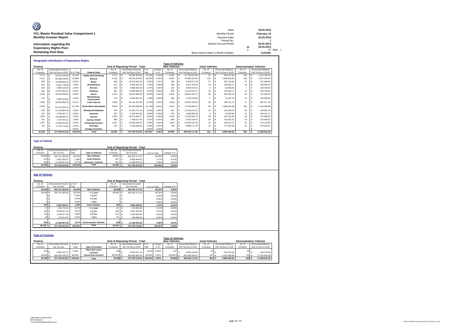| Ø                                       | Date:                                 |     | 18.03.2014  |
|-----------------------------------------|---------------------------------------|-----|-------------|
| VCL-Master Residual Value Compartment 1 | Monthly Period:                       |     | February 14 |
| <b>Monthly Investor Report</b>          | Payment Date:                         |     | 25.03.2014  |
|                                         | Period No.:                           |     |             |
| Information regarding the               | Interest Accrual Period:              |     | 26.02.2014  |
| <b>Expectancy Rights Pool -</b>         |                                       | to  | 25.03.2014  |
|                                         |                                       | $=$ | 27 days     |
| <b>Remaining Pool Data</b>              | Base Interest Rate (1-Month Euribor): |     | 0.2210%     |

|           | <b>Geographic distribution of Expectancy Rights</b> |                           |            |                               |           |  |                                        |         |          |                         |  |                           |                      |   |                    |                               |   |                    |
|-----------|-----------------------------------------------------|---------------------------|------------|-------------------------------|-----------|--|----------------------------------------|---------|----------|-------------------------|--|---------------------------|----------------------|---|--------------------|-------------------------------|---|--------------------|
|           |                                                     |                           |            |                               |           |  |                                        |         |          | <b>Type of Vehicles</b> |  |                           |                      |   |                    |                               |   |                    |
| Poolcut   |                                                     |                           |            |                               |           |  | <b>End of Reporting Period - Total</b> |         |          | <b>New Vehicles</b>     |  |                           | <b>Used Vehicles</b> |   |                    | <b>Demonstration Vehicles</b> |   |                    |
| No. of    |                                                     | <b>Discounted Amounts</b> |            |                               | No. of    |  | <b>Discounted Amounts</b>              | $%$ of  | change   | No. of                  |  | <b>Discounted Balance</b> | No. of               |   | Discounted Balance | No. of                        |   | Discounted Balance |
| Contracts |                                                     | Not Yet Due in EUR        | % of Total | <b>Federal State</b>          | Contracts |  | Not Yet Due in EUR                     | Total   | in %     | Contracts               |  | Not Yet Due in EUR        | Contracts            |   | Not Yet Due in EUR | Contracts                     |   | Not Yet Due in EUR |
| 4.770     |                                                     | 60.252.646.86             | 16.15%     | <b>Baden-Wuerttemberg</b>     | 4.771     |  | 60.506.390.65                          | 16.19%  | 0.04%    | 4.583                   |  | 57.759.973.94             | 53                   | € | 644.257.93         | 135                           |   | 2.102.158.78       |
| 5.151     |                                                     | 68,588,546.89             | 18.38%     | <b>Bavaria</b>                | 5.132     |  | 68.510.023.59                          | 18.33%  | $-0.05%$ | 4854                    |  | 64.833.223.64             | 122                  | € | 1.409.345.91       | 156                           |   | 2.267.454.04       |
| 843       |                                                     | 10.488.665.42             | 2.81%      | <b>Berlin</b>                 | 843       |  | 10.526.581.62                          | 2.82%   | 0.01%    | 789                     |  | 9.828.877.03              | 27                   |   | 325,723.60         | 27                            |   | 371.980.99         |
| 619       |                                                     | 6.657.748.08              | 1.78%      | <b>Brandenburg</b>            | 617       |  | 6.653.345.78                           | 1.78%   | 0.00%    | 580                     |  | 6.257.256.78              | 19                   | € | 189.626.77         | 18                            |   | 206.462.23         |
| 334       |                                                     | 3.969.144.69              | 1.06%      | <b>Bremen</b>                 | 335       |  | 3.988.282.28                           | 1.07%   | 0.00%    | 325                     |  | 3.854.072.61              | 3                    | € | 34.009.65          |                               | € | 100.200.02         |
| 962       |                                                     | 12.087.864.52             | 3.24%      | Hamburg                       | 961       |  | 12.098.854.00                          | 3.24%   | 0.00%    | 928                     |  | 11.613.331.37             | 10                   | € | 149.352.71         | 23                            |   | 336.169.92         |
| 2.346     |                                                     | 29.934.508.53             | 8.02%      | Hesse                         | 2.344     |  | 30.011.898.29                          | 8.03%   | 0.01%    | 2.254                   |  | 28.812.203.71             | 38                   | € | 454.325.79         | 52                            |   | 745.368.79         |
| 475       |                                                     | 5.005.323.84              | 1.34%      | Mecklenburg-<br>Vorpommern    | 475       |  | 5.028.367.45                           | 1.35%   | 0.00%    | 456                     |  | 4.796.744.50              |                      | Е | 71.637.03          | 12                            |   | 159.985.92         |
| 2.959     |                                                     | 34.000.958.78             | 9.11%      | <b>Lower Saxony</b>           | 2.959     |  | 34.141.972.03                          | 9.13%   | 0.02%    | 2.849                   |  | 32.807.292.53             | 39                   | € | 436.701.71         | 71                            |   | 897.977.79         |
| 6.598     |                                                     | 81.163.359.41             | 21.75%     | <b>North Rhine-Westphalia</b> | 6.584     |  | 81.209.309.68                          | 21.73%  | $-0.03%$ | 6.324                   |  | 77.978.968.75             | 94                   | € | 1.066.344.05       | 166                           |   | 2.163.996.88       |
| 978       |                                                     | 11.915.894.48             | 3.19%      | <b>Rhineland-Palatinate</b>   | 976       |  | 11.924.277.16                          | 3.19%   | 0.00%    | 931                     |  | 11.338.237.22             | 12                   | € | 122.208.15         | 33                            |   | 463.831.79         |
| 167       |                                                     | 2.093.337.11              | 0.56%      | Saarland                      | 167       |  | 2.100.904.56                           | 0.56%   | 0.00%    | 154                     |  | 1.865.866.99              | 3                    | € | 78.995.86          | 10                            | € | 156.041.71         |
| 1.604     |                                                     | 18.388.863.72             | 4.93%      | Saxonv                        | 1.605     |  | 18.479.484.37                          | 4.94%   | 0.02%    | 1.534                   |  | 17.583.503.73             | 29                   | € | 321.322.64         | 42                            |   | 574.658.00         |
| 701       |                                                     | 7 376 784 14              | 1.98%      | Saxony-Anhalt                 | 698       |  | 7.358.517.45                           | 1.97%   | $-0.01%$ | 660                     |  | 6 922 794 61              | 18                   | € | 219 262 22         | 20                            |   | 216.460.62         |
| 1.047     |                                                     | 12.460.092.56             | 3.34%      | <b>Schleswig-Holstein</b>     | 1.047     |  | 12.504.026.87                          | 3.35%   | 0.01%    | 1.009                   |  | 12.064.597.35             | 15                   | € | 169.312.72         | 23                            |   | 270.116.80         |
| 782       |                                                     | 8.723.173.03              | 2.34%      | <b>Thuringia</b>              | 782       |  | 8.738.284.05                           | 2.34%   | 0.00%    | 739                     |  | 8.085.172.76              | 12                   |   | 177,043.08         | 31                            |   | 476.068.21         |
|           |                                                     |                           | 0.00%      | <b>Foreian Countries</b>      |           |  |                                        | 0.00%   | 0.00%    |                         |  |                           |                      |   |                    |                               |   |                    |
| 30,336    |                                                     | 373,106,912.06            | 100.00%    | <b>Total</b>                  | 30,296    |  | 373,780,519.83                         | 100.00% | 0.00%    | 28.969                  |  | 356.402.117.52            | 501                  | € | 5.869.469.82       | 826                           |   | 11.508.932.49      |

### **Type of Vehicle**

| Poolcut        |                            |         |                           |              |                  | <b>End of Reporting Period - Total</b> |               |             |
|----------------|----------------------------|---------|---------------------------|--------------|------------------|----------------------------------------|---------------|-------------|
| No. of         | Discounted Amounts in % of |         |                           | No of        |                  | <b>Discounted Amounts</b>              |               |             |
| Contracts      | Not Yet Due                | Total   | <b>Type of Vehicles</b>   | Contracts    |                  | Not Yet Due                            | in % of Total | change in % |
| $29.006 \div$  | 355,751,383.60             | 95.35%  | <b>New Vehicles</b>       | $28.969 \in$ |                  | 356.402.117.52                         | 95.35%        | 0.00%       |
| 504 $\epsilon$ | 5.887.060.97               | 1.58%   | <b>Used Vehicles</b>      | 501          | $\mathsf{I} \in$ | 5.869.469.82                           | 1.57%         | $-0.01%$    |
| 826 €          | 11.468.467.49              | 3.07%   | <b>Demonstr.</b> Vehicles | 826          |                  | 11.508.932.49                          | 3.08%         | 0.01%       |
| 30,336 $6$     | 373,106,912.06             | 100.00% | <b>Total</b>              | 30,296 $6$   |                  | 373,780,519.83                         | 100.00%       | 0.00%       |

### **Age of Vehicles**

| Poolcut                 |                                          |                  |                              |                     |            | <b>End of Reporting Period - Total</b>          |                 |                |                         |                                          |                      |                                                 |                               |   |                                                 |
|-------------------------|------------------------------------------|------------------|------------------------------|---------------------|------------|-------------------------------------------------|-----------------|----------------|-------------------------|------------------------------------------|----------------------|-------------------------------------------------|-------------------------------|---|-------------------------------------------------|
| No. of                  | <b>Discounted Amounts</b>                | in % of          |                              | No. of              |            | <b>Discounted Amounts</b>                       |                 |                |                         |                                          |                      |                                                 |                               |   |                                                 |
| Contracts               | Not Yet Due                              | Total            |                              | Contracts           |            | Not Yet Due                                     | in % of Total   |                | change in %             |                                          |                      |                                                 |                               |   |                                                 |
| 29,006                  | 355.751.383.60                           | 95.35%           | <b>New Vehicles</b>          | 28,969 €            |            | 356.402.117.52                                  |                 | 95.35%         | 0.00%                   |                                          |                      |                                                 |                               |   |                                                 |
| 29,006                  | 355.751.383.60                           | 95.35%           | $= 1$ year                   | 28.969              | €          | 356.402.117.52                                  |                 | 95.35%         | 0.00%                   |                                          |                      |                                                 |                               |   |                                                 |
|                         |                                          | 0.00%            | $1-2$ yrs                    |                     | €          |                                                 |                 | 0.00%          | 0.00%                   |                                          |                      |                                                 |                               |   |                                                 |
|                         |                                          | 0,00%            | $2-3$ yrs                    |                     | ÷          |                                                 |                 | 0.00%          | 0.00%                   |                                          |                      |                                                 |                               |   |                                                 |
|                         | €                                        | 0.00%            | > 3vrs                       |                     | €          |                                                 |                 | 0.00%          | 0.00%                   |                                          |                      |                                                 |                               |   |                                                 |
| 504 €                   | 5.887.060.97                             | 1.58%            | <b>Used vehicles</b>         | 501 €               |            | 5.869.469.82                                    |                 | 1.57%          | $-0.01%$                |                                          |                      |                                                 |                               |   |                                                 |
|                         | 57 €<br>633,716.10                       | 0.17%            | $= 1$ year                   | 40                  | $\epsilon$ | 413.894.84                                      |                 | 0.11%          | $-0.06%$                |                                          |                      |                                                 |                               |   |                                                 |
| 315                     | 3.634.017.26<br>€                        | 0.97%            | $1-2$ vrs                    | 318 $\epsilon$      |            | 3.631.667.64                                    |                 | 0.97%          | 0.00%                   |                                          |                      |                                                 |                               |   |                                                 |
| 104                     | 1.439.417.58<br>€                        | 0.39%            | $2-3$ yrs                    | 114 $\in$           |            | 1.626.948.66                                    |                 | 0.44%          | 0.05%                   |                                          |                      |                                                 |                               |   |                                                 |
| 28                      | 179,910.03<br>€                          | 0,05%            | > 3yrs                       | 29                  | €          | 196,958.68                                      |                 | 0.05%          | 0,00%                   |                                          |                      |                                                 |                               |   |                                                 |
|                         |                                          |                  |                              |                     |            |                                                 |                 |                |                         |                                          |                      |                                                 |                               |   |                                                 |
| 826                     | 11.468.467,49                            | 3.07%            | <b>Demonstation Vehicles</b> | 826 €               |            | 11.508.932.49                                   |                 | 3,08%          | 0,01%                   |                                          |                      |                                                 |                               |   |                                                 |
| 30.336                  | 373,106,912.06                           | 100.00%          | <b>Total</b>                 | 30.296              | €          | 373,780,519.83                                  |                 | 100.00%        | 0,00%                   |                                          |                      |                                                 |                               |   |                                                 |
|                         |                                          |                  |                              |                     |            |                                                 |                 |                |                         |                                          |                      |                                                 |                               |   |                                                 |
|                         |                                          |                  |                              |                     |            |                                                 |                 |                |                         |                                          |                      |                                                 |                               |   |                                                 |
| <b>Type of Contract</b> |                                          |                  |                              |                     |            |                                                 |                 |                |                         |                                          |                      |                                                 |                               |   |                                                 |
|                         |                                          |                  |                              |                     |            |                                                 |                 |                | <b>Type of Vehicles</b> |                                          |                      |                                                 |                               |   |                                                 |
| Poolcut                 |                                          |                  |                              |                     |            | <b>End of Reporting Period - Total</b>          |                 |                | <b>New Vehicles</b>     |                                          | <b>Used Vehicles</b> |                                                 | <b>Demonstration Vehicles</b> |   |                                                 |
| No. of<br>Contracts     | <b>Discounted Amounts</b><br>Not Yet Due | in % of<br>Total | <b>Type of Contract</b>      | No. of<br>Contracts |            | <b>Discounted Amounts</b><br>Not Yet Due in EUR | $%$ of<br>Total | change<br>in % | No. of                  | Discounted Balance<br>Not Yet Due in EUR | No. of<br>Contracts  | <b>Discounted Balance</b><br>Not Yet Due in EUR | No. of<br>Contracts           |   | <b>Discounted Balance</b><br>Not Yet Due in EUR |
|                         |                                          |                  | Open End Lease               |                     |            |                                                 |                 |                | Contracts               |                                          |                      |                                                 |                               |   |                                                 |
| 444                     | 3.823.475.77                             | 1.02%            | Contract                     | 443                 | $\epsilon$ | 3.815.537.19                                    | 1.02%           | 0.00%          | 327                     | 2.805.186.85                             | 54                   | 516,079.94                                      | 62                            | € | 494.270.40                                      |
| 29.892                  | 369.283.436.29                           | 98.98%           | <b>Closed End Contract</b>   | 29.853€ €           |            | 369.964.982.64                                  | 98,98%          | 0.00%          | 28.642 €                | 353,596,930.67                           | 447                  | 5.353.389.88<br>$\epsilon$                      | 764 €                         |   | 11.014.662,09                                   |
| 30,336 €                | 373,106,912.06                           | 100.00%          | <b>Total</b>                 | 30.296 €            |            | 373.780.519,83                                  | 100.00%         | 0.00%          | 28.969 €                | 356.402.117.52                           | 501 €                | 5.869.469.82                                    | 826 €                         |   | 11.508.932,49                                   |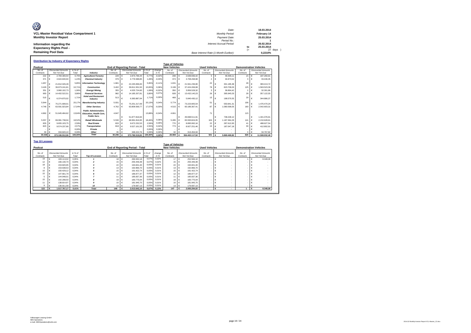| Ø                                       | Date:                                 |     | 18.03.2014  |
|-----------------------------------------|---------------------------------------|-----|-------------|
| VCL-Master Residual Value Compartment 1 | Monthly Period:                       |     | February 14 |
| <b>Monthly Investor Report</b>          | Payment Date:                         |     | 25.03.2014  |
|                                         | Period No.:                           |     |             |
| Information regarding the               | Interest Accrual Period:              |     | 26.02.2014  |
| <b>Expectancy Rights Pool -</b>         |                                       | to  | 25.03.2014  |
|                                         |                                       | $=$ | 27 days     |
| <b>Remaining Pool Data</b>              | Base Interest Rate (1-Month Euribor): |     | 0.2210%     |

| Poolcut             |            |                           |         |                                                                                        |            |            |                                                                     |         |                | <b>Type of Vehicles</b><br><b>New Vehicles</b> |                           | <b>Used Vehicles</b> |            |                           | <b>Demonstration Vehicles</b> |            |                           |
|---------------------|------------|---------------------------|---------|----------------------------------------------------------------------------------------|------------|------------|---------------------------------------------------------------------|---------|----------------|------------------------------------------------|---------------------------|----------------------|------------|---------------------------|-------------------------------|------------|---------------------------|
|                     |            | <b>Discounted Amounts</b> | in % of |                                                                                        | No of      |            | <b>End of Reporting Period - Total</b><br><b>Discounted Amounts</b> | in % of |                | No. of                                         | <b>Discounted Amounts</b> | No. of               |            | <b>Discounted Amounts</b> |                               |            | <b>Discounted Amounts</b> |
| No. of<br>Contracts |            | Not Yet Due               | Total   | Industry                                                                               | Contracts  |            | Not Yet Due                                                         | Total   | change<br>in % | Contracts                                      | Not Yet Due               | Contracts            |            | Not Yet Due               | No. of<br>Contracts           |            | Not Yet Due               |
|                     |            |                           |         |                                                                                        |            |            |                                                                     |         |                |                                                |                           |                      |            |                           |                               |            |                           |
| 222                 | $\epsilon$ | 2.784.300.54              | 0.75%   | <b>Agriculture/Forestrv</b>                                                            | 228        | $\epsilon$ | 2.873.796.44                                                        | 0.77%   | $-0.02%$       | 208                                            | 2.639.936.42              | $5 \in$              |            | 46.599.11                 | $15 \in$                      |            | 187.260.91                |
| 37 <sup>′</sup>     |            | 4.644.840.94              | 1.24%   | <b>Chemical Industry</b>                                                               | 379        |            | 4.776.588.85                                                        | 1.28%   | $-0.03%$       | 374                                            | 4.708.268.98              | 2                    | €          | 34.873.52                 |                               | €          | 33.446.35                 |
| 1.657               |            | 21.812.026.49             | 5.85    | <b>Information Technology</b>                                                          | 1.681      | $\epsilon$ | 22.245.836.00                                                       | 5.95%   | $-0.11%$       | 1.631                                          | 21.561.236.90             | 22                   | €          | 301.185.38                | 28                            | €          | 383.413.72                |
| 3.429               | $\epsilon$ | 39.973.241.81             | 10.71%  | Construction                                                                           | 3.402      | Ι€         | 39.811.501.50                                                       | 10.65%  | 0.06%          | 3.199                                          | 37.424.269.08             | 78                   | €          | 823,709.03                | 125                           | ∣€         | .563.523.39               |
| 35 <sup>′</sup>     |            | 3.960.102.73              | 1.06%   | <b>Eneray/Minina</b>                                                                   | 355        | Ι€         | 4.025.724.60                                                        | 1.08%   | $-0.02%$       | 350                                            | 3.956.528.32              | 3                    | €          | 36.894.42                 |                               | €          | 32.301.86                 |
| 993                 |            | 14.402.522.51             | 3.86%   | <b>Financial Services</b>                                                              | 982        | €          | 14.185.207.81                                                       | 3.80%   | 0.07%          | 928                                            | 13.432.140.23             | 26                   | €          | 395.945.03                | 28                            | €          | 357.122.55                |
| 515                 |            | 6.374.870.02              | 1.71%   | <b>Hotel and Restaurant</b><br>Industry                                                | 513        | €          | 6.383.887.04                                                        | 1.71%   | 0.00%          | 469                                            | 5.840.430.12              | 15                   | €          | 198,570.55                | 29                            | €          | 344.886.37                |
| 5.944               |            | 75.271.699.01             | 20.17%  | <b>Manufacturing Industry</b>                                                          | 5.931      |            | 75 251 217 09                                                       | 20.13%  | 0.04%          | 5.774                                          | 73.223.905.54             | 51                   | €          | 550.841.31                | 106                           | €          | 1.476.470.24              |
| 4.746               |            | 63.591.923.84             | 17.04%  | <b>Other Services</b>                                                                  | 4.762      |            | 63.809.569.77                                                       | 17.07%  | $-0.03%$       | 4.515                                          | 60.186.367.41             | 87                   | €          | 1.080.599.05              | 160                           | €          | 2.542.603.31              |
| 4.862               |            | 51.645.484.62             | 13.849  | <b>Public Administration.</b><br><b>Education, Health Care.</b><br><b>Public Serv.</b> | 4.847      | €          | 51.877.816.94                                                       | 13.88%  | $-0.04%$       | 4.661                                          | 49.698.511.91             | 71                   | €          | 738.228.12                | 115                           | €          | 1.441.076.91              |
| 5.557               |            | 69.081.738.04             | 18.52%  | Retail/Wholesale                                                                       | 5.530      |            | 68.991.816.95                                                       | 18.46%  | 0.06%          | 5.285                                          | 65.593.824.05             | 104                  | €          | 1.187.364.29              | 141                           | $\epsilon$ | 2.210.628.61              |
| 833                 |            | 9.655.103.75              | 2.59%   | <b>Real Estate</b>                                                                     | 833        | €          | 9.672.232.53                                                        | 2.59%   | 0.00%          | 770                                            | 8.895.992.16              | 22                   | €          | 287.612.83                | 41                            | €          | 488.627.54                |
| 823                 |            | 9.574.237.66              | 2.57%   | <b>Transportation</b>                                                                  | 818        | $\epsilon$ | 9.527.101.55                                                        | 2.55%   | 0.02%          | 773                                            | 8.927.251.46              | 15                   | $\epsilon$ | 187.047.18                | 30                            |            | 412.802.91                |
|                     |            |                           | 0.00%   | Private                                                                                |            |            |                                                                     | 0.00%   | 0.00%          |                                                |                           |                      |            |                           |                               |            |                           |
| 33                  |            | 334,820.10                | 0.09%   | Other                                                                                  | 35         |            | 348.222.76                                                          | 0.09%   | 0.00%          | 32                                             | 313.454.94                |                      |            |                           | 3                             |            | 34,767.82                 |
| 30,336 $6$          |            | 373.106.912.06            | 100.00% | <b>Total</b>                                                                           | 30.296 $6$ |            | 373.780.519,83                                                      | 100,00% | 0,00%          | 28,969                                         | 356.402.117.52            | 501                  | €ا         | 5.869.469.82              | $826 \quad \epsilon$          |            | 11.508.932,49             |

|                     |                                          |                  |                |                     |                                          |                  |                | <b>Type of Vehicles</b> |                                          |                      |                                          |                     |                                          |
|---------------------|------------------------------------------|------------------|----------------|---------------------|------------------------------------------|------------------|----------------|-------------------------|------------------------------------------|----------------------|------------------------------------------|---------------------|------------------------------------------|
| Poolcut             |                                          |                  |                |                     | <b>End of Reporting Period - Total</b>   |                  |                | <b>New Vehicles</b>     |                                          | <b>Used Vehicles</b> |                                          |                     | <b>Demonstration Vehicles</b>            |
| No. of<br>Contracts | <b>Discounted Amounts</b><br>Not Yet Due | in % of<br>Total | Top 10 Lessees | No. of<br>Contracts | <b>Discounted Amounts</b><br>Not Yet Due | in % of<br>Total | change<br>in % | No. of<br>Contracts     | <b>Discounted Amounts</b><br>Not Yet Due | No. of<br>Contracts  | <b>Discounted Amounts</b><br>Not Yet Due | No. of<br>Contracts | <b>Discounted Amounts</b><br>Not Yet Due |
| 19                  | 183.113.02                               | 0.05%            |                | 18                  | 260.932.18                               | 0.07%            | 0.02%          | 17                      | 252.584.10                               |                      |                                          |                     | 8,348.08                                 |
| 12                  | 166,130,70                               | 0.04%            |                | $15 \in$            | 255.446.48                               | 0.07%            | 0.02%          | 15                      | 255,446.48                               |                      |                                          |                     |                                          |
| 18                  | 153,820.95                               | 0.04%            |                | $^{22}$             | 194,841.40                               | 0.05%            | 0.01%          | 22                      | 194,841.40                               |                      |                                          |                     |                                          |
| я                   | 153,638.53                               | 0.04%            |                | 13 <sup>6</sup>     | 192.866.70                               | 0.05%            | 0.01%          | 13                      | 192,866.70                               |                      |                                          |                     |                                          |
| 10                  | 150.429.12                               | 0.04%            |                | 15                  | 191.422.74                               | 0.05%            | 0.01%          | 15                      | 191.422.74                               |                      |                                          |                     |                                          |
| 15                  | 147,661.79                               | 0.04%            |                | 12                  | 186,877,37                               | 0.05%            | 0.01%          | 12                      | 186,877,37                               |                      |                                          |                     |                                          |
|                     | 144.948.01                               | 0.04%            |                | 11                  | 185,837,36                               | 0.05%            | 0.01%          | 11                      | 185,837,36                               |                      |                                          |                     |                                          |
| 15                  | 142.298.50                               | 0.04%            |                | 19                  | 183,775.04                               | 0.05%            | 0.01%          | 19                      | 183,775.04                               |                      |                                          |                     |                                          |
|                     | 138,814.97                               | 0.04%            |                | 10                  | 181.945.70                               | 0.05%            | 0.01%          | 10                      | 181,945.70                               |                      |                                          |                     |                                          |
|                     | 136.911.58                               | 0.04%            | 10             | $13 \in$            | 179,697.13                               | 0.05%            | 0,01%          | 13 <sub>1</sub>         | 179,697.13                               |                      |                                          |                     |                                          |
| 122                 | 1.517.767.17                             | 0.41%            | <b>Total</b>   | 148                 | 2.013.642.10                             | 0,67%            | 0,13%          | 147                     | 2.005.294.02                             |                      |                                          |                     | 8.348,08                                 |

г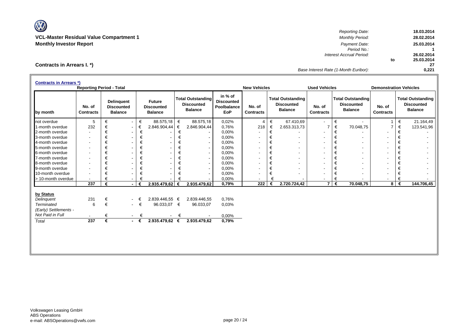W

*Reporting Date:* **18.03.2014 VCL-Master Residual Value Compartment 1** *Monthly Period:* **28.02.2014 Monthly Investor Report** *Payment Date:* **25.03.2014** *Period No.:* **1 Interest Accrual Period: to 25.03.2014 27** *Base Interest Rate (1-Month Euribor):* **0,221**

# **Contracts in Arrears I. \*)**

| <b>Contracts in Arrears *)</b> | <b>Reporting Period - Total</b> |   |                                                          |             |                                                      |   |                                                                 |                                                           | <b>New Vehicles</b>        |   |                                                                 | <b>Used Vehicles</b>       |   |                                                                 | <b>Demonstration Vehicles</b> |   |                                                                 |
|--------------------------------|---------------------------------|---|----------------------------------------------------------|-------------|------------------------------------------------------|---|-----------------------------------------------------------------|-----------------------------------------------------------|----------------------------|---|-----------------------------------------------------------------|----------------------------|---|-----------------------------------------------------------------|-------------------------------|---|-----------------------------------------------------------------|
| by month                       | No. of<br><b>Contracts</b>      |   | <b>Delinquent</b><br><b>Discounted</b><br><b>Balance</b> |             | <b>Future</b><br><b>Discounted</b><br><b>Balance</b> |   | <b>Total Outstanding</b><br><b>Discounted</b><br><b>Balance</b> | in % of<br><b>Discounted</b><br>Poolbalance<br><b>EoP</b> | No. of<br><b>Contracts</b> |   | <b>Total Outstanding</b><br><b>Discounted</b><br><b>Balance</b> | No. of<br><b>Contracts</b> |   | <b>Total Outstanding</b><br><b>Discounted</b><br><b>Balance</b> | No. of<br><b>Contracts</b>    |   | <b>Total Outstanding</b><br><b>Discounted</b><br><b>Balance</b> |
| not overdue                    | 5                               | € | $\sim$                                                   | €           | 88.575,18                                            | € | 88.575,18                                                       | 0,02%                                                     | $\overline{4}$             | € | 67.410,69                                                       | $\overline{\phantom{a}}$   | € |                                                                 |                               | € | 21.164,49                                                       |
| 1-month overdue                | 232                             | € | $\overline{\phantom{a}}$                                 | €           | 2.846.904,44                                         | € | 2.846.904,44                                                    | 0,76%                                                     | 218                        | € | 2.653.313,73                                                    |                            | € | 70.048,75                                                       |                               | € | 123.541,96                                                      |
| 2-month overdue                |                                 | € | $\overline{\phantom{a}}$                                 | €           |                                                      | € |                                                                 | 0,00%                                                     |                            | € |                                                                 |                            | € |                                                                 |                               | € |                                                                 |
| 3-month overdue                | $\overline{\phantom{a}}$        | € | $\overline{\phantom{a}}$                                 | €           |                                                      | € |                                                                 | 0,00%                                                     |                            | € |                                                                 |                            | € | $\overline{\phantom{a}}$                                        | $\overline{\phantom{a}}$      | € |                                                                 |
| 4-month overdue                | $\overline{\phantom{a}}$        | € | ٠                                                        | €           |                                                      | € | $\overline{\phantom{a}}$                                        | 0,00%                                                     |                            | € | $\overline{\phantom{a}}$                                        |                            | € | $\blacksquare$                                                  | $\overline{\phantom{a}}$      | € |                                                                 |
| 5-month overdue                | $\overline{\phantom{a}}$        | € | $\overline{\phantom{a}}$                                 | €           |                                                      | € | $\overline{\phantom{a}}$                                        | 0,00%                                                     |                            | € | $\overline{\phantom{a}}$                                        |                            | € | $\overline{\phantom{a}}$                                        | $\overline{\phantom{a}}$      | € |                                                                 |
| 6-month overdue                | $\overline{\phantom{a}}$        | € |                                                          | €           |                                                      | € | $\overline{\phantom{a}}$                                        | 0,00%                                                     |                            | € | ۰                                                               |                            | € | $\overline{\phantom{a}}$                                        | $\overline{\phantom{a}}$      | € |                                                                 |
| 7-month overdue                | $\overline{\phantom{a}}$        | € |                                                          | €           |                                                      | € | $\overline{\phantom{a}}$                                        | 0,00%                                                     |                            | € | ٠                                                               |                            | € | $\overline{\phantom{a}}$                                        | $\overline{\phantom{a}}$      | € |                                                                 |
| 8-month overdue                | $\overline{\phantom{a}}$        | € |                                                          | €           |                                                      | € | $\overline{\phantom{a}}$                                        | 0,00%                                                     |                            | € | ٠                                                               |                            | € | $\blacksquare$                                                  | $\overline{\phantom{a}}$      | € |                                                                 |
| 9-month overdue                | $\overline{\phantom{a}}$        | € |                                                          | €           |                                                      | € | $\overline{\phantom{a}}$                                        | 0,00%                                                     |                            | € | ٠                                                               |                            | € | $\overline{\phantom{a}}$                                        | $\blacksquare$                | € |                                                                 |
| 10-month overdue               | $\overline{\phantom{a}}$        | € | $\overline{\phantom{a}}$                                 | €           |                                                      | € | $\overline{\phantom{a}}$                                        | 0,00%                                                     |                            | € |                                                                 |                            | € | $\overline{\phantom{a}}$                                        | $\overline{\phantom{a}}$      | € |                                                                 |
| > 10-month overdue             |                                 | € |                                                          | €           |                                                      | € |                                                                 | 0,00%                                                     |                            | € |                                                                 |                            | € |                                                                 |                               | € |                                                                 |
|                                | $\overline{237}$                | € | $\blacksquare$                                           | €           | 2.935.479,62 €                                       |   | 2.935.479,62                                                    | 0,79%                                                     | 222                        | € | 2.720.724,42                                                    | $\overline{7}$             | € | 70.048,75                                                       | 8                             | € | 144.706,45                                                      |
| by Status                      |                                 |   |                                                          |             |                                                      |   |                                                                 |                                                           |                            |   |                                                                 |                            |   |                                                                 |                               |   |                                                                 |
| Delinguent                     | 231                             | € | $\overline{\phantom{a}}$                                 |             | 2.839.446.55 €                                       |   | 2.839.446,55                                                    | 0,76%                                                     |                            |   |                                                                 |                            |   |                                                                 |                               |   |                                                                 |
| <b>Terminated</b>              | 6                               | € |                                                          | $ \in$      | 96.033,07 €                                          |   | 96.033,07                                                       | 0,03%                                                     |                            |   |                                                                 |                            |   |                                                                 |                               |   |                                                                 |
| (Early) Settlements -          |                                 |   |                                                          |             |                                                      |   |                                                                 |                                                           |                            |   |                                                                 |                            |   |                                                                 |                               |   |                                                                 |
| Not Paid in Full               |                                 |   | $\sim$                                                   | €           |                                                      | € |                                                                 | 0,00%                                                     |                            |   |                                                                 |                            |   |                                                                 |                               |   |                                                                 |
| Total                          | $\overline{237}$                | € |                                                          | $-\epsilon$ | $2.935.479,62$ €                                     |   | 2.935.479,62                                                    | 0,79%                                                     |                            |   |                                                                 |                            |   |                                                                 |                               |   |                                                                 |
|                                |                                 |   |                                                          |             |                                                      |   |                                                                 |                                                           |                            |   |                                                                 |                            |   |                                                                 |                               |   |                                                                 |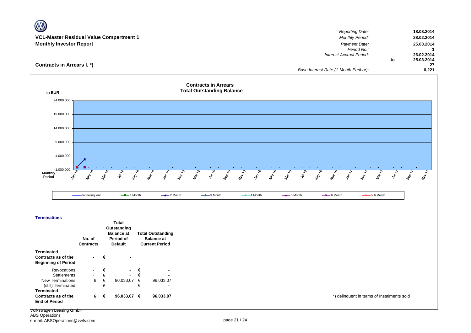|                                                                 | VCL-Master Residual Value Compartment 1                                                                                                                                       | <b>Reporting Date:</b><br><b>Monthly Period:</b>                | 18.03.2014<br>28.02.2014     |
|-----------------------------------------------------------------|-------------------------------------------------------------------------------------------------------------------------------------------------------------------------------|-----------------------------------------------------------------|------------------------------|
| <b>Monthly Investor Report</b>                                  |                                                                                                                                                                               | Payment Date:                                                   | 25.03.2014                   |
|                                                                 |                                                                                                                                                                               | Period No.:                                                     | $\mathbf{1}$                 |
|                                                                 |                                                                                                                                                                               | Interest Accrual Period:                                        | 26.02.2014                   |
| Contracts in Arrears I. *)                                      |                                                                                                                                                                               | to                                                              | 25.03.2014<br>27             |
|                                                                 |                                                                                                                                                                               | Base Interest Rate (1-Month Euribor):                           | 0,221                        |
|                                                                 |                                                                                                                                                                               |                                                                 |                              |
|                                                                 | <b>Contracts in Arrears</b>                                                                                                                                                   |                                                                 |                              |
| in EUR                                                          | - Total Outstanding Balance                                                                                                                                                   |                                                                 |                              |
| 24.000.000                                                      |                                                                                                                                                                               |                                                                 |                              |
|                                                                 |                                                                                                                                                                               |                                                                 |                              |
| 19.000.000                                                      |                                                                                                                                                                               |                                                                 |                              |
|                                                                 |                                                                                                                                                                               |                                                                 |                              |
| 14.000.000                                                      |                                                                                                                                                                               |                                                                 |                              |
|                                                                 |                                                                                                                                                                               |                                                                 |                              |
| 9.000.000                                                       |                                                                                                                                                                               |                                                                 |                              |
|                                                                 |                                                                                                                                                                               |                                                                 |                              |
| 4.000.000                                                       |                                                                                                                                                                               |                                                                 |                              |
|                                                                 |                                                                                                                                                                               |                                                                 |                              |
| $-1.000.000$<br><b>Monthly</b><br>$\hat{\mathcal{S}}$<br>Period | Van 15<br><b>MAN 75</b><br>Mar 15<br>July 15<br><b>Sep 15</b><br>1601-15<br>van 16<br>Mai 16<br><b>MR 76</b><br>Mar 14<br>July 14<br><b>Sep 14</b><br>Nov 14<br>$\mathcal{L}$ | July 16<br>Sep 16<br>160-16<br><b>LA UP</b><br>MANT<br>Mar 17   | $160_{12}$<br>My N<br>Sep 77 |
|                                                                 |                                                                                                                                                                               |                                                                 |                              |
|                                                                 |                                                                                                                                                                               |                                                                 |                              |
|                                                                 | - not delinquent<br>$-$ -1 Month<br>$-2$ Month<br>$-$ 3 Month<br>$-$ 4 Month                                                                                                  | $-$ 5 Month<br>$\rightarrow$ 6 Month<br>$\rightarrow$ > 6 Month |                              |
|                                                                 |                                                                                                                                                                               |                                                                 |                              |
|                                                                 |                                                                                                                                                                               |                                                                 |                              |
| <b>Terminations</b>                                             |                                                                                                                                                                               |                                                                 |                              |
|                                                                 | <b>Total</b><br>Outstanding                                                                                                                                                   |                                                                 |                              |
|                                                                 | <b>Balance at</b><br><b>Total Outstanding</b>                                                                                                                                 |                                                                 |                              |
|                                                                 | No. of<br>Period of<br><b>Balance at</b>                                                                                                                                      |                                                                 |                              |
|                                                                 | <b>Contracts</b><br><b>Default</b><br><b>Current Period</b>                                                                                                                   |                                                                 |                              |
| <b>Terminated</b><br>Contracts as of the                        | €<br>$\sim$                                                                                                                                                                   |                                                                 |                              |
| <b>Beginning of Period</b>                                      |                                                                                                                                                                               |                                                                 |                              |
| Revocations                                                     | €<br>€<br>$\overline{\phantom{a}}$                                                                                                                                            |                                                                 |                              |
| Settlements                                                     | €<br>€                                                                                                                                                                        |                                                                 |                              |
| New Terminations<br>(still) Terminated                          | 96.033,07 €<br>6<br>€<br>96.033,07<br>€<br>€<br>$\sim$                                                                                                                        |                                                                 |                              |
| <b>Terminated</b>                                               |                                                                                                                                                                               |                                                                 |                              |
| Contracts as of the<br><b>End of Period</b>                     | 96.033,07 €<br>96.033,07<br>6<br>€                                                                                                                                            | *) delinquent in terms of Instalments sold                      |                              |
|                                                                 |                                                                                                                                                                               |                                                                 |                              |

 $\overline{\phantom{a}}$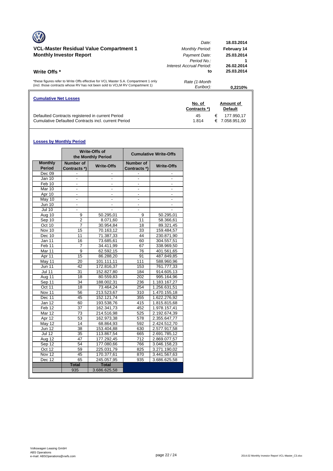| <b>Cumulative Net Losses</b>                                                                                                                                       | No. of<br>Contracts *)                                        | Amount of<br><b>Default</b>            |
|--------------------------------------------------------------------------------------------------------------------------------------------------------------------|---------------------------------------------------------------|----------------------------------------|
| *these figures refer to Write Offs effective for VCL Master S.A. Compartment 1 only<br>(incl. those contracts whose RV has not been sold to VCLM RV Compartment 1) | Rate (1-Month<br>Euribor):                                    | 0.2210%                                |
| <b>Monthly Investor Report</b><br>Write Offs *                                                                                                                     | Payment Date:<br>Period No.<br>Interest Accrual Period:<br>to | 25.03.2014<br>26.02.2014<br>25.03.2014 |
| VCL-Master Residual Value Compartment 1                                                                                                                            | Date:<br><b>Monthly Period:</b>                               | 18.03.2014<br>February 14              |

Defaulted Contracts registered in current Period 45 € 177.950,17 Cumulative Defaulted Contracts incl. current Period 1.814 € 7.058.951,00

# **Losses by Monthly Period**

|                                 |                           | Write-Offs of<br>the Monthly Period |                                  | <b>Cumulative Write-Offs</b> |
|---------------------------------|---------------------------|-------------------------------------|----------------------------------|------------------------------|
| <b>Monthly</b><br><b>Period</b> | Number of<br>Contracts *) | <b>Write-Offs</b>                   | <b>Number of</b><br>Contracts *) | <b>Write-Offs</b>            |
| Dec 09                          |                           |                                     |                                  |                              |
| Jan 10                          | $\blacksquare$            | ٠                                   | ٠                                |                              |
| Feb 10                          |                           |                                     | $\overline{\phantom{0}}$         |                              |
| Mar 10                          |                           |                                     |                                  |                              |
| Apr 10                          | $\overline{\phantom{a}}$  | $\overline{\phantom{a}}$            | $\overline{\phantom{a}}$         | $\overline{\phantom{a}}$     |
| May 10                          | $\overline{\phantom{0}}$  |                                     | ٠                                |                              |
| $\overline{J}$ un 10            |                           |                                     |                                  |                              |
| <b>Jul 10</b>                   | $\overline{\phantom{a}}$  |                                     | ٠                                |                              |
| Aug 10                          | 9                         | 50.295,01                           | 9                                | 50.295,01                    |
| Sep 10                          | $\overline{2}$            | 8.071,60                            | 11                               | 58.366,61                    |
| Oct 10                          | 7                         | 30.954,84                           | 18                               | 89.321,45                    |
| Nov 10                          | 15                        | 70.163,12                           | 33                               | 159.484,57                   |
| Dec 10                          | 11                        | 71.387,33                           | 44                               | 230.871,90                   |
| Jan 11                          | 16                        | 73.685,61                           | 60                               | 304.557,51                   |
| Feb 11                          | 7                         | 34.411,99                           | 67                               | 338.969,50                   |
| Mar 11                          | $\overline{9}$            | $\overline{62.592, 15}$             | 76                               | 401.561,65                   |
| Apr 11                          | 15                        | 86.288,20                           | 91                               | 487.849,85                   |
| May 11                          | 20                        | 101.111,11                          | 111                              | 588.960,96                   |
| <b>Jun 11</b>                   | 42                        | 172.816,37                          | 153                              | 761.777,33                   |
| <b>Jul 11</b>                   | 31                        | 152.827,80                          | 184                              | 914.605,13                   |
| Aug 11                          | 18                        | 80.559,83                           | 202                              | 995.164,96                   |
| Sep 11                          | 34                        | 188.002,31                          | 236                              | 1.183.167,27                 |
| Oct 11                          | 18                        | 73.464,24                           | 254                              | 1.256.631,51                 |
| Nov 11                          | 56                        | 213.523,67                          | 310                              | 1.470.155,18                 |
| Dec 11                          | 45                        | 152.121,74                          | 355                              | 1.622.276,92                 |
| Jan 12                          | 60                        | 193.538.76                          | 415                              | 1.815.815,68                 |
| Feb 12                          | 37                        | 162.341,73                          | 452                              | 1.978.157,41                 |
| Mar 12                          | 73                        | 214.516.98                          | 525                              | 2.192.674.39                 |
| Apr 12                          | 53                        | 162.973,38                          | 578                              | 2.355.647,77                 |
| May 12                          | 14                        | 68.864,93                           | 592                              | 2.424.512,70                 |
| <b>Jun 12</b>                   | 38                        | 153.404.88                          | 630                              | 2.577.917.58                 |
| <b>Jul 12</b>                   | 35                        | 113.867,54                          | 665                              | 2.691.785,12                 |
| $A\overline{ug}$ 12             | 47                        | 177.292,45                          | 712                              | 2.869.077,57                 |
| Sep 12                          | 54                        | 177.080.66                          | 766                              | 3.046.158,23                 |
| Oct 12                          | 59                        | 225.031,79                          | 825                              | 3.271.190,02                 |
| Nov 12                          | 45                        | 170.377,61                          | 870                              | 3.441.567,63                 |
| Dec 12                          | 65                        | 245.057,95                          | 935                              | 3.686.625,58                 |
|                                 | <b>Total</b>              | <b>Total</b>                        |                                  |                              |
|                                 | 935                       | 3.686.625,58                        |                                  |                              |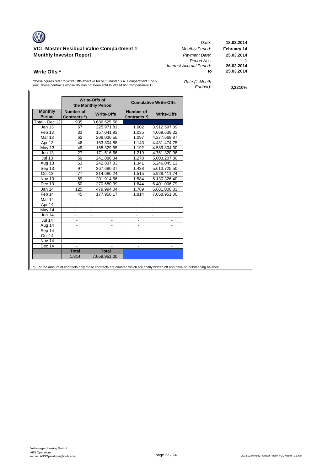# **VCL-Master Residual Value Compartment 1** *Monthly Period:* **February 14 Monthly Investor Report** *Payment Date:* **25.03.2014**

*Date:* **18.03.2014** *Period No.:* **1** *Interest Accrual Period:* **26.02.2014 Write Offs \* to** 

\*these figures refer to Write Offs effective for VCL Master S.A. Compartment 1 only (incl. those contracts whose RV has not been sold to VCLM RV Compartment 1)

| Rate (1-Month |  |
|---------------|--|
| Euribor):     |  |

*Euribor):* **0,2210%**

|                                 |                           | Write-Offs of<br>the Monthly Period |                           | <b>Cumulative Write-Offs</b> |
|---------------------------------|---------------------------|-------------------------------------|---------------------------|------------------------------|
| <b>Monthly</b><br><b>Period</b> | Number of<br>Contracts *) | <b>Write-Offs</b>                   | Number of<br>Contracts *) | <b>Write-Offs</b>            |
| Total - Dec 12                  | 935                       | 3.686.625,58                        |                           |                              |
| <b>Jan 13</b>                   | 67                        | 225.971,81                          | 1.002                     | 3.912.597,39                 |
| Feb 13                          | 33                        | 157.041,93                          | 1.035                     | 4.069.639,32                 |
| <b>Mar 13</b>                   | 62                        | 208.030,55                          | 1.097                     | 4.277.669,87                 |
| Apr 13                          | 46                        | 153.804,88                          | 1.143                     | 4.431.474,75                 |
| <b>May 13</b>                   | 49                        | 158.329,55                          | 1.192                     | 4.589.804,30                 |
| <b>Jun 13</b>                   | 27                        | 171.516,66                          | 1.219                     | 4.761.320,96                 |
| <b>Jul 13</b>                   | 59                        | 241.886,34                          | 1.278                     | 5.003.207,30                 |
| Aug 13                          | 63                        | 242.837,83                          | 1.341                     | 5.246.045,13                 |
| Sep 13                          | 97                        | 367.680,37                          | 1.438                     | 5.613.725,50                 |
| Oct 13                          | 77                        | 314.686,24                          | 1.515                     | 5.928.411,74                 |
| Nov 13                          | 69                        | 201.914,66                          | 1.584                     | 6.130.326,40                 |
| Dec 13                          | 60                        | 270.680,39                          | 1.644                     | 6.401.006,79                 |
| Jan 14                          | 125                       | 479.994,04                          | 1.769                     | 6.881.000,83                 |
| Feb 14                          | 45                        | 177.950,17                          | 1.814                     | 7.058.951,00                 |
| Mar 14                          |                           | $\overline{\phantom{a}}$            |                           | $\overline{\phantom{a}}$     |
| Apr 14                          | $\overline{\phantom{a}}$  | $\overline{\phantom{a}}$            | $\overline{\phantom{a}}$  | $\overline{\phantom{a}}$     |
| May 14                          | -                         | $\blacksquare$                      | -                         | $\blacksquare$               |
| <b>Jun 14</b>                   | $\overline{\phantom{a}}$  | $\blacksquare$                      | ÷,                        | $\blacksquare$               |
| <b>Jul 14</b>                   | $\frac{1}{2}$             | -                                   |                           |                              |
| Aug 14                          | $\overline{\phantom{a}}$  | $\overline{\phantom{a}}$            | $\overline{\phantom{a}}$  |                              |
| Sep 14                          | $\overline{\phantom{a}}$  | -                                   | $\overline{\phantom{a}}$  | $\overline{\phantom{a}}$     |
| Oct 14                          | $\blacksquare$            |                                     |                           |                              |
| Nov 14                          | ä,                        | $\frac{1}{2}$                       |                           |                              |
| Dec 14                          |                           |                                     |                           |                              |
|                                 | <b>Total</b>              | <b>Total</b>                        |                           |                              |
|                                 | 1.814                     | 7.058.951,00                        |                           |                              |